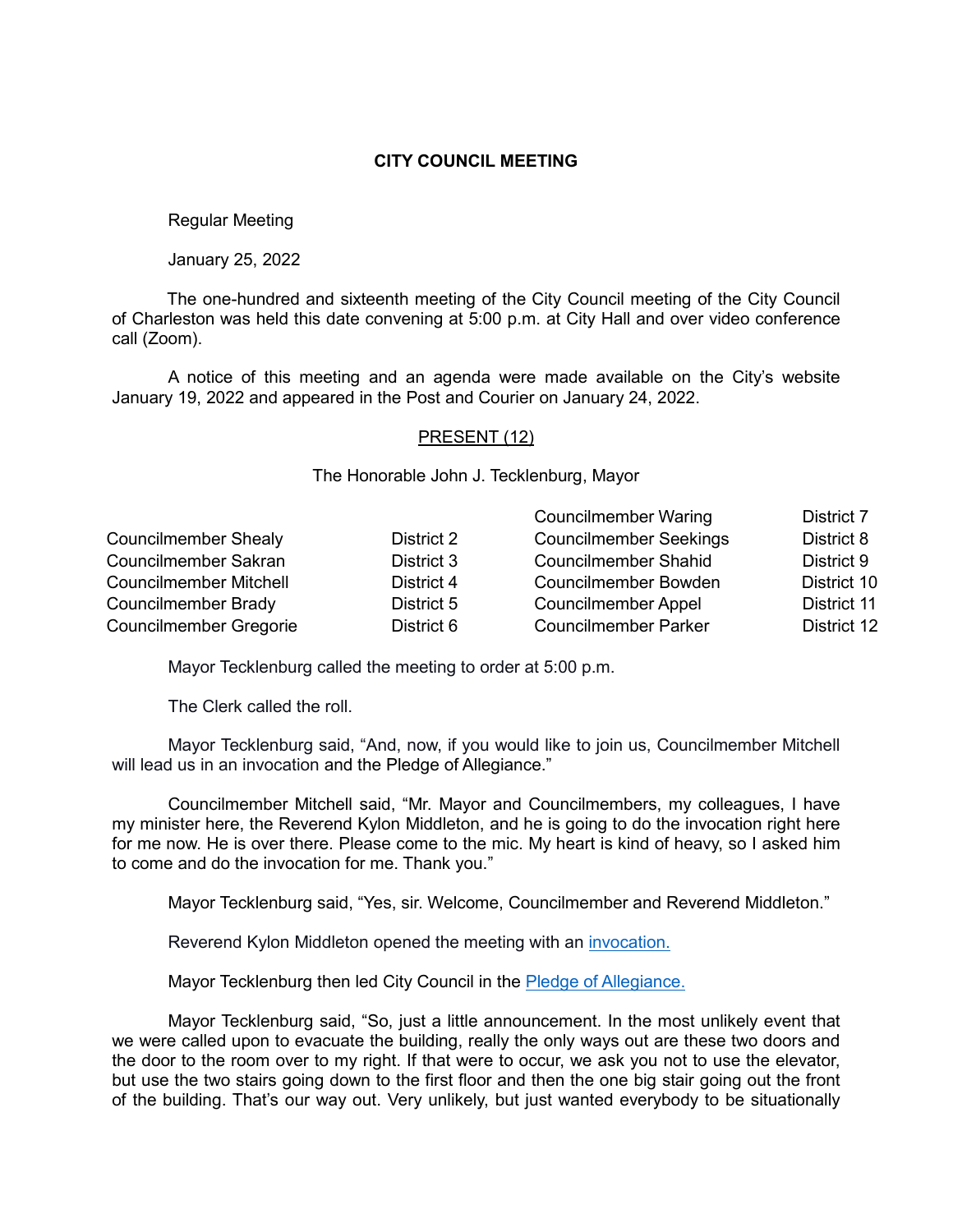### **CITY COUNCIL MEETING**

Regular Meeting

January 25, 2022

The one-hundred and sixteenth meeting of the City Council meeting of the City Council of Charleston was held this date convening at 5:00 p.m. at City Hall and over video conference call (Zoom).

A notice of this meeting and an agenda were made available on the City's website January 19, 2022 and appeared in the Post and Courier on January 24, 2022.

#### PRESENT (12)

The Honorable John J. Tecklenburg, Mayor

|                               |            | <b>Councilmember Waring</b>   | District 7  |
|-------------------------------|------------|-------------------------------|-------------|
| <b>Councilmember Shealy</b>   | District 2 | <b>Councilmember Seekings</b> | District 8  |
| Councilmember Sakran          | District 3 | <b>Councilmember Shahid</b>   | District 9  |
| <b>Councilmember Mitchell</b> | District 4 | <b>Councilmember Bowden</b>   | District 10 |
| Councilmember Brady           | District 5 | <b>Councilmember Appel</b>    | District 11 |
| <b>Councilmember Gregorie</b> | District 6 | <b>Councilmember Parker</b>   | District 12 |

Mayor Tecklenburg called the meeting to order at 5:00 p.m.

The Clerk called the roll.

Mayor Tecklenburg said, "And, now, if you would like to join us, Councilmember Mitchell will lead us in an invocation and the Pledge of Allegiance."

Councilmember Mitchell said, "Mr. Mayor and Councilmembers, my colleagues, I have my minister here, the Reverend Kylon Middleton, and he is going to do the invocation right here for me now. He is over there. Please come to the mic. My heart is kind of heavy, so I asked him to come and do the invocation for me. Thank you."

Mayor Tecklenburg said, "Yes, sir. Welcome, Councilmember and Reverend Middleton."

Reverend Kylon Middleton opened the meeting with an [invocation.](https://youtu.be/RQy-2ofNSXI?t=96)

Mayor Tecklenburg then led City Council in the [Pledge of Allegiance.](https://youtu.be/RQy-2ofNSXI?t=246)

Mayor Tecklenburg said, "So, just a little announcement. In the most unlikely event that we were called upon to evacuate the building, really the only ways out are these two doors and the door to the room over to my right. If that were to occur, we ask you not to use the elevator, but use the two stairs going down to the first floor and then the one big stair going out the front of the building. That's our way out. Very unlikely, but just wanted everybody to be situationally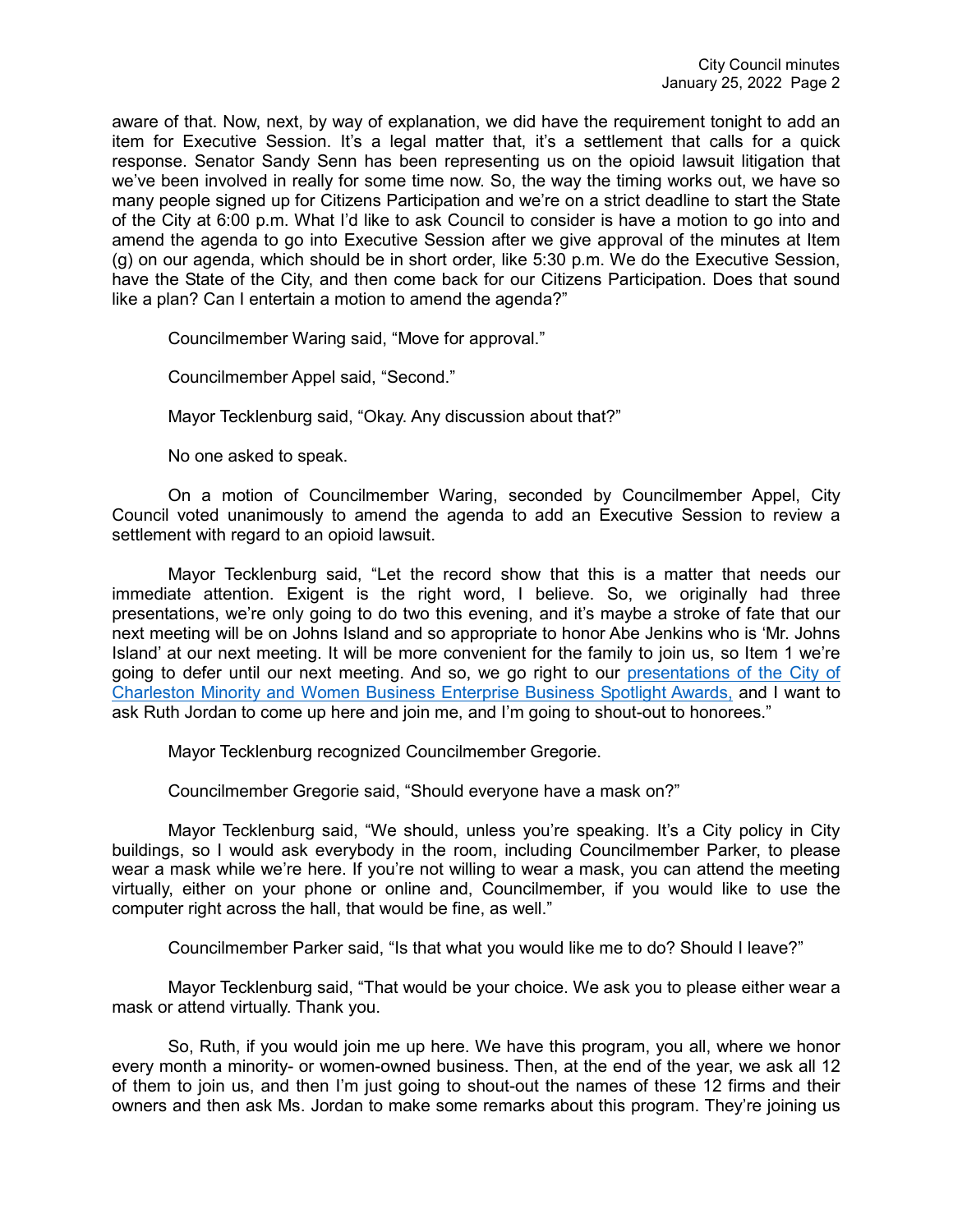aware of that. Now, next, by way of explanation, we did have the requirement tonight to add an item for Executive Session. It's a legal matter that, it's a settlement that calls for a quick response. Senator Sandy Senn has been representing us on the opioid lawsuit litigation that we've been involved in really for some time now. So, the way the timing works out, we have so many people signed up for Citizens Participation and we're on a strict deadline to start the State of the City at 6:00 p.m. What I'd like to ask Council to consider is have a motion to go into and amend the agenda to go into Executive Session after we give approval of the minutes at Item (g) on our agenda, which should be in short order, like 5:30 p.m. We do the Executive Session, have the State of the City, and then come back for our Citizens Participation. Does that sound like a plan? Can I entertain a motion to amend the agenda?"

Councilmember Waring said, "Move for approval."

Councilmember Appel said, "Second."

Mayor Tecklenburg said, "Okay. Any discussion about that?"

No one asked to speak.

On a motion of Councilmember Waring, seconded by Councilmember Appel, City Council voted unanimously to amend the agenda to add an Executive Session to review a settlement with regard to an opioid lawsuit.

Mayor Tecklenburg said, "Let the record show that this is a matter that needs our immediate attention. Exigent is the right word, I believe. So, we originally had three presentations, we're only going to do two this evening, and it's maybe a stroke of fate that our next meeting will be on Johns Island and so appropriate to honor Abe Jenkins who is 'Mr. Johns Island' at our next meeting. It will be more convenient for the family to join us, so Item 1 we're going to defer until our next meeting. And so, we go right to our [presentations of the City of](https://youtu.be/RQy-2ofNSXI?t=415)  [Charleston Minority and Women Business Enterprise Business Spotlight Awards,](https://youtu.be/RQy-2ofNSXI?t=415) and I want to ask Ruth Jordan to come up here and join me, and I'm going to shout-out to honorees."

Mayor Tecklenburg recognized Councilmember Gregorie.

Councilmember Gregorie said, "Should everyone have a mask on?"

Mayor Tecklenburg said, "We should, unless you're speaking. It's a City policy in City buildings, so I would ask everybody in the room, including Councilmember Parker, to please wear a mask while we're here. If you're not willing to wear a mask, you can attend the meeting virtually, either on your phone or online and, Councilmember, if you would like to use the computer right across the hall, that would be fine, as well."

Councilmember Parker said, "Is that what you would like me to do? Should I leave?"

Mayor Tecklenburg said, "That would be your choice. We ask you to please either wear a mask or attend virtually. Thank you.

So, Ruth, if you would join me up here. We have this program, you all, where we honor every month a minority- or women-owned business. Then, at the end of the year, we ask all 12 of them to join us, and then I'm just going to shout-out the names of these 12 firms and their owners and then ask Ms. Jordan to make some remarks about this program. They're joining us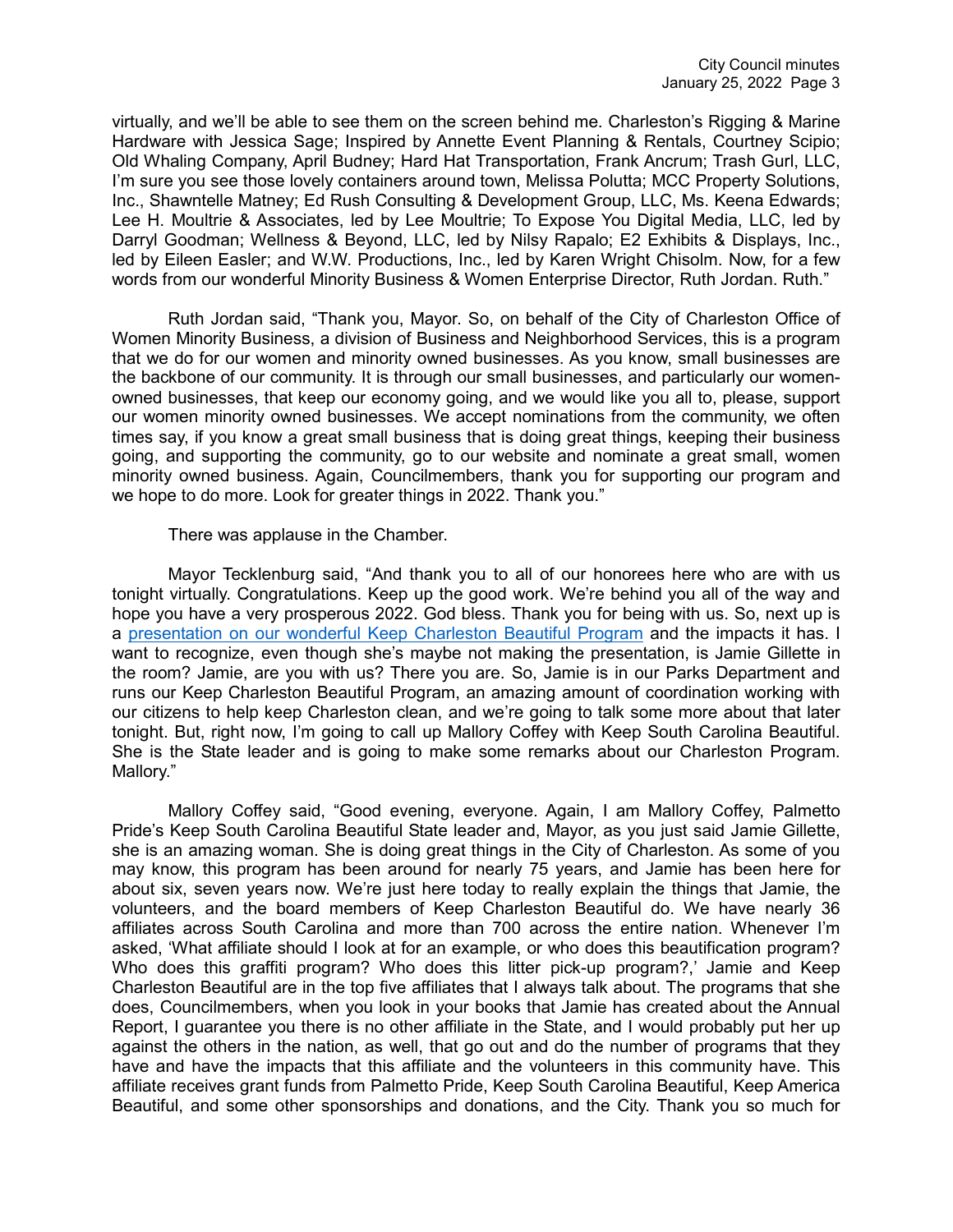virtually, and we'll be able to see them on the screen behind me. Charleston's Rigging & Marine Hardware with Jessica Sage; Inspired by Annette Event Planning & Rentals, Courtney Scipio; Old Whaling Company, April Budney; Hard Hat Transportation, Frank Ancrum; Trash Gurl, LLC, I'm sure you see those lovely containers around town, Melissa Polutta; MCC Property Solutions, Inc., Shawntelle Matney; Ed Rush Consulting & Development Group, LLC, Ms. Keena Edwards; Lee H. Moultrie & Associates, led by Lee Moultrie; To Expose You Digital Media, LLC, led by Darryl Goodman; Wellness & Beyond, LLC, led by Nilsy Rapalo; E2 Exhibits & Displays, Inc., led by Eileen Easler; and W.W. Productions, Inc., led by Karen Wright Chisolm. Now, for a few words from our wonderful Minority Business & Women Enterprise Director, Ruth Jordan. Ruth."

Ruth Jordan said, "Thank you, Mayor. So, on behalf of the City of Charleston Office of Women Minority Business, a division of Business and Neighborhood Services, this is a program that we do for our women and minority owned businesses. As you know, small businesses are the backbone of our community. It is through our small businesses, and particularly our womenowned businesses, that keep our economy going, and we would like you all to, please, support our women minority owned businesses. We accept nominations from the community, we often times say, if you know a great small business that is doing great things, keeping their business going, and supporting the community, go to our website and nominate a great small, women minority owned business. Again, Councilmembers, thank you for supporting our program and we hope to do more. Look for greater things in 2022. Thank you."

There was applause in the Chamber.

Mayor Tecklenburg said, "And thank you to all of our honorees here who are with us tonight virtually. Congratulations. Keep up the good work. We're behind you all of the way and hope you have a very prosperous 2022. God bless. Thank you for being with us. So, next up is a [presentation on our wonderful Keep Charleston Beautiful Program](https://youtu.be/RQy-2ofNSXI?t=668) and the impacts it has. I want to recognize, even though she's maybe not making the presentation, is Jamie Gillette in the room? Jamie, are you with us? There you are. So, Jamie is in our Parks Department and runs our Keep Charleston Beautiful Program, an amazing amount of coordination working with our citizens to help keep Charleston clean, and we're going to talk some more about that later tonight. But, right now, I'm going to call up Mallory Coffey with Keep South Carolina Beautiful. She is the State leader and is going to make some remarks about our Charleston Program. Mallory."

Mallory Coffey said, "Good evening, everyone. Again, I am Mallory Coffey, Palmetto Pride's Keep South Carolina Beautiful State leader and, Mayor, as you just said Jamie Gillette, she is an amazing woman. She is doing great things in the City of Charleston. As some of you may know, this program has been around for nearly 75 years, and Jamie has been here for about six, seven years now. We're just here today to really explain the things that Jamie, the volunteers, and the board members of Keep Charleston Beautiful do. We have nearly 36 affiliates across South Carolina and more than 700 across the entire nation. Whenever I'm asked, 'What affiliate should I look at for an example, or who does this beautification program? Who does this graffiti program? Who does this litter pick-up program?,' Jamie and Keep Charleston Beautiful are in the top five affiliates that I always talk about. The programs that she does, Councilmembers, when you look in your books that Jamie has created about the Annual Report, I guarantee you there is no other affiliate in the State, and I would probably put her up against the others in the nation, as well, that go out and do the number of programs that they have and have the impacts that this affiliate and the volunteers in this community have. This affiliate receives grant funds from Palmetto Pride, Keep South Carolina Beautiful, Keep America Beautiful, and some other sponsorships and donations, and the City. Thank you so much for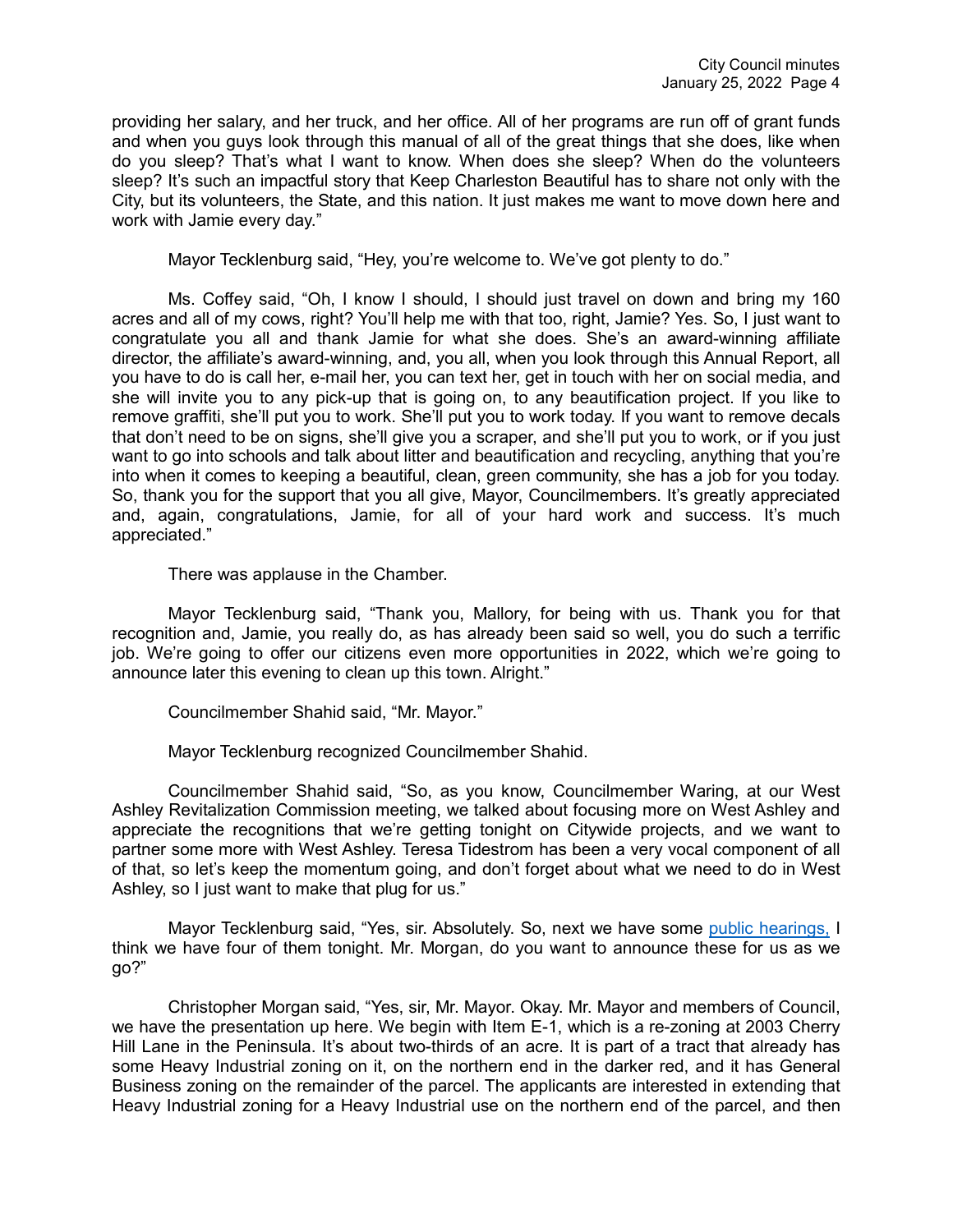providing her salary, and her truck, and her office. All of her programs are run off of grant funds and when you guys look through this manual of all of the great things that she does, like when do you sleep? That's what I want to know. When does she sleep? When do the volunteers sleep? It's such an impactful story that Keep Charleston Beautiful has to share not only with the City, but its volunteers, the State, and this nation. It just makes me want to move down here and work with Jamie every day."

Mayor Tecklenburg said, "Hey, you're welcome to. We've got plenty to do."

Ms. Coffey said, "Oh, I know I should, I should just travel on down and bring my 160 acres and all of my cows, right? You'll help me with that too, right, Jamie? Yes. So, I just want to congratulate you all and thank Jamie for what she does. She's an award-winning affiliate director, the affiliate's award-winning, and, you all, when you look through this Annual Report, all you have to do is call her, e-mail her, you can text her, get in touch with her on social media, and she will invite you to any pick-up that is going on, to any beautification project. If you like to remove graffiti, she'll put you to work. She'll put you to work today. If you want to remove decals that don't need to be on signs, she'll give you a scraper, and she'll put you to work, or if you just want to go into schools and talk about litter and beautification and recycling, anything that you're into when it comes to keeping a beautiful, clean, green community, she has a job for you today. So, thank you for the support that you all give, Mayor, Councilmembers. It's greatly appreciated and, again, congratulations, Jamie, for all of your hard work and success. It's much appreciated."

There was applause in the Chamber.

Mayor Tecklenburg said, "Thank you, Mallory, for being with us. Thank you for that recognition and, Jamie, you really do, as has already been said so well, you do such a terrific job. We're going to offer our citizens even more opportunities in 2022, which we're going to announce later this evening to clean up this town. Alright."

Councilmember Shahid said, "Mr. Mayor."

Mayor Tecklenburg recognized Councilmember Shahid.

Councilmember Shahid said, "So, as you know, Councilmember Waring, at our West Ashley Revitalization Commission meeting, we talked about focusing more on West Ashley and appreciate the recognitions that we're getting tonight on Citywide projects, and we want to partner some more with West Ashley. Teresa Tidestrom has been a very vocal component of all of that, so let's keep the momentum going, and don't forget about what we need to do in West Ashley, so I just want to make that plug for us."

Mayor Tecklenburg said, "Yes, sir. Absolutely. So, next we have some [public hearings,](https://youtu.be/RQy-2ofNSXI?t=969) I think we have four of them tonight. Mr. Morgan, do you want to announce these for us as we go?"

Christopher Morgan said, "Yes, sir, Mr. Mayor. Okay. Mr. Mayor and members of Council, we have the presentation up here. We begin with Item E-1, which is a re-zoning at 2003 Cherry Hill Lane in the Peninsula. It's about two-thirds of an acre. It is part of a tract that already has some Heavy Industrial zoning on it, on the northern end in the darker red, and it has General Business zoning on the remainder of the parcel. The applicants are interested in extending that Heavy Industrial zoning for a Heavy Industrial use on the northern end of the parcel, and then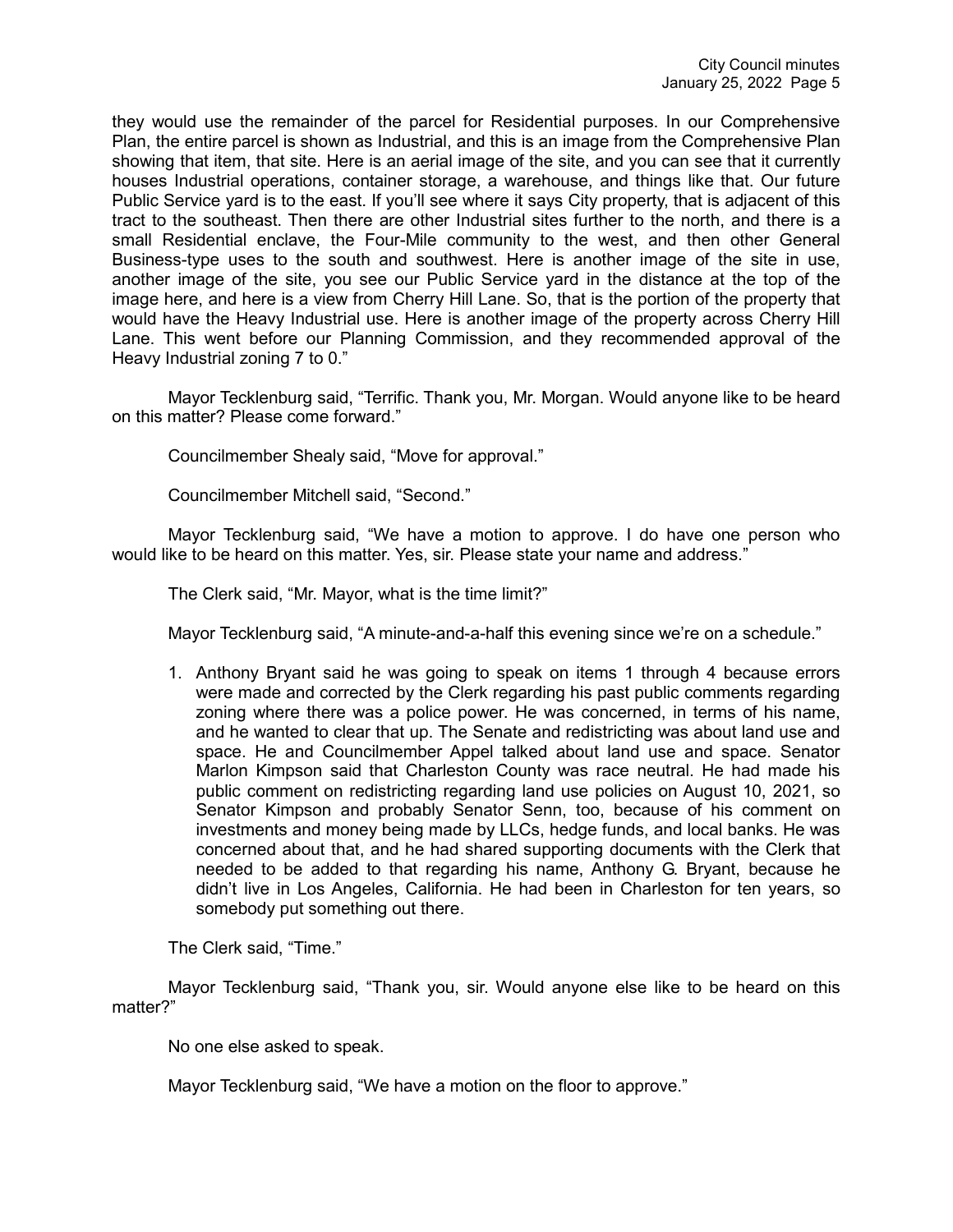they would use the remainder of the parcel for Residential purposes. In our Comprehensive Plan, the entire parcel is shown as Industrial, and this is an image from the Comprehensive Plan showing that item, that site. Here is an aerial image of the site, and you can see that it currently houses Industrial operations, container storage, a warehouse, and things like that. Our future Public Service yard is to the east. If you'll see where it says City property, that is adjacent of this tract to the southeast. Then there are other Industrial sites further to the north, and there is a small Residential enclave, the Four-Mile community to the west, and then other General Business-type uses to the south and southwest. Here is another image of the site in use, another image of the site, you see our Public Service yard in the distance at the top of the image here, and here is a view from Cherry Hill Lane. So, that is the portion of the property that would have the Heavy Industrial use. Here is another image of the property across Cherry Hill Lane. This went before our Planning Commission, and they recommended approval of the Heavy Industrial zoning 7 to 0."

Mayor Tecklenburg said, "Terrific. Thank you, Mr. Morgan. Would anyone like to be heard on this matter? Please come forward."

Councilmember Shealy said, "Move for approval."

Councilmember Mitchell said, "Second."

Mayor Tecklenburg said, "We have a motion to approve. I do have one person who would like to be heard on this matter. Yes, sir. Please state your name and address."

The Clerk said, "Mr. Mayor, what is the time limit?"

Mayor Tecklenburg said, "A minute-and-a-half this evening since we're on a schedule."

1. Anthony Bryant said he was going to speak on items 1 through 4 because errors were made and corrected by the Clerk regarding his past public comments regarding zoning where there was a police power. He was concerned, in terms of his name, and he wanted to clear that up. The Senate and redistricting was about land use and space. He and Councilmember Appel talked about land use and space. Senator Marlon Kimpson said that Charleston County was race neutral. He had made his public comment on redistricting regarding land use policies on August 10, 2021, so Senator Kimpson and probably Senator Senn, too, because of his comment on investments and money being made by LLCs, hedge funds, and local banks. He was concerned about that, and he had shared supporting documents with the Clerk that needed to be added to that regarding his name, Anthony G. Bryant, because he didn't live in Los Angeles, California. He had been in Charleston for ten years, so somebody put something out there.

The Clerk said, "Time."

Mayor Tecklenburg said, "Thank you, sir. Would anyone else like to be heard on this matter?"

No one else asked to speak.

Mayor Tecklenburg said, "We have a motion on the floor to approve."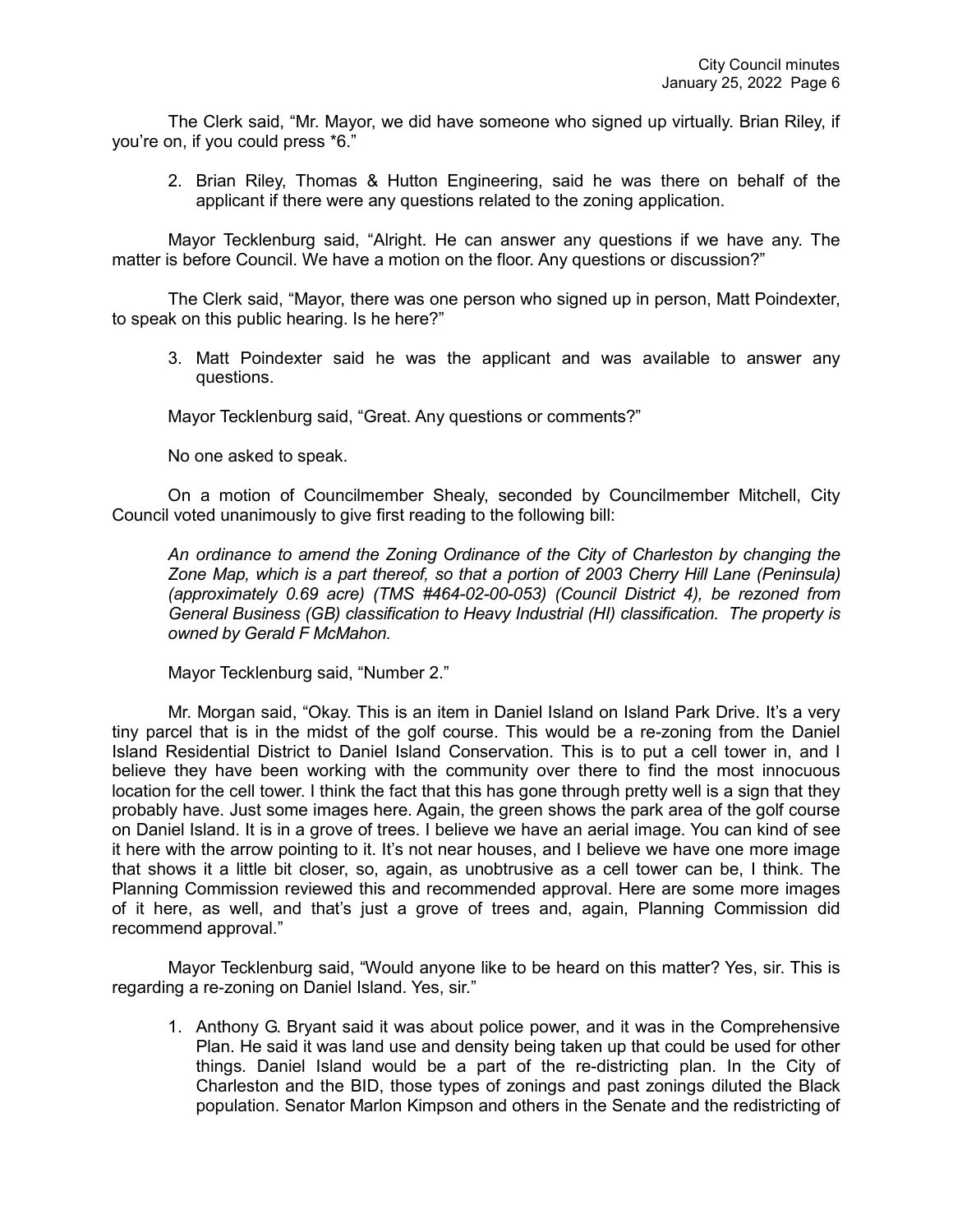The Clerk said, "Mr. Mayor, we did have someone who signed up virtually. Brian Riley, if you're on, if you could press \*6."

2. Brian Riley, Thomas & Hutton Engineering, said he was there on behalf of the applicant if there were any questions related to the zoning application.

Mayor Tecklenburg said, "Alright. He can answer any questions if we have any. The matter is before Council. We have a motion on the floor. Any questions or discussion?"

The Clerk said, "Mayor, there was one person who signed up in person, Matt Poindexter, to speak on this public hearing. Is he here?"

3. Matt Poindexter said he was the applicant and was available to answer any questions.

Mayor Tecklenburg said, "Great. Any questions or comments?"

No one asked to speak.

On a motion of Councilmember Shealy, seconded by Councilmember Mitchell, City Council voted unanimously to give first reading to the following bill:

*An ordinance to amend the Zoning Ordinance of the City of Charleston by changing the Zone Map, which is a part thereof, so that a portion of 2003 Cherry Hill Lane (Peninsula) (approximately 0.69 acre) (TMS #464-02-00-053) (Council District 4), be rezoned from General Business (GB) classification to Heavy Industrial (HI) classification. The property is owned by Gerald F McMahon.*

Mayor Tecklenburg said, "Number 2."

Mr. Morgan said, "Okay. This is an item in Daniel Island on Island Park Drive. It's a very tiny parcel that is in the midst of the golf course. This would be a re-zoning from the Daniel Island Residential District to Daniel Island Conservation. This is to put a cell tower in, and I believe they have been working with the community over there to find the most innocuous location for the cell tower. I think the fact that this has gone through pretty well is a sign that they probably have. Just some images here. Again, the green shows the park area of the golf course on Daniel Island. It is in a grove of trees. I believe we have an aerial image. You can kind of see it here with the arrow pointing to it. It's not near houses, and I believe we have one more image that shows it a little bit closer, so, again, as unobtrusive as a cell tower can be, I think. The Planning Commission reviewed this and recommended approval. Here are some more images of it here, as well, and that's just a grove of trees and, again, Planning Commission did recommend approval."

Mayor Tecklenburg said, "Would anyone like to be heard on this matter? Yes, sir. This is regarding a re-zoning on Daniel Island. Yes, sir."

1. Anthony G. Bryant said it was about police power, and it was in the Comprehensive Plan. He said it was land use and density being taken up that could be used for other things. Daniel Island would be a part of the re-districting plan. In the City of Charleston and the BID, those types of zonings and past zonings diluted the Black population. Senator Marlon Kimpson and others in the Senate and the redistricting of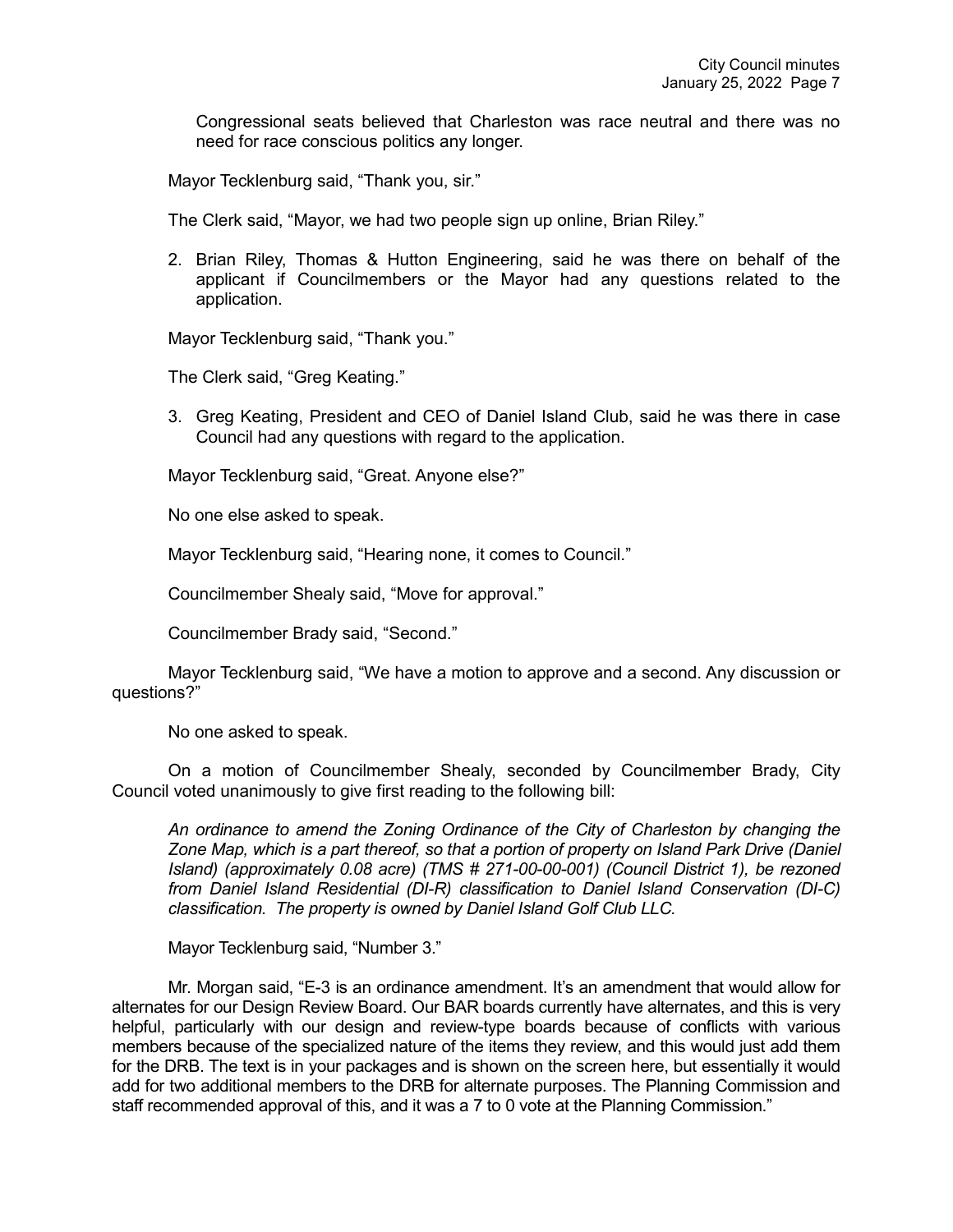Congressional seats believed that Charleston was race neutral and there was no need for race conscious politics any longer.

Mayor Tecklenburg said, "Thank you, sir."

The Clerk said, "Mayor, we had two people sign up online, Brian Riley."

2. Brian Riley, Thomas & Hutton Engineering, said he was there on behalf of the applicant if Councilmembers or the Mayor had any questions related to the application.

Mayor Tecklenburg said, "Thank you."

The Clerk said, "Greg Keating."

3. Greg Keating, President and CEO of Daniel Island Club, said he was there in case Council had any questions with regard to the application.

Mayor Tecklenburg said, "Great. Anyone else?"

No one else asked to speak.

Mayor Tecklenburg said, "Hearing none, it comes to Council."

Councilmember Shealy said, "Move for approval."

Councilmember Brady said, "Second."

Mayor Tecklenburg said, "We have a motion to approve and a second. Any discussion or questions?"

No one asked to speak.

On a motion of Councilmember Shealy, seconded by Councilmember Brady, City Council voted unanimously to give first reading to the following bill:

*An ordinance to amend the Zoning Ordinance of the City of Charleston by changing the Zone Map, which is a part thereof, so that a portion of property on Island Park Drive (Daniel Island) (approximately 0.08 acre) (TMS # 271-00-00-001) (Council District 1), be rezoned from Daniel Island Residential (DI-R) classification to Daniel Island Conservation (DI-C) classification. The property is owned by Daniel Island Golf Club LLC.*

Mayor Tecklenburg said, "Number 3."

Mr. Morgan said, "E-3 is an ordinance amendment. It's an amendment that would allow for alternates for our Design Review Board. Our BAR boards currently have alternates, and this is very helpful, particularly with our design and review-type boards because of conflicts with various members because of the specialized nature of the items they review, and this would just add them for the DRB. The text is in your packages and is shown on the screen here, but essentially it would add for two additional members to the DRB for alternate purposes. The Planning Commission and staff recommended approval of this, and it was a 7 to 0 vote at the Planning Commission."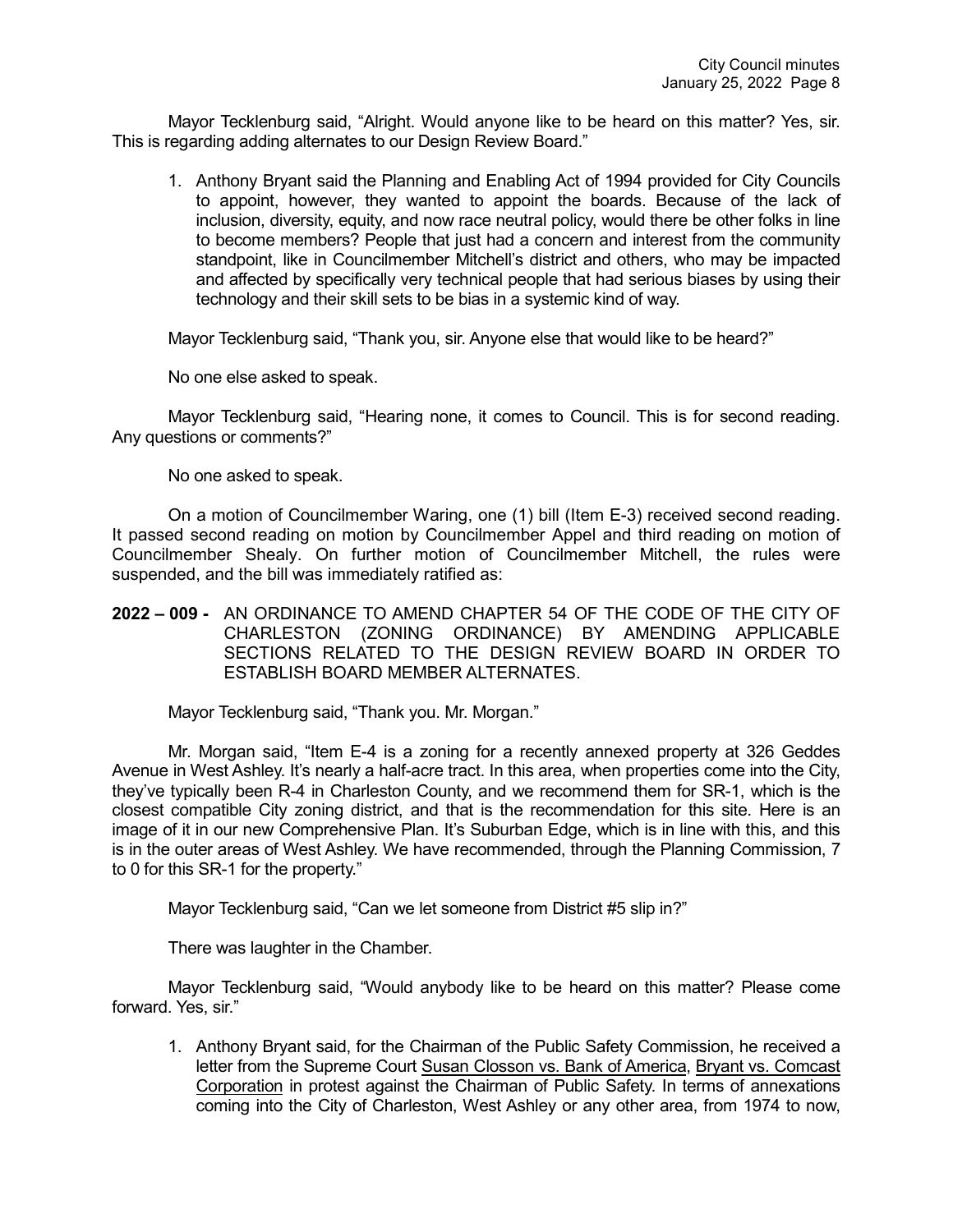Mayor Tecklenburg said, "Alright. Would anyone like to be heard on this matter? Yes, sir. This is regarding adding alternates to our Design Review Board."

1. Anthony Bryant said the Planning and Enabling Act of 1994 provided for City Councils to appoint, however, they wanted to appoint the boards. Because of the lack of inclusion, diversity, equity, and now race neutral policy, would there be other folks in line to become members? People that just had a concern and interest from the community standpoint, like in Councilmember Mitchell's district and others, who may be impacted and affected by specifically very technical people that had serious biases by using their technology and their skill sets to be bias in a systemic kind of way.

Mayor Tecklenburg said, "Thank you, sir. Anyone else that would like to be heard?"

No one else asked to speak.

Mayor Tecklenburg said, "Hearing none, it comes to Council. This is for second reading. Any questions or comments?"

No one asked to speak.

On a motion of Councilmember Waring, one (1) bill (Item E-3) received second reading. It passed second reading on motion by Councilmember Appel and third reading on motion of Councilmember Shealy. On further motion of Councilmember Mitchell, the rules were suspended, and the bill was immediately ratified as:

**2022 – 009 -** AN ORDINANCE TO AMEND CHAPTER 54 OF THE CODE OF THE CITY OF CHARLESTON (ZONING ORDINANCE) BY AMENDING APPLICABLE SECTIONS RELATED TO THE DESIGN REVIEW BOARD IN ORDER TO ESTABLISH BOARD MEMBER ALTERNATES.

Mayor Tecklenburg said, "Thank you. Mr. Morgan."

Mr. Morgan said, "Item E-4 is a zoning for a recently annexed property at 326 Geddes Avenue in West Ashley. It's nearly a half-acre tract. In this area, when properties come into the City, they've typically been R-4 in Charleston County, and we recommend them for SR-1, which is the closest compatible City zoning district, and that is the recommendation for this site. Here is an image of it in our new Comprehensive Plan. It's Suburban Edge, which is in line with this, and this is in the outer areas of West Ashley. We have recommended, through the Planning Commission, 7 to 0 for this SR-1 for the property."

Mayor Tecklenburg said, "Can we let someone from District #5 slip in?"

There was laughter in the Chamber.

Mayor Tecklenburg said, "Would anybody like to be heard on this matter? Please come forward. Yes, sir."

1. Anthony Bryant said, for the Chairman of the Public Safety Commission, he received a letter from the Supreme Court Susan Closson vs. Bank of America, Bryant vs. Comcast Corporation in protest against the Chairman of Public Safety. In terms of annexations coming into the City of Charleston, West Ashley or any other area, from 1974 to now,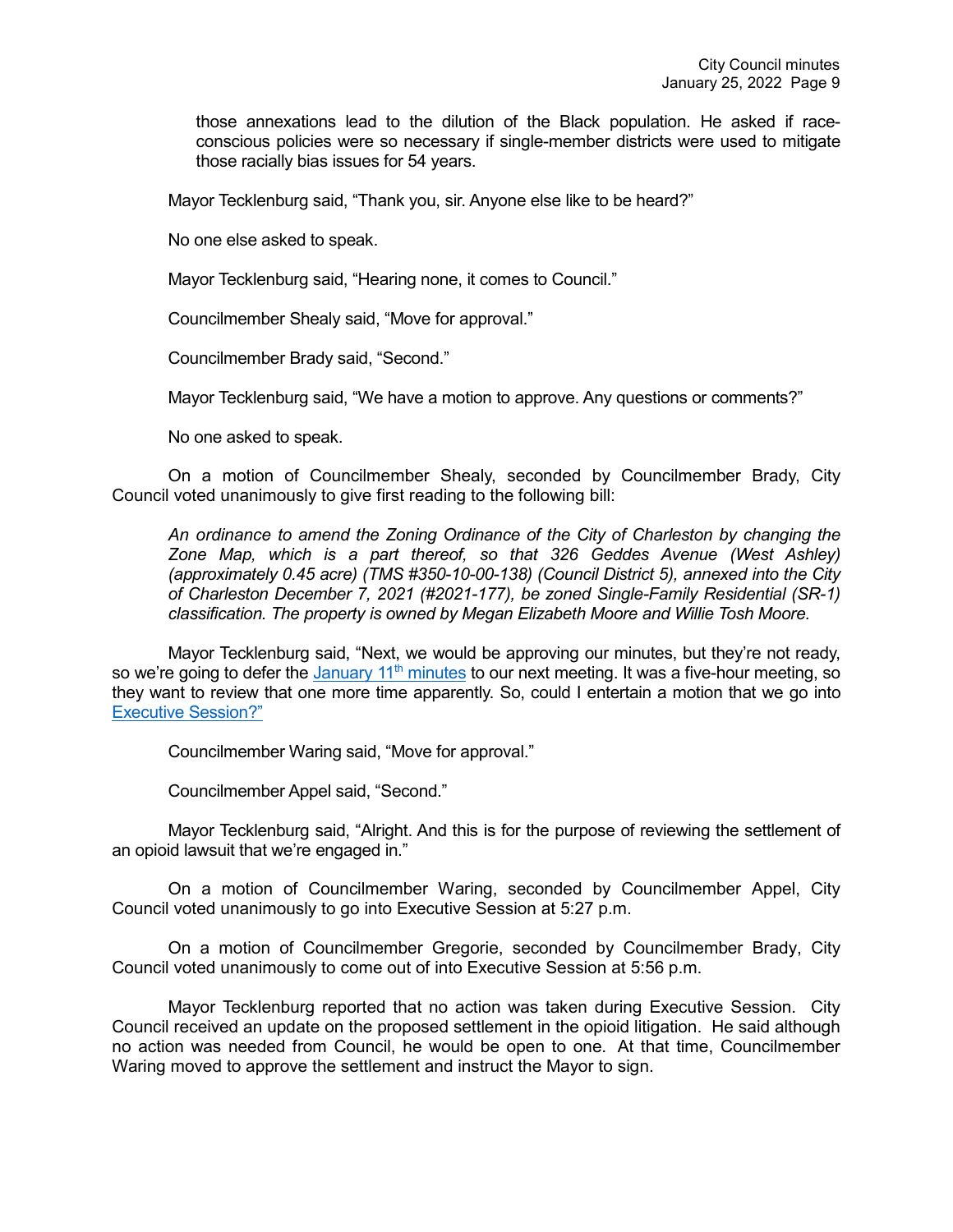those annexations lead to the dilution of the Black population. He asked if raceconscious policies were so necessary if single-member districts were used to mitigate those racially bias issues for 54 years.

Mayor Tecklenburg said, "Thank you, sir. Anyone else like to be heard?"

No one else asked to speak.

Mayor Tecklenburg said, "Hearing none, it comes to Council."

Councilmember Shealy said, "Move for approval."

Councilmember Brady said, "Second."

Mayor Tecklenburg said, "We have a motion to approve. Any questions or comments?"

No one asked to speak.

On a motion of Councilmember Shealy, seconded by Councilmember Brady, City Council voted unanimously to give first reading to the following bill:

*An ordinance to amend the Zoning Ordinance of the City of Charleston by changing the Zone Map, which is a part thereof, so that 326 Geddes Avenue (West Ashley) (approximately 0.45 acre) (TMS #350-10-00-138) (Council District 5), annexed into the City of Charleston December 7, 2021 (#2021-177), be zoned Single-Family Residential (SR-1) classification. The property is owned by Megan Elizabeth Moore and Willie Tosh Moore.*

Mayor Tecklenburg said, "Next, we would be approving our minutes, but they're not ready, so we're going to defer the January 11<sup>th</sup> minutes to our next meeting. It was a five-hour meeting, so they want to review that one more time apparently. So, could I entertain a motion that we go into [Executive Session?"](https://youtu.be/RQy-2ofNSXI?t=1762)

Councilmember Waring said, "Move for approval."

Councilmember Appel said, "Second."

Mayor Tecklenburg said, "Alright. And this is for the purpose of reviewing the settlement of an opioid lawsuit that we're engaged in."

On a motion of Councilmember Waring, seconded by Councilmember Appel, City Council voted unanimously to go into Executive Session at 5:27 p.m.

On a motion of Councilmember Gregorie, seconded by Councilmember Brady, City Council voted unanimously to come out of into Executive Session at 5:56 p.m.

Mayor Tecklenburg reported that no action was taken during Executive Session. City Council received an update on the proposed settlement in the opioid litigation. He said although no action was needed from Council, he would be open to one. At that time, Councilmember Waring moved to approve the settlement and instruct the Mayor to sign.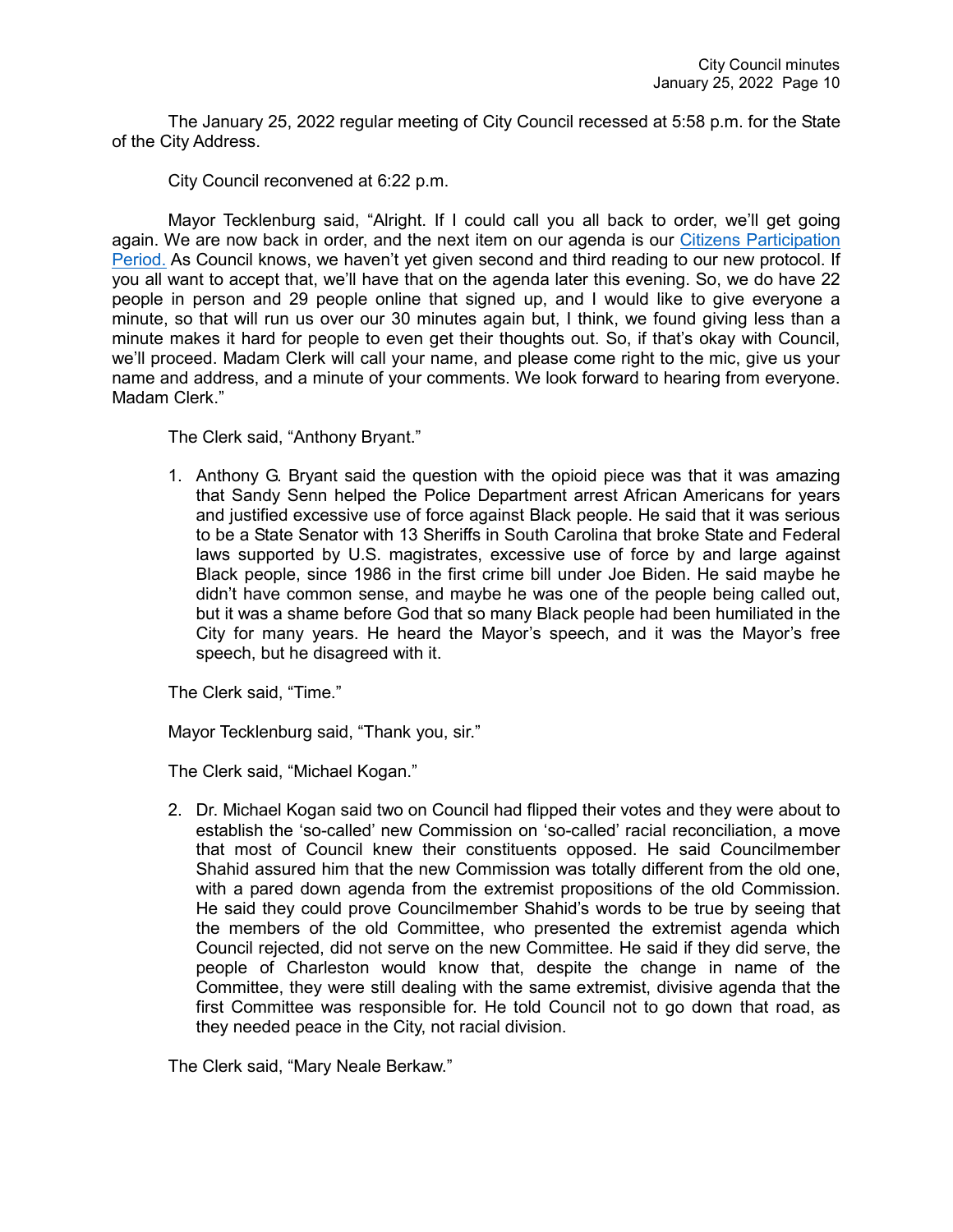The January 25, 2022 regular meeting of City Council recessed at 5:58 p.m. for the State of the City Address.

City Council reconvened at 6:22 p.m.

Mayor Tecklenburg said, "Alright. If I could call you all back to order, we'll get going again. We are now back in order, and the next item on our agenda is our [Citizens Participation](https://youtu.be/RQy-2ofNSXI?t=5040)  [Period.](https://youtu.be/RQy-2ofNSXI?t=5040) As Council knows, we haven't yet given second and third reading to our new protocol. If you all want to accept that, we'll have that on the agenda later this evening. So, we do have 22 people in person and 29 people online that signed up, and I would like to give everyone a minute, so that will run us over our 30 minutes again but, I think, we found giving less than a minute makes it hard for people to even get their thoughts out. So, if that's okay with Council, we'll proceed. Madam Clerk will call your name, and please come right to the mic, give us your name and address, and a minute of your comments. We look forward to hearing from everyone. Madam Clerk."

The Clerk said, "Anthony Bryant."

1. Anthony G. Bryant said the question with the opioid piece was that it was amazing that Sandy Senn helped the Police Department arrest African Americans for years and justified excessive use of force against Black people. He said that it was serious to be a State Senator with 13 Sheriffs in South Carolina that broke State and Federal laws supported by U.S. magistrates, excessive use of force by and large against Black people, since 1986 in the first crime bill under Joe Biden. He said maybe he didn't have common sense, and maybe he was one of the people being called out, but it was a shame before God that so many Black people had been humiliated in the City for many years. He heard the Mayor's speech, and it was the Mayor's free speech, but he disagreed with it.

The Clerk said, "Time."

Mayor Tecklenburg said, "Thank you, sir."

The Clerk said, "Michael Kogan."

2. Dr. Michael Kogan said two on Council had flipped their votes and they were about to establish the 'so-called' new Commission on 'so-called' racial reconciliation, a move that most of Council knew their constituents opposed. He said Councilmember Shahid assured him that the new Commission was totally different from the old one, with a pared down agenda from the extremist propositions of the old Commission. He said they could prove Councilmember Shahid's words to be true by seeing that the members of the old Committee, who presented the extremist agenda which Council rejected, did not serve on the new Committee. He said if they did serve, the people of Charleston would know that, despite the change in name of the Committee, they were still dealing with the same extremist, divisive agenda that the first Committee was responsible for. He told Council not to go down that road, as they needed peace in the City, not racial division.

The Clerk said, "Mary Neale Berkaw."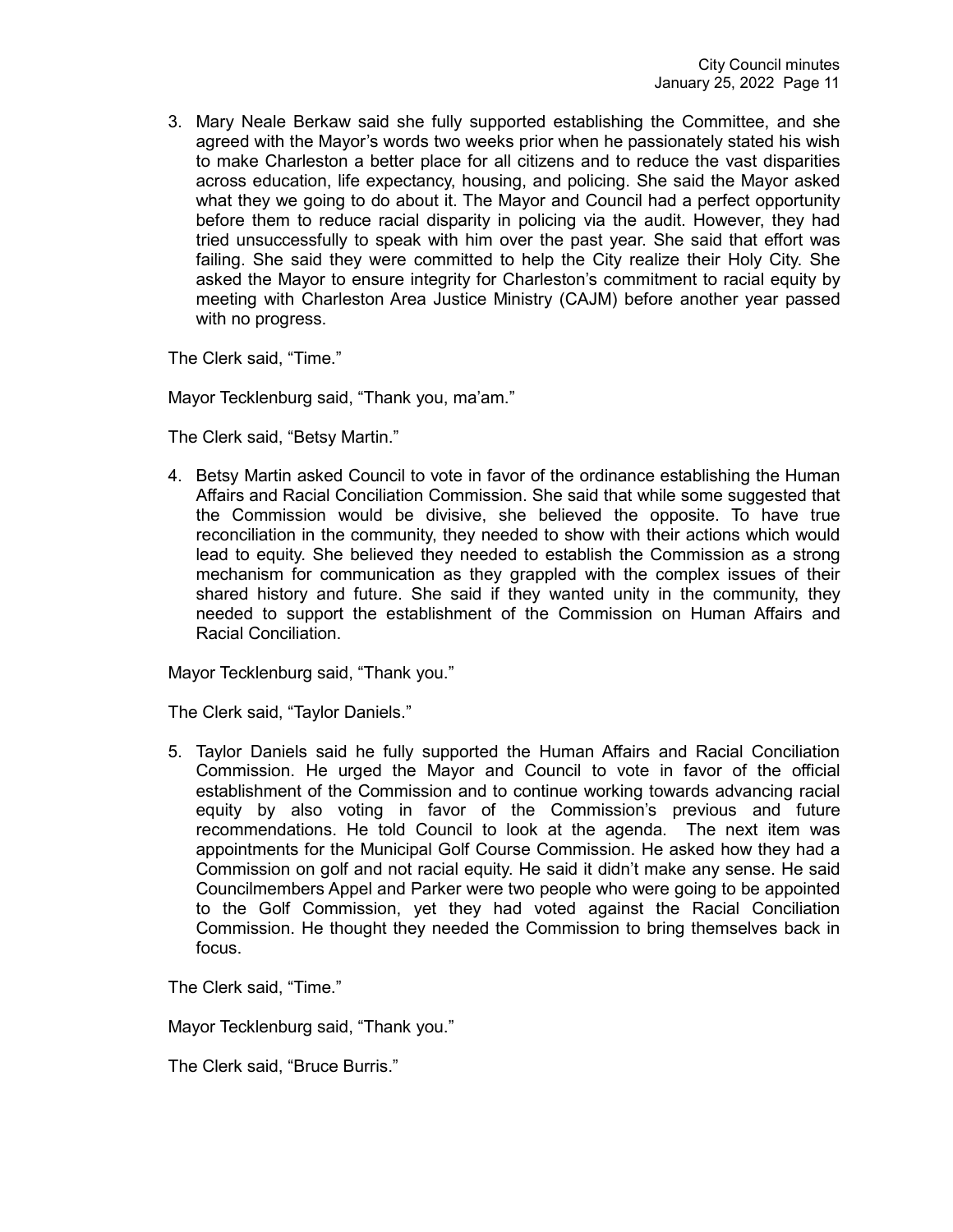3. Mary Neale Berkaw said she fully supported establishing the Committee, and she agreed with the Mayor's words two weeks prior when he passionately stated his wish to make Charleston a better place for all citizens and to reduce the vast disparities across education, life expectancy, housing, and policing. She said the Mayor asked what they we going to do about it. The Mayor and Council had a perfect opportunity before them to reduce racial disparity in policing via the audit. However, they had tried unsuccessfully to speak with him over the past year. She said that effort was failing. She said they were committed to help the City realize their Holy City. She asked the Mayor to ensure integrity for Charleston's commitment to racial equity by meeting with Charleston Area Justice Ministry (CAJM) before another year passed with no progress.

The Clerk said, "Time."

Mayor Tecklenburg said, "Thank you, ma'am."

The Clerk said, "Betsy Martin."

4. Betsy Martin asked Council to vote in favor of the ordinance establishing the Human Affairs and Racial Conciliation Commission. She said that while some suggested that the Commission would be divisive, she believed the opposite. To have true reconciliation in the community, they needed to show with their actions which would lead to equity. She believed they needed to establish the Commission as a strong mechanism for communication as they grappled with the complex issues of their shared history and future. She said if they wanted unity in the community, they needed to support the establishment of the Commission on Human Affairs and Racial Conciliation.

Mayor Tecklenburg said, "Thank you."

The Clerk said, "Taylor Daniels."

5. Taylor Daniels said he fully supported the Human Affairs and Racial Conciliation Commission. He urged the Mayor and Council to vote in favor of the official establishment of the Commission and to continue working towards advancing racial equity by also voting in favor of the Commission's previous and future recommendations. He told Council to look at the agenda. The next item was appointments for the Municipal Golf Course Commission. He asked how they had a Commission on golf and not racial equity. He said it didn't make any sense. He said Councilmembers Appel and Parker were two people who were going to be appointed to the Golf Commission, yet they had voted against the Racial Conciliation Commission. He thought they needed the Commission to bring themselves back in focus.

The Clerk said, "Time."

Mayor Tecklenburg said, "Thank you."

The Clerk said, "Bruce Burris."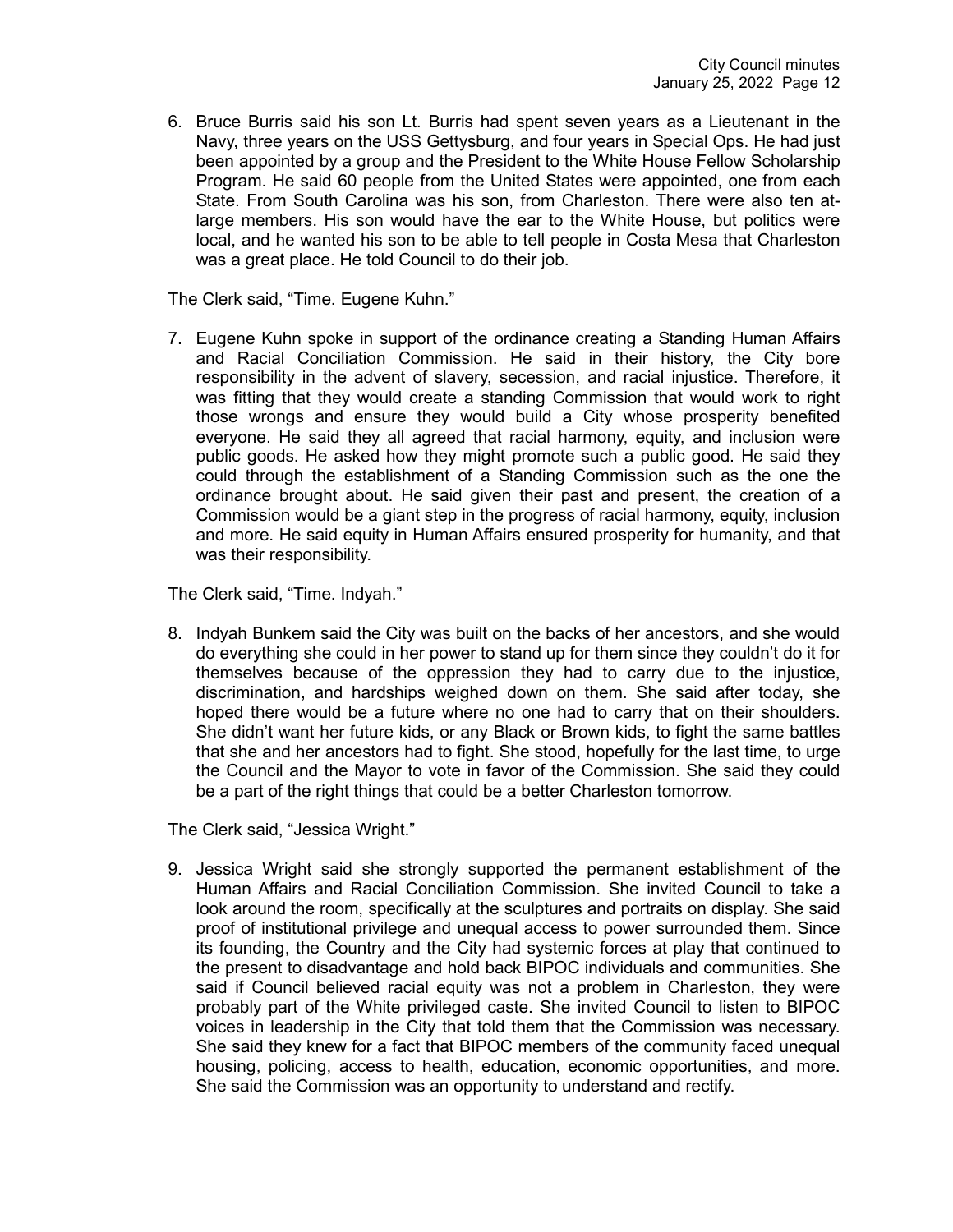6. Bruce Burris said his son Lt. Burris had spent seven years as a Lieutenant in the Navy, three years on the USS Gettysburg, and four years in Special Ops. He had just been appointed by a group and the President to the White House Fellow Scholarship Program. He said 60 people from the United States were appointed, one from each State. From South Carolina was his son, from Charleston. There were also ten atlarge members. His son would have the ear to the White House, but politics were local, and he wanted his son to be able to tell people in Costa Mesa that Charleston was a great place. He told Council to do their job.

The Clerk said, "Time. Eugene Kuhn."

7. Eugene Kuhn spoke in support of the ordinance creating a Standing Human Affairs and Racial Conciliation Commission. He said in their history, the City bore responsibility in the advent of slavery, secession, and racial injustice. Therefore, it was fitting that they would create a standing Commission that would work to right those wrongs and ensure they would build a City whose prosperity benefited everyone. He said they all agreed that racial harmony, equity, and inclusion were public goods. He asked how they might promote such a public good. He said they could through the establishment of a Standing Commission such as the one the ordinance brought about. He said given their past and present, the creation of a Commission would be a giant step in the progress of racial harmony, equity, inclusion and more. He said equity in Human Affairs ensured prosperity for humanity, and that was their responsibility.

The Clerk said, "Time. Indyah."

8. Indyah Bunkem said the City was built on the backs of her ancestors, and she would do everything she could in her power to stand up for them since they couldn't do it for themselves because of the oppression they had to carry due to the injustice, discrimination, and hardships weighed down on them. She said after today, she hoped there would be a future where no one had to carry that on their shoulders. She didn't want her future kids, or any Black or Brown kids, to fight the same battles that she and her ancestors had to fight. She stood, hopefully for the last time, to urge the Council and the Mayor to vote in favor of the Commission. She said they could be a part of the right things that could be a better Charleston tomorrow.

The Clerk said, "Jessica Wright."

9. Jessica Wright said she strongly supported the permanent establishment of the Human Affairs and Racial Conciliation Commission. She invited Council to take a look around the room, specifically at the sculptures and portraits on display. She said proof of institutional privilege and unequal access to power surrounded them. Since its founding, the Country and the City had systemic forces at play that continued to the present to disadvantage and hold back BIPOC individuals and communities. She said if Council believed racial equity was not a problem in Charleston, they were probably part of the White privileged caste. She invited Council to listen to BIPOC voices in leadership in the City that told them that the Commission was necessary. She said they knew for a fact that BIPOC members of the community faced unequal housing, policing, access to health, education, economic opportunities, and more. She said the Commission was an opportunity to understand and rectify.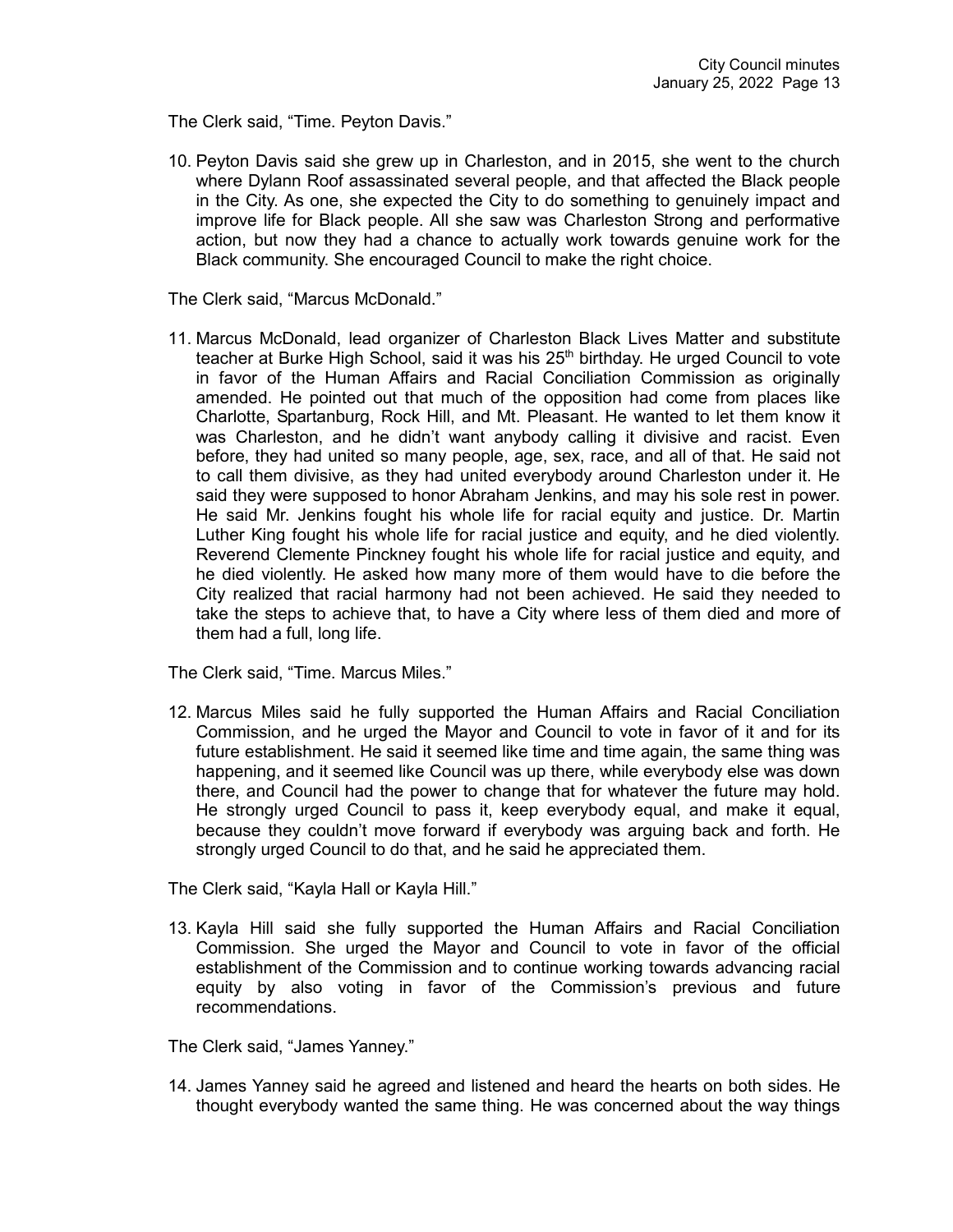The Clerk said, "Time. Peyton Davis."

10. Peyton Davis said she grew up in Charleston, and in 2015, she went to the church where Dylann Roof assassinated several people, and that affected the Black people in the City. As one, she expected the City to do something to genuinely impact and improve life for Black people. All she saw was Charleston Strong and performative action, but now they had a chance to actually work towards genuine work for the Black community. She encouraged Council to make the right choice.

The Clerk said, "Marcus McDonald."

11. Marcus McDonald, lead organizer of Charleston Black Lives Matter and substitute teacher at Burke High School, said it was his 25<sup>th</sup> birthday. He urged Council to vote in favor of the Human Affairs and Racial Conciliation Commission as originally amended. He pointed out that much of the opposition had come from places like Charlotte, Spartanburg, Rock Hill, and Mt. Pleasant. He wanted to let them know it was Charleston, and he didn't want anybody calling it divisive and racist. Even before, they had united so many people, age, sex, race, and all of that. He said not to call them divisive, as they had united everybody around Charleston under it. He said they were supposed to honor Abraham Jenkins, and may his sole rest in power. He said Mr. Jenkins fought his whole life for racial equity and justice. Dr. Martin Luther King fought his whole life for racial justice and equity, and he died violently. Reverend Clemente Pinckney fought his whole life for racial justice and equity, and he died violently. He asked how many more of them would have to die before the City realized that racial harmony had not been achieved. He said they needed to take the steps to achieve that, to have a City where less of them died and more of them had a full, long life.

The Clerk said, "Time. Marcus Miles."

12. Marcus Miles said he fully supported the Human Affairs and Racial Conciliation Commission, and he urged the Mayor and Council to vote in favor of it and for its future establishment. He said it seemed like time and time again, the same thing was happening, and it seemed like Council was up there, while everybody else was down there, and Council had the power to change that for whatever the future may hold. He strongly urged Council to pass it, keep everybody equal, and make it equal, because they couldn't move forward if everybody was arguing back and forth. He strongly urged Council to do that, and he said he appreciated them.

The Clerk said, "Kayla Hall or Kayla Hill."

13. Kayla Hill said she fully supported the Human Affairs and Racial Conciliation Commission. She urged the Mayor and Council to vote in favor of the official establishment of the Commission and to continue working towards advancing racial equity by also voting in favor of the Commission's previous and future recommendations.

The Clerk said, "James Yanney."

14. James Yanney said he agreed and listened and heard the hearts on both sides. He thought everybody wanted the same thing. He was concerned about the way things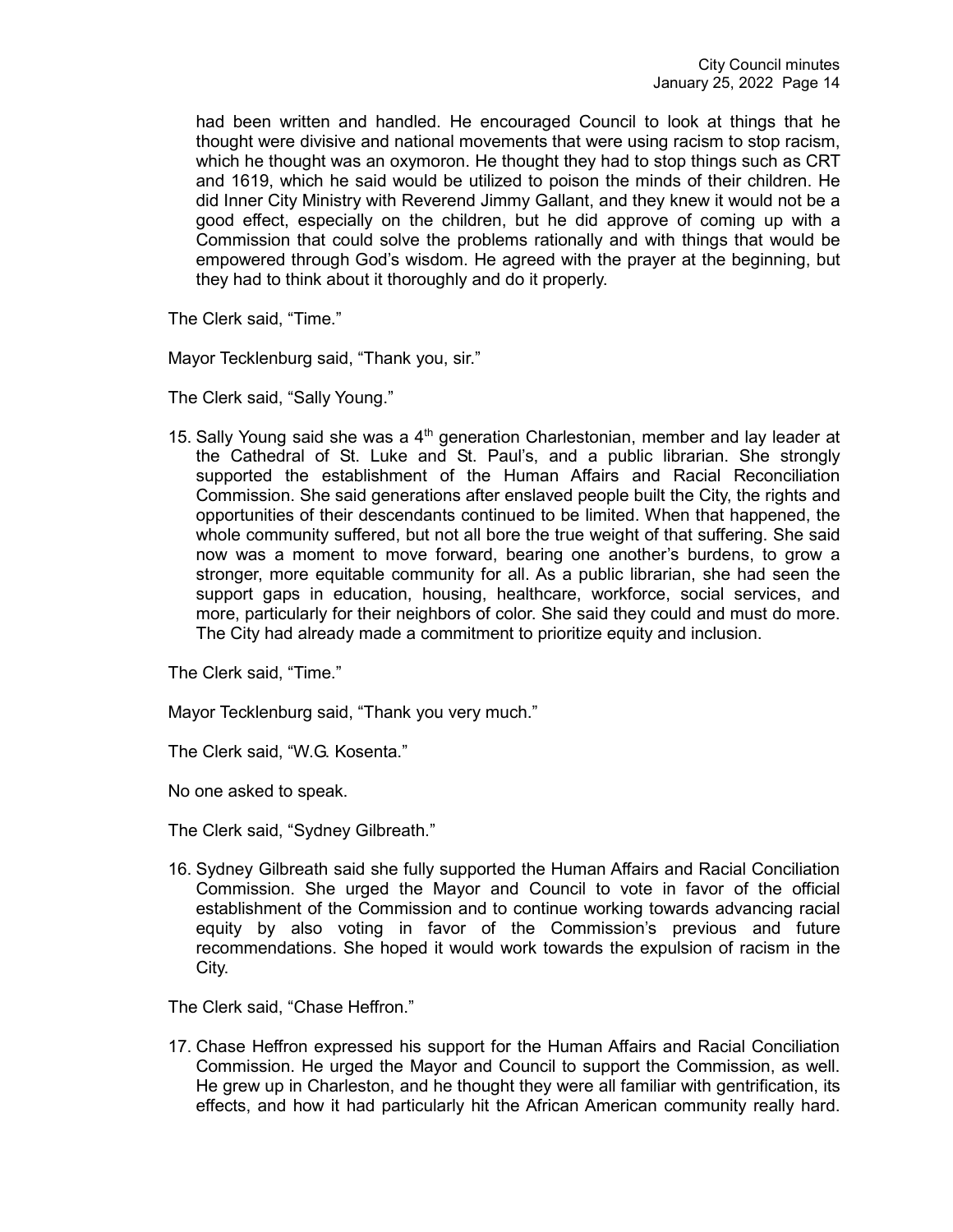had been written and handled. He encouraged Council to look at things that he thought were divisive and national movements that were using racism to stop racism, which he thought was an oxymoron. He thought they had to stop things such as CRT and 1619, which he said would be utilized to poison the minds of their children. He did Inner City Ministry with Reverend Jimmy Gallant, and they knew it would not be a good effect, especially on the children, but he did approve of coming up with a Commission that could solve the problems rationally and with things that would be empowered through God's wisdom. He agreed with the prayer at the beginning, but they had to think about it thoroughly and do it properly.

The Clerk said, "Time."

Mayor Tecklenburg said, "Thank you, sir."

The Clerk said, "Sally Young."

15. Sally Young said she was a  $4<sup>th</sup>$  generation Charlestonian, member and lay leader at the Cathedral of St. Luke and St. Paul's, and a public librarian. She strongly supported the establishment of the Human Affairs and Racial Reconciliation Commission. She said generations after enslaved people built the City, the rights and opportunities of their descendants continued to be limited. When that happened, the whole community suffered, but not all bore the true weight of that suffering. She said now was a moment to move forward, bearing one another's burdens, to grow a stronger, more equitable community for all. As a public librarian, she had seen the support gaps in education, housing, healthcare, workforce, social services, and more, particularly for their neighbors of color. She said they could and must do more. The City had already made a commitment to prioritize equity and inclusion.

The Clerk said, "Time."

Mayor Tecklenburg said, "Thank you very much."

The Clerk said, "W.G. Kosenta."

No one asked to speak.

The Clerk said, "Sydney Gilbreath."

16. Sydney Gilbreath said she fully supported the Human Affairs and Racial Conciliation Commission. She urged the Mayor and Council to vote in favor of the official establishment of the Commission and to continue working towards advancing racial equity by also voting in favor of the Commission's previous and future recommendations. She hoped it would work towards the expulsion of racism in the City.

The Clerk said, "Chase Heffron."

17. Chase Heffron expressed his support for the Human Affairs and Racial Conciliation Commission. He urged the Mayor and Council to support the Commission, as well. He grew up in Charleston, and he thought they were all familiar with gentrification, its effects, and how it had particularly hit the African American community really hard.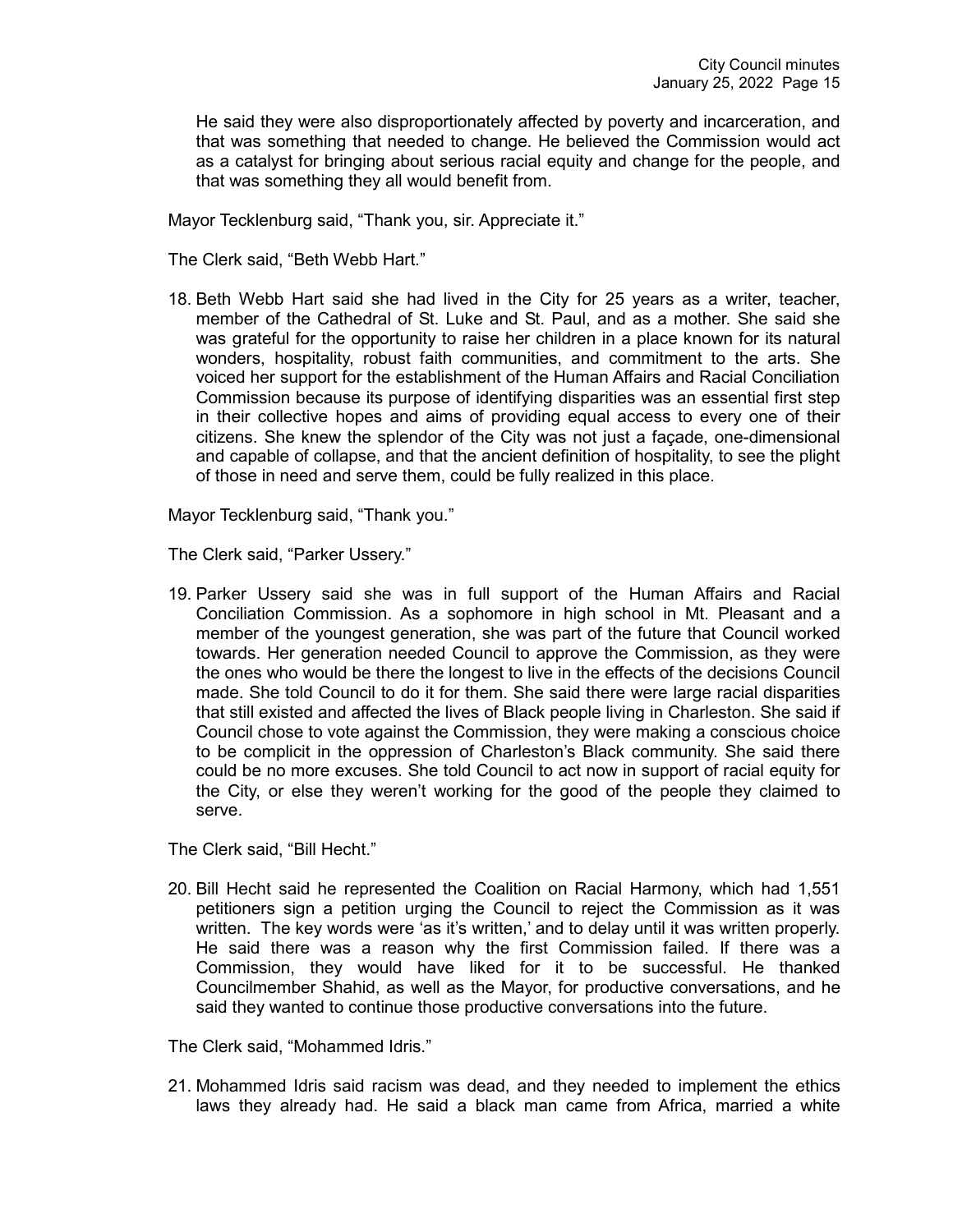He said they were also disproportionately affected by poverty and incarceration, and that was something that needed to change. He believed the Commission would act as a catalyst for bringing about serious racial equity and change for the people, and that was something they all would benefit from.

Mayor Tecklenburg said, "Thank you, sir. Appreciate it."

The Clerk said, "Beth Webb Hart."

18. Beth Webb Hart said she had lived in the City for 25 years as a writer, teacher, member of the Cathedral of St. Luke and St. Paul, and as a mother. She said she was grateful for the opportunity to raise her children in a place known for its natural wonders, hospitality, robust faith communities, and commitment to the arts. She voiced her support for the establishment of the Human Affairs and Racial Conciliation Commission because its purpose of identifying disparities was an essential first step in their collective hopes and aims of providing equal access to every one of their citizens. She knew the splendor of the City was not just a façade, one-dimensional and capable of collapse, and that the ancient definition of hospitality, to see the plight of those in need and serve them, could be fully realized in this place.

Mayor Tecklenburg said, "Thank you."

The Clerk said, "Parker Ussery."

19. Parker Ussery said she was in full support of the Human Affairs and Racial Conciliation Commission. As a sophomore in high school in Mt. Pleasant and a member of the youngest generation, she was part of the future that Council worked towards. Her generation needed Council to approve the Commission, as they were the ones who would be there the longest to live in the effects of the decisions Council made. She told Council to do it for them. She said there were large racial disparities that still existed and affected the lives of Black people living in Charleston. She said if Council chose to vote against the Commission, they were making a conscious choice to be complicit in the oppression of Charleston's Black community. She said there could be no more excuses. She told Council to act now in support of racial equity for the City, or else they weren't working for the good of the people they claimed to serve.

The Clerk said, "Bill Hecht."

20. Bill Hecht said he represented the Coalition on Racial Harmony, which had 1,551 petitioners sign a petition urging the Council to reject the Commission as it was written. The key words were 'as it's written,' and to delay until it was written properly. He said there was a reason why the first Commission failed. If there was a Commission, they would have liked for it to be successful. He thanked Councilmember Shahid, as well as the Mayor, for productive conversations, and he said they wanted to continue those productive conversations into the future.

The Clerk said, "Mohammed Idris."

21. Mohammed Idris said racism was dead, and they needed to implement the ethics laws they already had. He said a black man came from Africa, married a white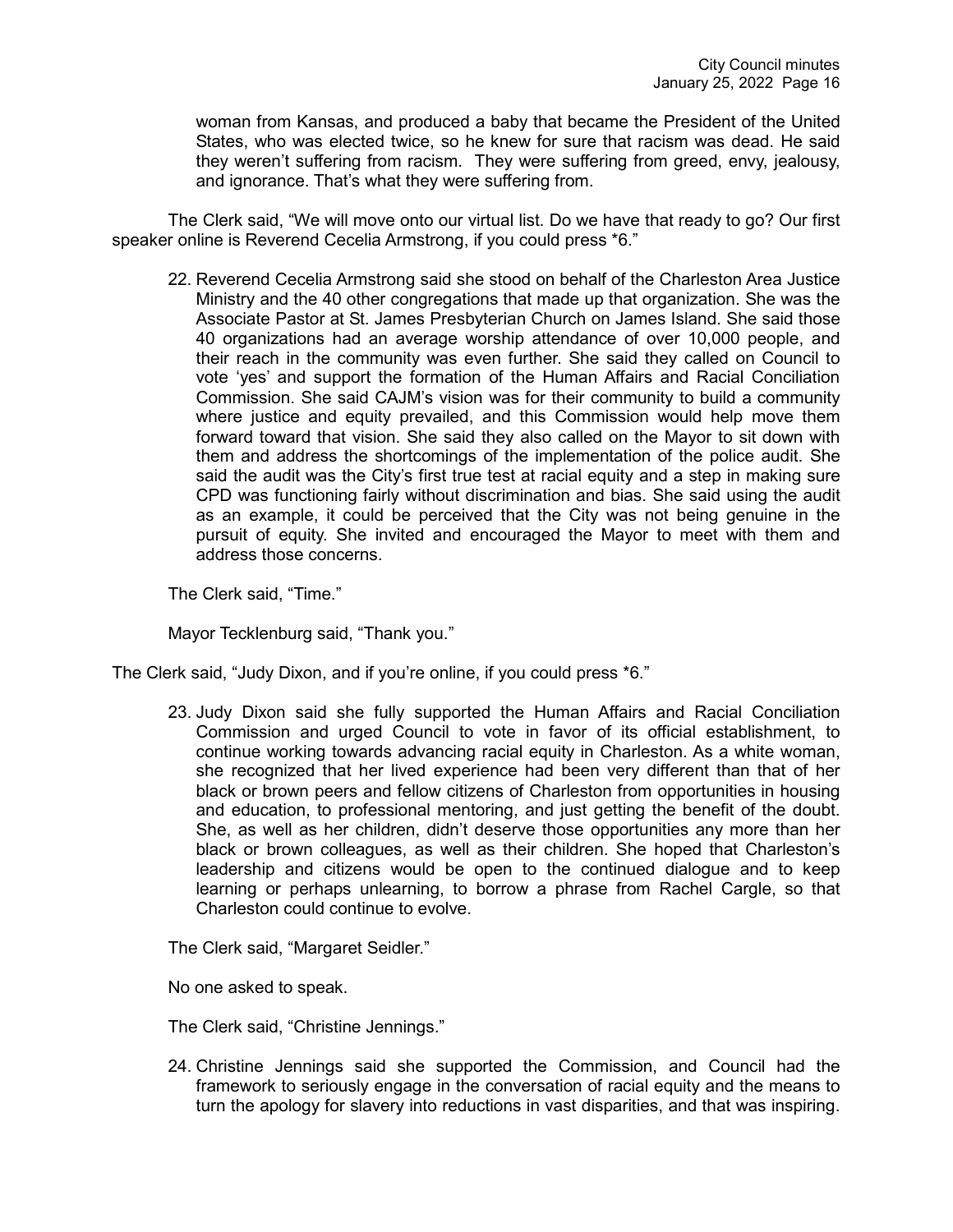woman from Kansas, and produced a baby that became the President of the United States, who was elected twice, so he knew for sure that racism was dead. He said they weren't suffering from racism. They were suffering from greed, envy, jealousy, and ignorance. That's what they were suffering from.

The Clerk said, "We will move onto our virtual list. Do we have that ready to go? Our first speaker online is Reverend Cecelia Armstrong, if you could press \*6."

22. Reverend Cecelia Armstrong said she stood on behalf of the Charleston Area Justice Ministry and the 40 other congregations that made up that organization. She was the Associate Pastor at St. James Presbyterian Church on James Island. She said those 40 organizations had an average worship attendance of over 10,000 people, and their reach in the community was even further. She said they called on Council to vote 'yes' and support the formation of the Human Affairs and Racial Conciliation Commission. She said CAJM's vision was for their community to build a community where justice and equity prevailed, and this Commission would help move them forward toward that vision. She said they also called on the Mayor to sit down with them and address the shortcomings of the implementation of the police audit. She said the audit was the City's first true test at racial equity and a step in making sure CPD was functioning fairly without discrimination and bias. She said using the audit as an example, it could be perceived that the City was not being genuine in the pursuit of equity. She invited and encouraged the Mayor to meet with them and address those concerns.

The Clerk said, "Time."

Mayor Tecklenburg said, "Thank you."

The Clerk said, "Judy Dixon, and if you're online, if you could press \*6."

23. Judy Dixon said she fully supported the Human Affairs and Racial Conciliation Commission and urged Council to vote in favor of its official establishment, to continue working towards advancing racial equity in Charleston. As a white woman, she recognized that her lived experience had been very different than that of her black or brown peers and fellow citizens of Charleston from opportunities in housing and education, to professional mentoring, and just getting the benefit of the doubt. She, as well as her children, didn't deserve those opportunities any more than her black or brown colleagues, as well as their children. She hoped that Charleston's leadership and citizens would be open to the continued dialogue and to keep learning or perhaps unlearning, to borrow a phrase from Rachel Cargle, so that Charleston could continue to evolve.

The Clerk said, "Margaret Seidler."

No one asked to speak.

The Clerk said, "Christine Jennings."

24. Christine Jennings said she supported the Commission, and Council had the framework to seriously engage in the conversation of racial equity and the means to turn the apology for slavery into reductions in vast disparities, and that was inspiring.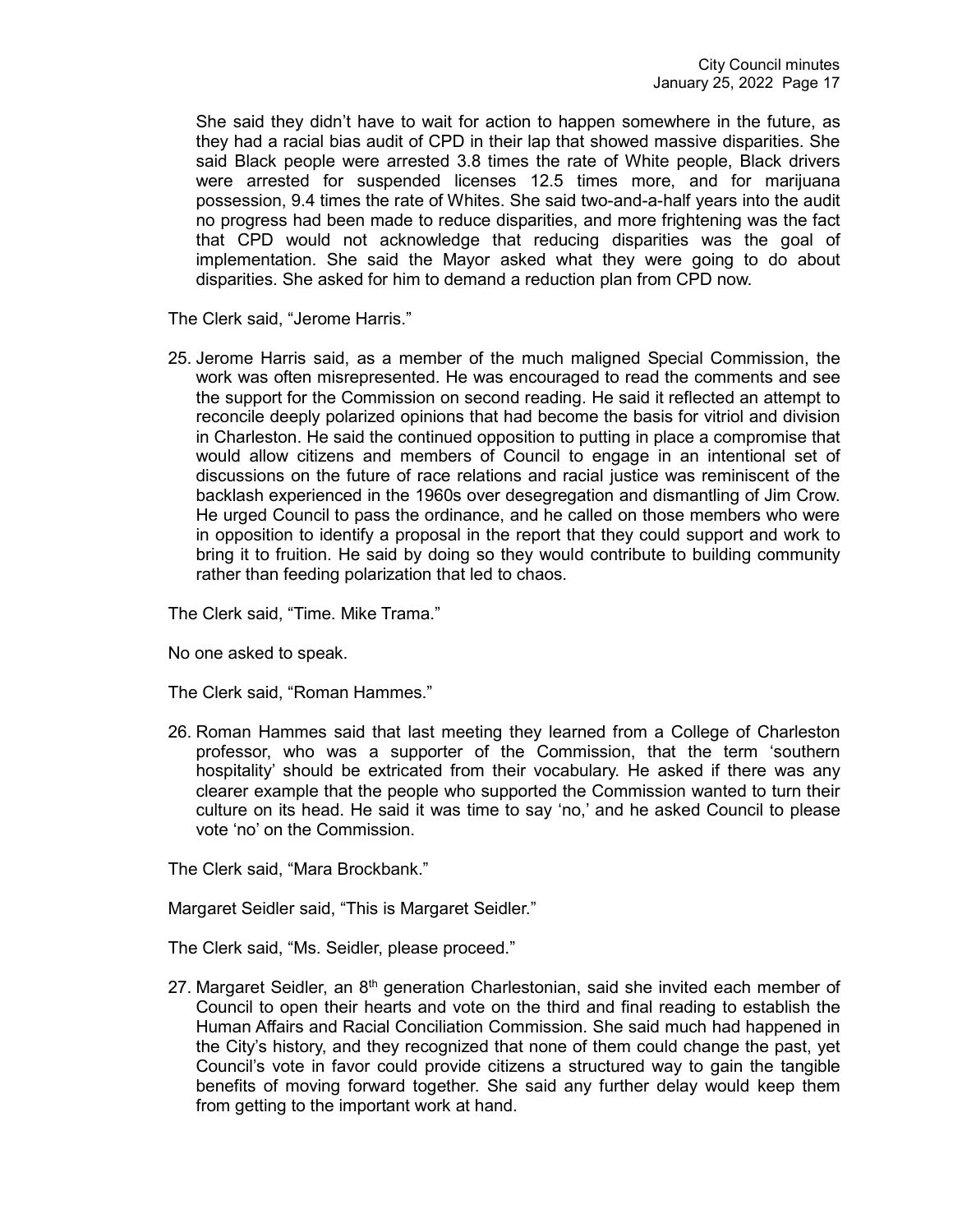She said they didn't have to wait for action to happen somewhere in the future, as they had a racial bias audit of CPD in their lap that showed massive disparities. She said Black people were arrested 3.8 times the rate of White people, Black drivers were arrested for suspended licenses 12.5 times more, and for marijuana possession, 9.4 times the rate of Whites. She said two-and-a-half years into the audit no progress had been made to reduce disparities, and more frightening was the fact that CPD would not acknowledge that reducing disparities was the goal of implementation. She said the Mayor asked what they were going to do about disparities. She asked for him to demand a reduction plan from CPD now.

The Clerk said, "Jerome Harris."

25. Jerome Harris said, as a member of the much maligned Special Commission, the work was often misrepresented. He was encouraged to read the comments and see the support for the Commission on second reading. He said it reflected an attempt to reconcile deeply polarized opinions that had become the basis for vitriol and division in Charleston. He said the continued opposition to putting in place a compromise that would allow citizens and members of Council to engage in an intentional set of discussions on the future of race relations and racial justice was reminiscent of the backlash experienced in the 1960s over desegregation and dismantling of Jim Crow. He urged Council to pass the ordinance, and he called on those members who were in opposition to identify a proposal in the report that they could support and work to bring it to fruition. He said by doing so they would contribute to building community rather than feeding polarization that led to chaos.

The Clerk said, "Time. Mike Trama."

No one asked to speak.

The Clerk said, "Roman Hammes."

26. Roman Hammes said that last meeting they learned from a College of Charleston professor, who was a supporter of the Commission, that the term 'southern hospitality' should be extricated from their vocabulary. He asked if there was any clearer example that the people who supported the Commission wanted to turn their culture on its head. He said it was time to say 'no,' and he asked Council to please vote 'no' on the Commission.

The Clerk said, "Mara Brockbank."

Margaret Seidler said, "This is Margaret Seidler."

The Clerk said, "Ms. Seidler, please proceed."

27. Margaret Seidler, an  $8<sup>th</sup>$  generation Charlestonian, said she invited each member of Council to open their hearts and vote on the third and final reading to establish the Human Affairs and Racial Conciliation Commission. She said much had happened in the City's history, and they recognized that none of them could change the past, yet Council's vote in favor could provide citizens a structured way to gain the tangible benefits of moving forward together. She said any further delay would keep them from getting to the important work at hand.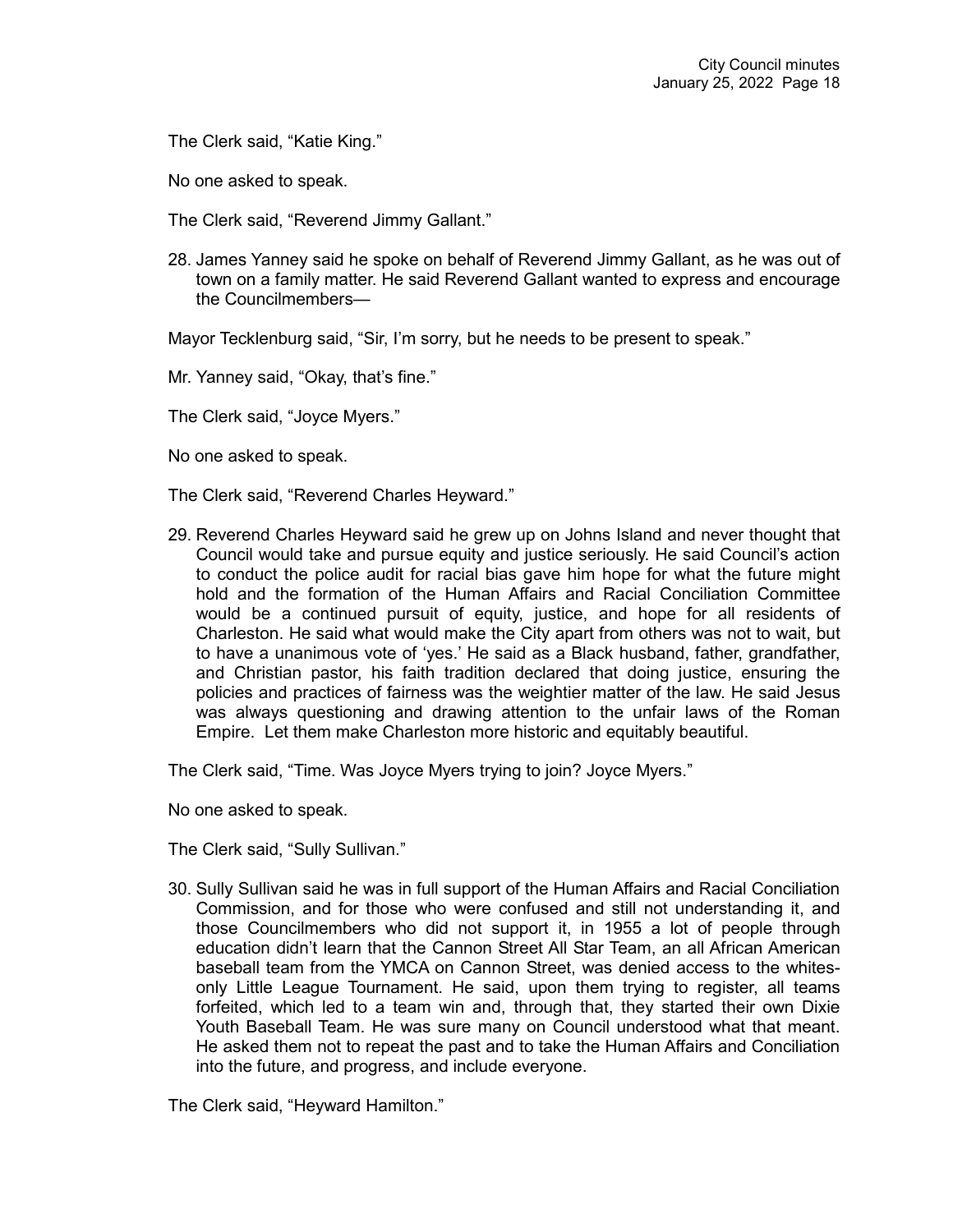The Clerk said, "Katie King."

No one asked to speak.

The Clerk said, "Reverend Jimmy Gallant."

28. James Yanney said he spoke on behalf of Reverend Jimmy Gallant, as he was out of town on a family matter. He said Reverend Gallant wanted to express and encourage the Councilmembers—

Mayor Tecklenburg said, "Sir, I'm sorry, but he needs to be present to speak."

Mr. Yanney said, "Okay, that's fine."

The Clerk said, "Joyce Myers."

No one asked to speak.

The Clerk said, "Reverend Charles Heyward."

29. Reverend Charles Heyward said he grew up on Johns Island and never thought that Council would take and pursue equity and justice seriously. He said Council's action to conduct the police audit for racial bias gave him hope for what the future might hold and the formation of the Human Affairs and Racial Conciliation Committee would be a continued pursuit of equity, justice, and hope for all residents of Charleston. He said what would make the City apart from others was not to wait, but to have a unanimous vote of 'yes.' He said as a Black husband, father, grandfather, and Christian pastor, his faith tradition declared that doing justice, ensuring the policies and practices of fairness was the weightier matter of the law. He said Jesus was always questioning and drawing attention to the unfair laws of the Roman Empire. Let them make Charleston more historic and equitably beautiful.

The Clerk said, "Time. Was Joyce Myers trying to join? Joyce Myers."

No one asked to speak.

The Clerk said, "Sully Sullivan."

30. Sully Sullivan said he was in full support of the Human Affairs and Racial Conciliation Commission, and for those who were confused and still not understanding it, and those Councilmembers who did not support it, in 1955 a lot of people through education didn't learn that the Cannon Street All Star Team, an all African American baseball team from the YMCA on Cannon Street, was denied access to the whitesonly Little League Tournament. He said, upon them trying to register, all teams forfeited, which led to a team win and, through that, they started their own Dixie Youth Baseball Team. He was sure many on Council understood what that meant. He asked them not to repeat the past and to take the Human Affairs and Conciliation into the future, and progress, and include everyone.

The Clerk said, "Heyward Hamilton."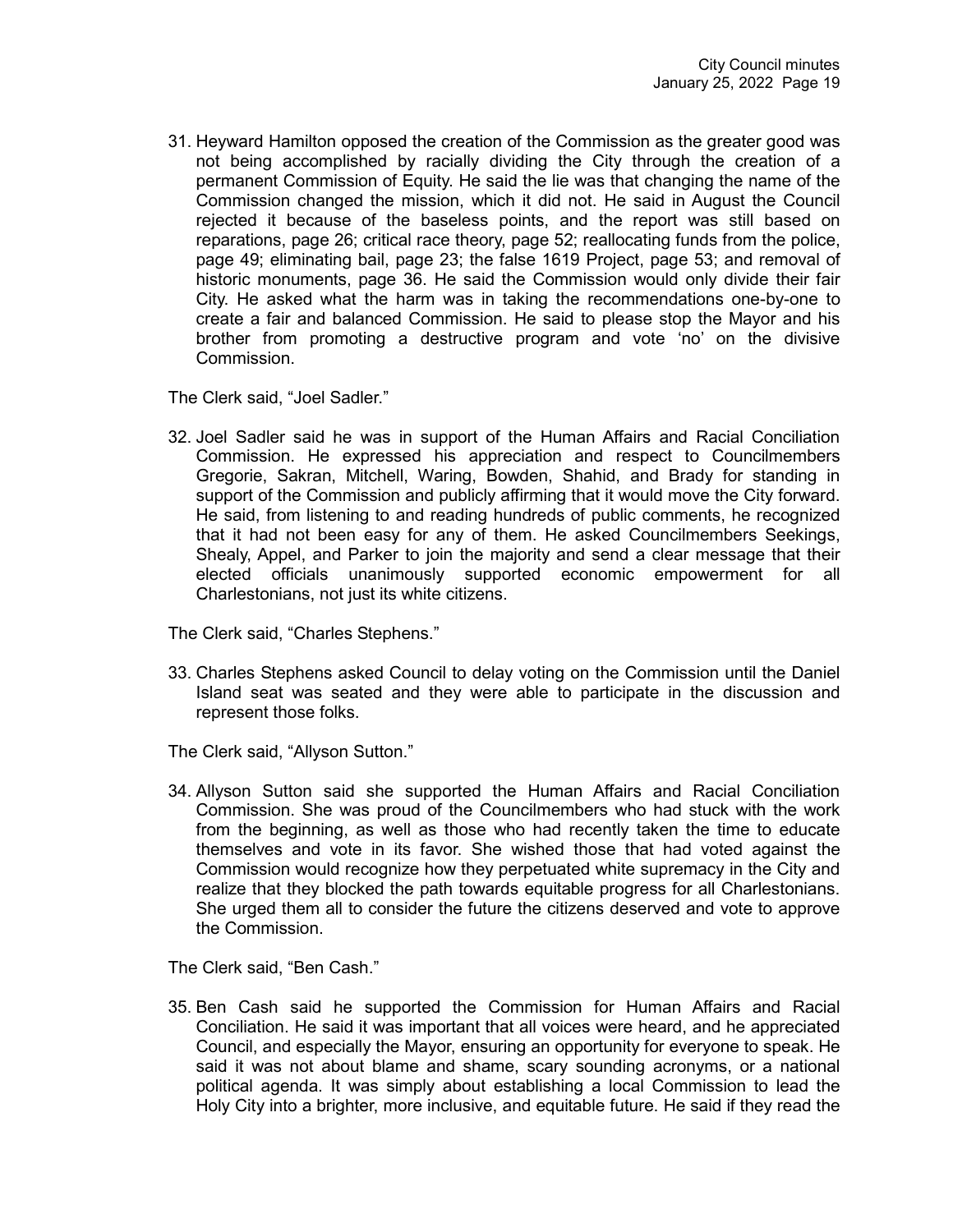31. Heyward Hamilton opposed the creation of the Commission as the greater good was not being accomplished by racially dividing the City through the creation of a permanent Commission of Equity. He said the lie was that changing the name of the Commission changed the mission, which it did not. He said in August the Council rejected it because of the baseless points, and the report was still based on reparations, page 26; critical race theory, page 52; reallocating funds from the police, page 49; eliminating bail, page 23; the false 1619 Project, page 53; and removal of historic monuments, page 36. He said the Commission would only divide their fair City. He asked what the harm was in taking the recommendations one-by-one to create a fair and balanced Commission. He said to please stop the Mayor and his brother from promoting a destructive program and vote 'no' on the divisive Commission.

The Clerk said, "Joel Sadler."

32. Joel Sadler said he was in support of the Human Affairs and Racial Conciliation Commission. He expressed his appreciation and respect to Councilmembers Gregorie, Sakran, Mitchell, Waring, Bowden, Shahid, and Brady for standing in support of the Commission and publicly affirming that it would move the City forward. He said, from listening to and reading hundreds of public comments, he recognized that it had not been easy for any of them. He asked Councilmembers Seekings, Shealy, Appel, and Parker to join the majority and send a clear message that their elected officials unanimously supported economic empowerment for all Charlestonians, not just its white citizens.

The Clerk said, "Charles Stephens."

33. Charles Stephens asked Council to delay voting on the Commission until the Daniel Island seat was seated and they were able to participate in the discussion and represent those folks.

The Clerk said, "Allyson Sutton."

34. Allyson Sutton said she supported the Human Affairs and Racial Conciliation Commission. She was proud of the Councilmembers who had stuck with the work from the beginning, as well as those who had recently taken the time to educate themselves and vote in its favor. She wished those that had voted against the Commission would recognize how they perpetuated white supremacy in the City and realize that they blocked the path towards equitable progress for all Charlestonians. She urged them all to consider the future the citizens deserved and vote to approve the Commission.

The Clerk said, "Ben Cash."

35. Ben Cash said he supported the Commission for Human Affairs and Racial Conciliation. He said it was important that all voices were heard, and he appreciated Council, and especially the Mayor, ensuring an opportunity for everyone to speak. He said it was not about blame and shame, scary sounding acronyms, or a national political agenda. It was simply about establishing a local Commission to lead the Holy City into a brighter, more inclusive, and equitable future. He said if they read the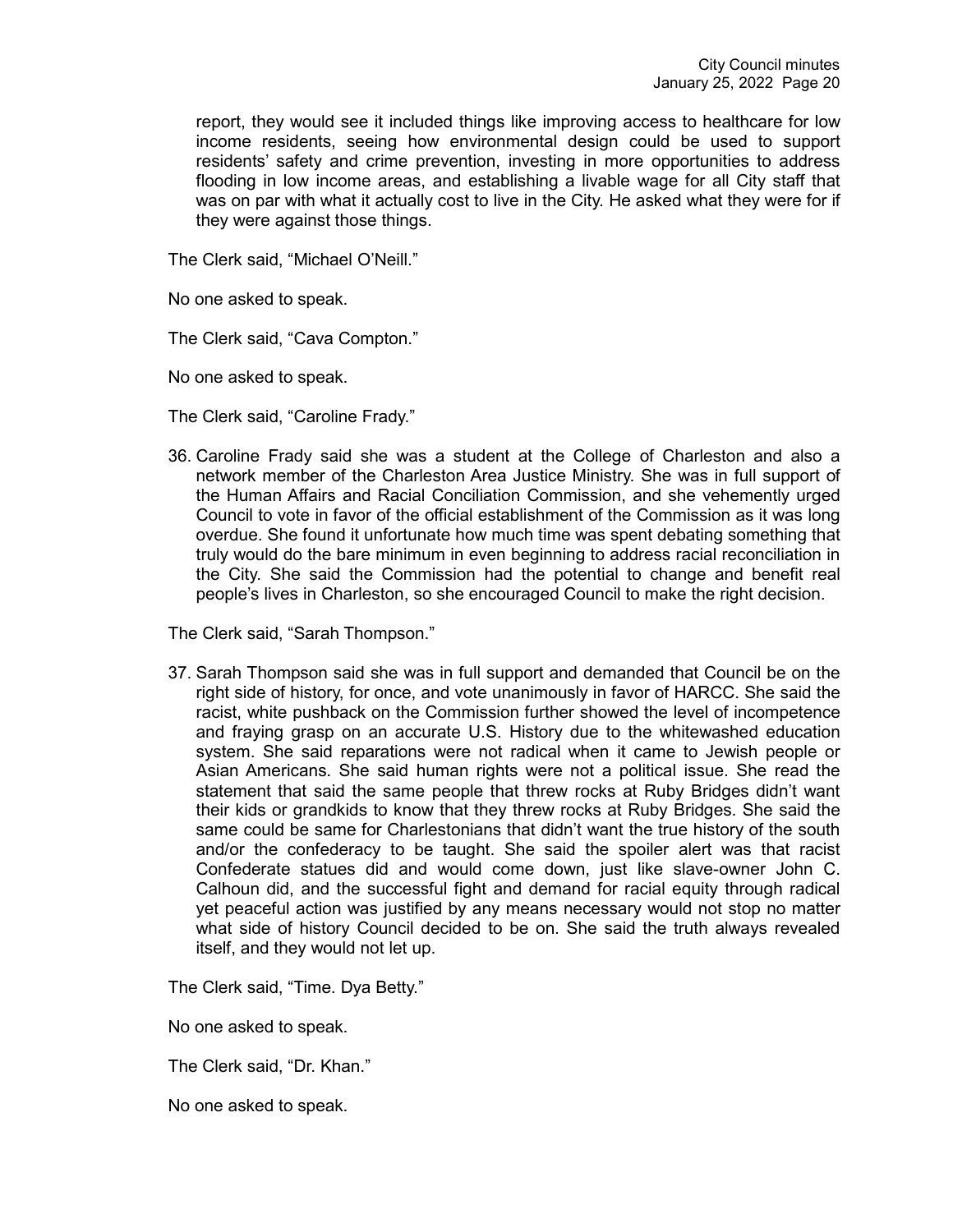report, they would see it included things like improving access to healthcare for low income residents, seeing how environmental design could be used to support residents' safety and crime prevention, investing in more opportunities to address flooding in low income areas, and establishing a livable wage for all City staff that was on par with what it actually cost to live in the City. He asked what they were for if they were against those things.

The Clerk said, "Michael O'Neill."

No one asked to speak.

The Clerk said, "Cava Compton."

No one asked to speak.

The Clerk said, "Caroline Frady."

36. Caroline Frady said she was a student at the College of Charleston and also a network member of the Charleston Area Justice Ministry. She was in full support of the Human Affairs and Racial Conciliation Commission, and she vehemently urged Council to vote in favor of the official establishment of the Commission as it was long overdue. She found it unfortunate how much time was spent debating something that truly would do the bare minimum in even beginning to address racial reconciliation in the City. She said the Commission had the potential to change and benefit real people's lives in Charleston, so she encouraged Council to make the right decision.

The Clerk said, "Sarah Thompson."

37. Sarah Thompson said she was in full support and demanded that Council be on the right side of history, for once, and vote unanimously in favor of HARCC. She said the racist, white pushback on the Commission further showed the level of incompetence and fraying grasp on an accurate U.S. History due to the whitewashed education system. She said reparations were not radical when it came to Jewish people or Asian Americans. She said human rights were not a political issue. She read the statement that said the same people that threw rocks at Ruby Bridges didn't want their kids or grandkids to know that they threw rocks at Ruby Bridges. She said the same could be same for Charlestonians that didn't want the true history of the south and/or the confederacy to be taught. She said the spoiler alert was that racist Confederate statues did and would come down, just like slave-owner John C. Calhoun did, and the successful fight and demand for racial equity through radical yet peaceful action was justified by any means necessary would not stop no matter what side of history Council decided to be on. She said the truth always revealed itself, and they would not let up.

The Clerk said, "Time. Dya Betty."

No one asked to speak.

The Clerk said, "Dr. Khan."

No one asked to speak.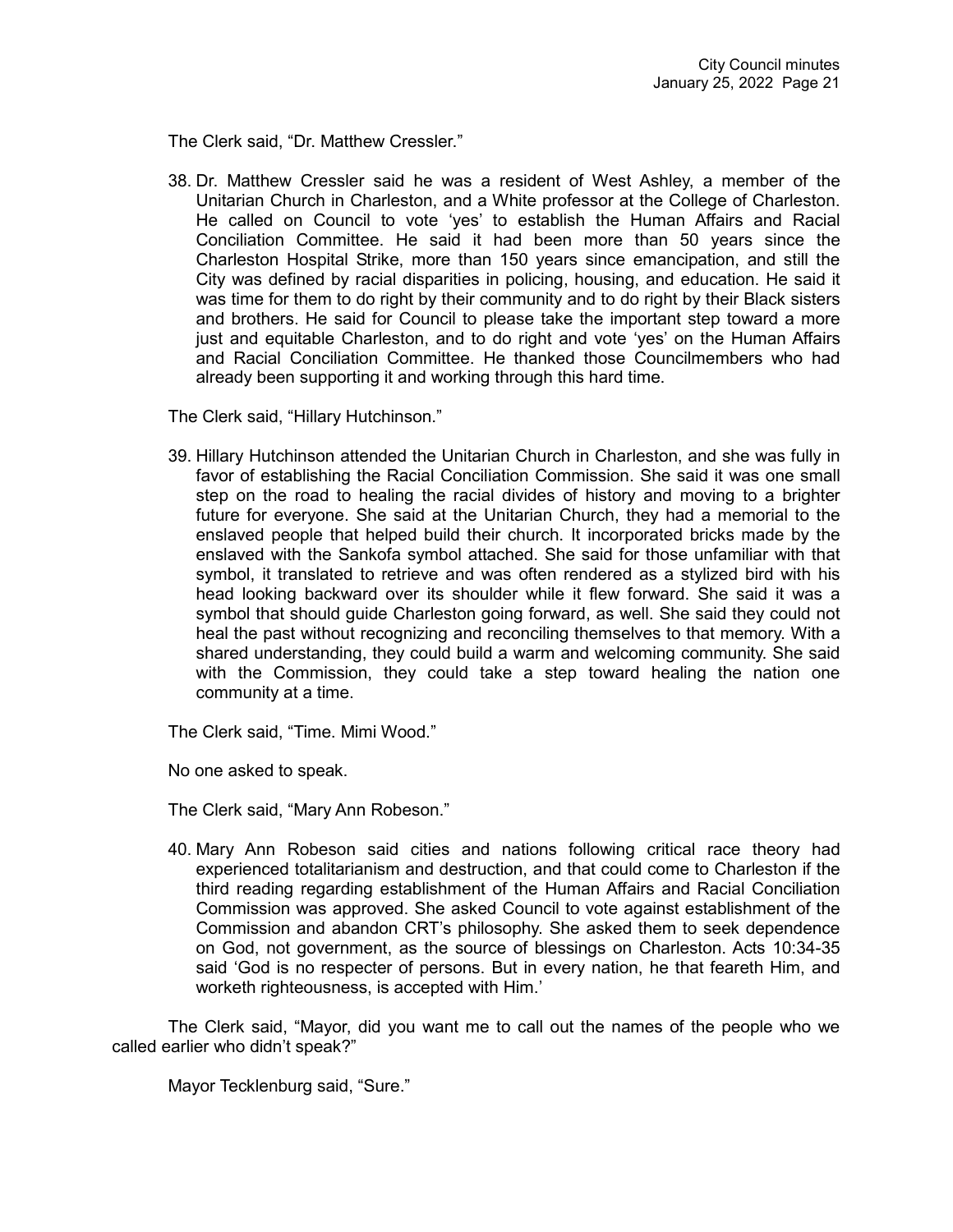The Clerk said, "Dr. Matthew Cressler."

38. Dr. Matthew Cressler said he was a resident of West Ashley, a member of the Unitarian Church in Charleston, and a White professor at the College of Charleston. He called on Council to vote 'yes' to establish the Human Affairs and Racial Conciliation Committee. He said it had been more than 50 years since the Charleston Hospital Strike, more than 150 years since emancipation, and still the City was defined by racial disparities in policing, housing, and education. He said it was time for them to do right by their community and to do right by their Black sisters and brothers. He said for Council to please take the important step toward a more just and equitable Charleston, and to do right and vote 'yes' on the Human Affairs and Racial Conciliation Committee. He thanked those Councilmembers who had already been supporting it and working through this hard time.

The Clerk said, "Hillary Hutchinson."

39. Hillary Hutchinson attended the Unitarian Church in Charleston, and she was fully in favor of establishing the Racial Conciliation Commission. She said it was one small step on the road to healing the racial divides of history and moving to a brighter future for everyone. She said at the Unitarian Church, they had a memorial to the enslaved people that helped build their church. It incorporated bricks made by the enslaved with the Sankofa symbol attached. She said for those unfamiliar with that symbol, it translated to retrieve and was often rendered as a stylized bird with his head looking backward over its shoulder while it flew forward. She said it was a symbol that should guide Charleston going forward, as well. She said they could not heal the past without recognizing and reconciling themselves to that memory. With a shared understanding, they could build a warm and welcoming community. She said with the Commission, they could take a step toward healing the nation one community at a time.

The Clerk said, "Time. Mimi Wood."

No one asked to speak.

The Clerk said, "Mary Ann Robeson."

40. Mary Ann Robeson said cities and nations following critical race theory had experienced totalitarianism and destruction, and that could come to Charleston if the third reading regarding establishment of the Human Affairs and Racial Conciliation Commission was approved. She asked Council to vote against establishment of the Commission and abandon CRT's philosophy. She asked them to seek dependence on God, not government, as the source of blessings on Charleston. Acts 10:34-35 said 'God is no respecter of persons. But in every nation, he that feareth Him, and worketh righteousness, is accepted with Him.'

The Clerk said, "Mayor, did you want me to call out the names of the people who we called earlier who didn't speak?"

Mayor Tecklenburg said, "Sure."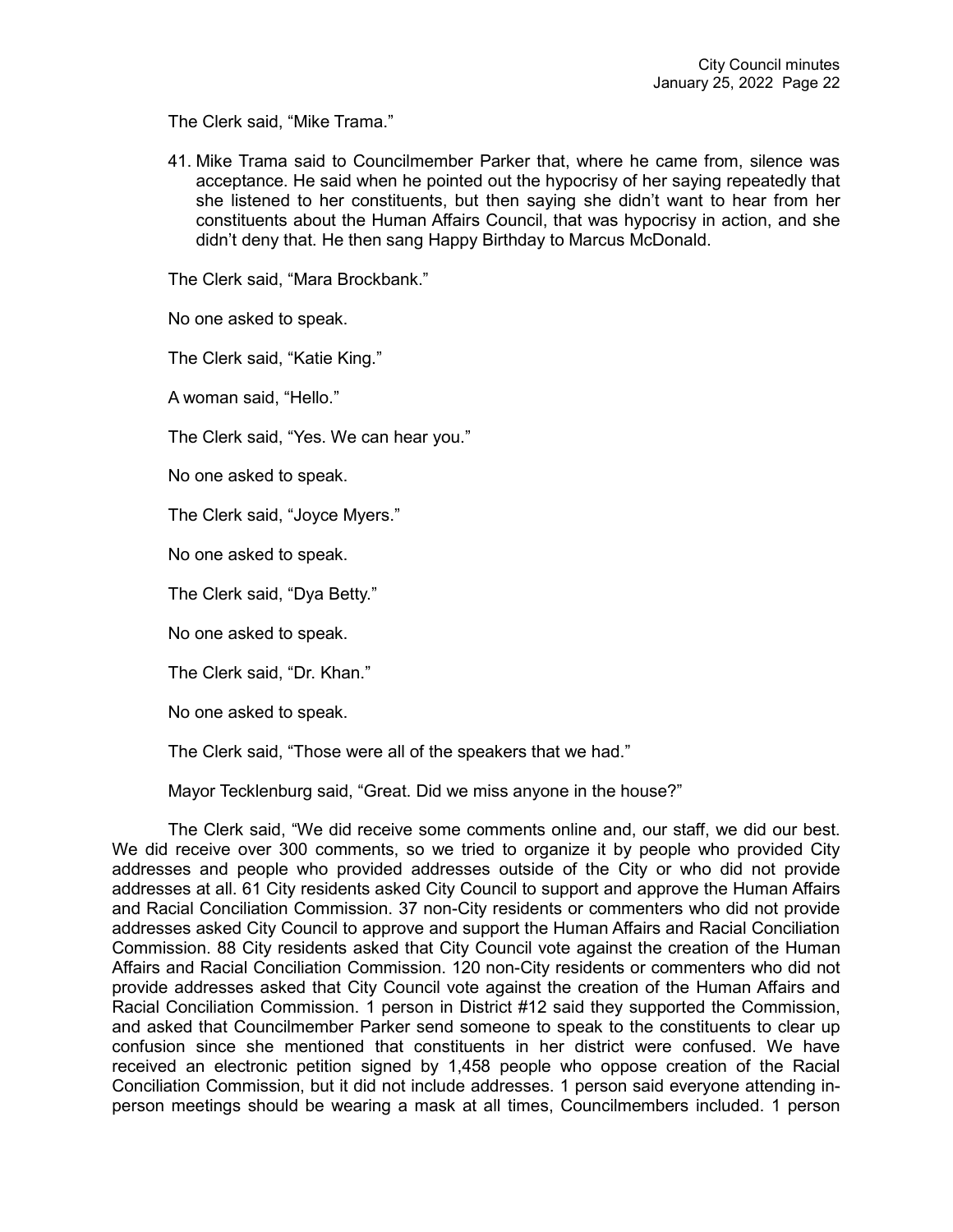The Clerk said, "Mike Trama."

41. Mike Trama said to Councilmember Parker that, where he came from, silence was acceptance. He said when he pointed out the hypocrisy of her saying repeatedly that she listened to her constituents, but then saying she didn't want to hear from her constituents about the Human Affairs Council, that was hypocrisy in action, and she didn't deny that. He then sang Happy Birthday to Marcus McDonald.

The Clerk said, "Mara Brockbank."

No one asked to speak.

The Clerk said, "Katie King."

A woman said, "Hello."

The Clerk said, "Yes. We can hear you."

No one asked to speak.

The Clerk said, "Joyce Myers."

No one asked to speak.

The Clerk said, "Dya Betty."

No one asked to speak.

The Clerk said, "Dr. Khan."

No one asked to speak.

The Clerk said, "Those were all of the speakers that we had."

Mayor Tecklenburg said, "Great. Did we miss anyone in the house?"

The Clerk said, "We did receive some comments online and, our staff, we did our best. We did receive over 300 comments, so we tried to organize it by people who provided City addresses and people who provided addresses outside of the City or who did not provide addresses at all. 61 City residents asked City Council to support and approve the Human Affairs and Racial Conciliation Commission. 37 non-City residents or commenters who did not provide addresses asked City Council to approve and support the Human Affairs and Racial Conciliation Commission. 88 City residents asked that City Council vote against the creation of the Human Affairs and Racial Conciliation Commission. 120 non-City residents or commenters who did not provide addresses asked that City Council vote against the creation of the Human Affairs and Racial Conciliation Commission. 1 person in District #12 said they supported the Commission, and asked that Councilmember Parker send someone to speak to the constituents to clear up confusion since she mentioned that constituents in her district were confused. We have received an electronic petition signed by 1,458 people who oppose creation of the Racial Conciliation Commission, but it did not include addresses. 1 person said everyone attending inperson meetings should be wearing a mask at all times, Councilmembers included. 1 person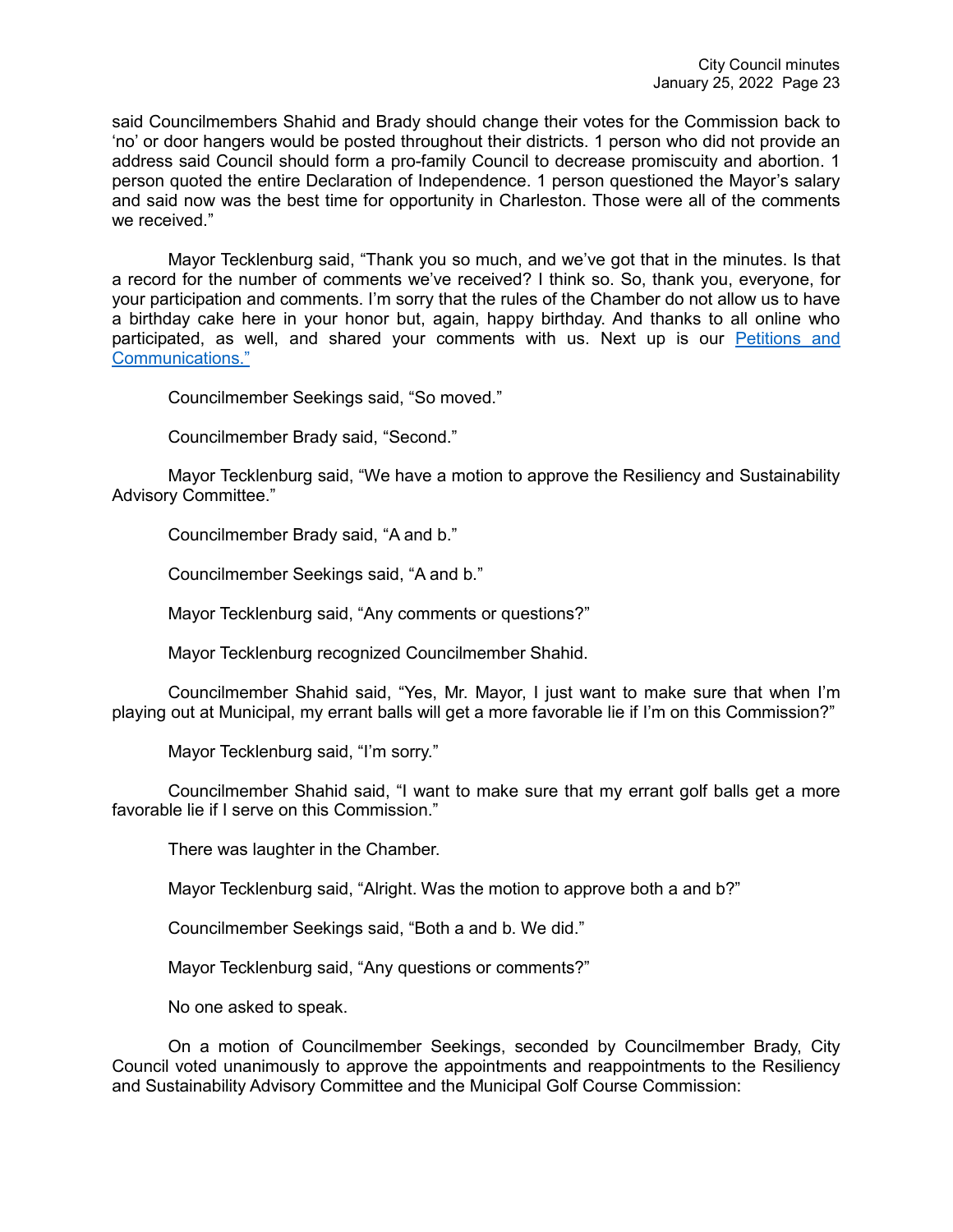said Councilmembers Shahid and Brady should change their votes for the Commission back to 'no' or door hangers would be posted throughout their districts. 1 person who did not provide an address said Council should form a pro-family Council to decrease promiscuity and abortion. 1 person quoted the entire Declaration of Independence. 1 person questioned the Mayor's salary and said now was the best time for opportunity in Charleston. Those were all of the comments we received."

Mayor Tecklenburg said, "Thank you so much, and we've got that in the minutes. Is that a record for the number of comments we've received? I think so. So, thank you, everyone, for your participation and comments. I'm sorry that the rules of the Chamber do not allow us to have a birthday cake here in your honor but, again, happy birthday. And thanks to all online who participated, as well, and shared your comments with us. Next up is our [Petitions and](https://youtu.be/RQy-2ofNSXI?t=7953)  [Communications."](https://youtu.be/RQy-2ofNSXI?t=7953)

Councilmember Seekings said, "So moved."

Councilmember Brady said, "Second."

Mayor Tecklenburg said, "We have a motion to approve the Resiliency and Sustainability Advisory Committee."

Councilmember Brady said, "A and b."

Councilmember Seekings said, "A and b."

Mayor Tecklenburg said, "Any comments or questions?"

Mayor Tecklenburg recognized Councilmember Shahid.

Councilmember Shahid said, "Yes, Mr. Mayor, I just want to make sure that when I'm playing out at Municipal, my errant balls will get a more favorable lie if I'm on this Commission?"

Mayor Tecklenburg said, "I'm sorry."

Councilmember Shahid said, "I want to make sure that my errant golf balls get a more favorable lie if I serve on this Commission."

There was laughter in the Chamber.

Mayor Tecklenburg said, "Alright. Was the motion to approve both a and b?"

Councilmember Seekings said, "Both a and b. We did."

Mayor Tecklenburg said, "Any questions or comments?"

No one asked to speak.

On a motion of Councilmember Seekings, seconded by Councilmember Brady, City Council voted unanimously to approve the appointments and reappointments to the Resiliency and Sustainability Advisory Committee and the Municipal Golf Course Commission: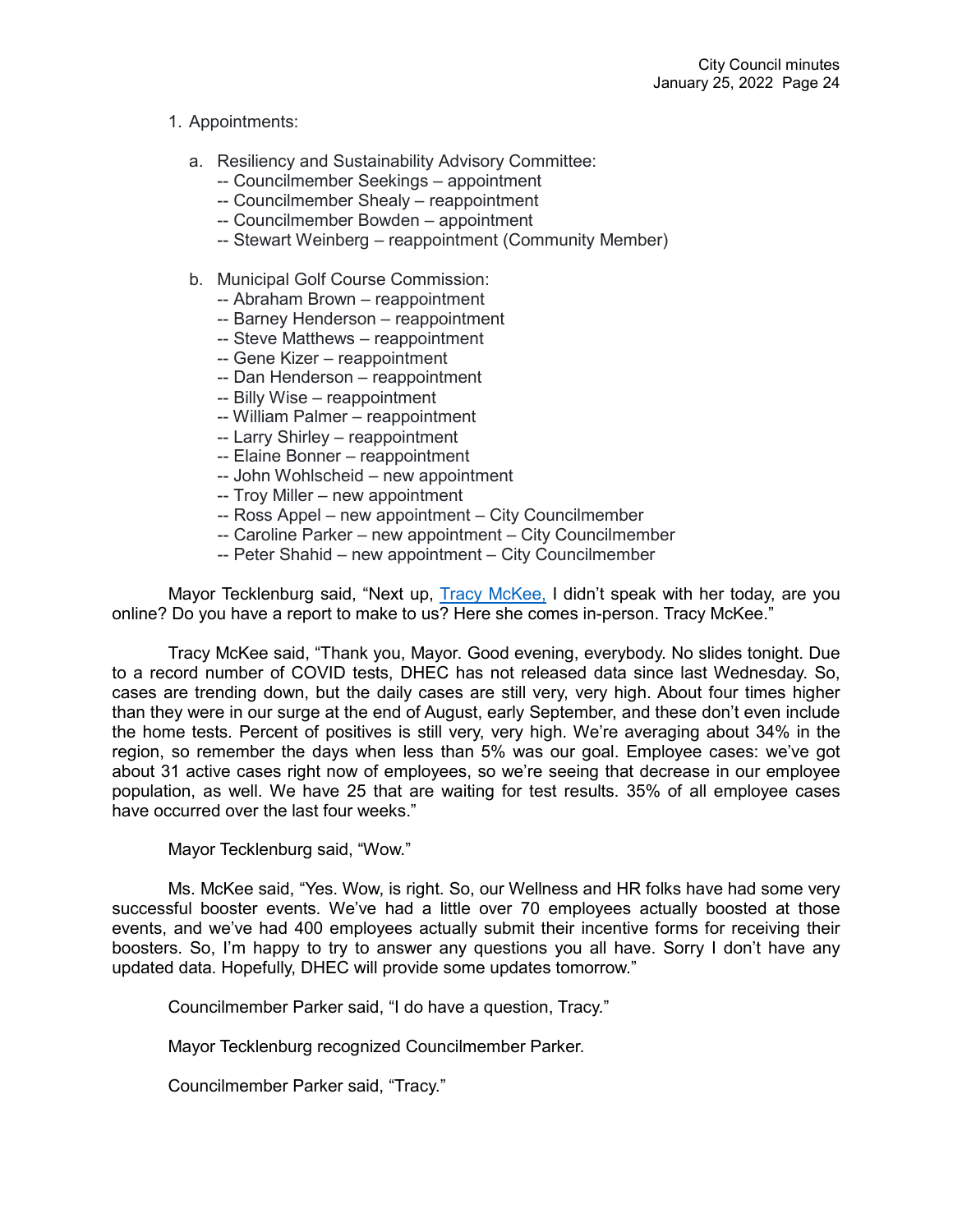# 1. Appointments:

- a. Resiliency and Sustainability Advisory Committee:
	- -- Councilmember Seekings appointment
	- -- Councilmember Shealy reappointment
	- -- Councilmember Bowden appointment
	- -- Stewart Weinberg reappointment (Community Member)
- b. Municipal Golf Course Commission:
	- -- Abraham Brown reappointment
	- -- Barney Henderson reappointment
	- -- Steve Matthews reappointment
	- -- Gene Kizer reappointment
	- -- Dan Henderson reappointment
	- -- Billy Wise reappointment
	- -- William Palmer reappointment
	- -- Larry Shirley reappointment
	- -- Elaine Bonner reappointment
	- -- John Wohlscheid new appointment
	- -- Troy Miller new appointment
	- -- Ross Appel new appointment City Councilmember
	- -- Caroline Parker new appointment City Councilmember
	- -- Peter Shahid new appointment City Councilmember

Mayor Tecklenburg said, "Next up, [Tracy McKee,](https://youtu.be/RQy-2ofNSXI?t=8000) I didn't speak with her today, are you online? Do you have a report to make to us? Here she comes in-person. Tracy McKee."

Tracy McKee said, "Thank you, Mayor. Good evening, everybody. No slides tonight. Due to a record number of COVID tests, DHEC has not released data since last Wednesday. So, cases are trending down, but the daily cases are still very, very high. About four times higher than they were in our surge at the end of August, early September, and these don't even include the home tests. Percent of positives is still very, very high. We're averaging about 34% in the region, so remember the days when less than 5% was our goal. Employee cases: we've got about 31 active cases right now of employees, so we're seeing that decrease in our employee population, as well. We have 25 that are waiting for test results. 35% of all employee cases have occurred over the last four weeks."

Mayor Tecklenburg said, "Wow."

Ms. McKee said, "Yes. Wow, is right. So, our Wellness and HR folks have had some very successful booster events. We've had a little over 70 employees actually boosted at those events, and we've had 400 employees actually submit their incentive forms for receiving their boosters. So, I'm happy to try to answer any questions you all have. Sorry I don't have any updated data. Hopefully, DHEC will provide some updates tomorrow."

Councilmember Parker said, "I do have a question, Tracy."

Mayor Tecklenburg recognized Councilmember Parker.

Councilmember Parker said, "Tracy."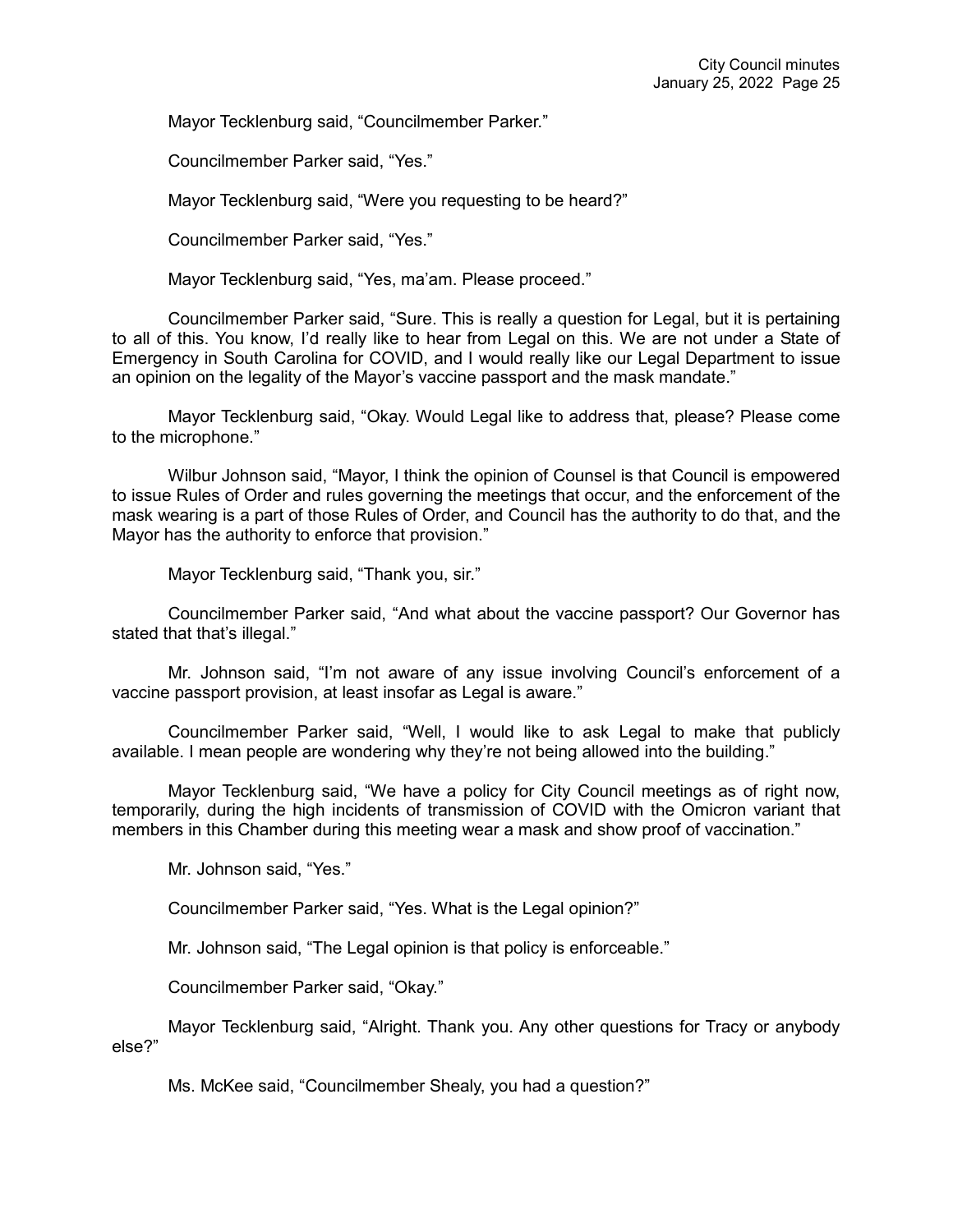Mayor Tecklenburg said, "Councilmember Parker."

Councilmember Parker said, "Yes."

Mayor Tecklenburg said, "Were you requesting to be heard?"

Councilmember Parker said, "Yes."

Mayor Tecklenburg said, "Yes, ma'am. Please proceed."

Councilmember Parker said, "Sure. This is really a question for Legal, but it is pertaining to all of this. You know, I'd really like to hear from Legal on this. We are not under a State of Emergency in South Carolina for COVID, and I would really like our Legal Department to issue an opinion on the legality of the Mayor's vaccine passport and the mask mandate."

Mayor Tecklenburg said, "Okay. Would Legal like to address that, please? Please come to the microphone."

Wilbur Johnson said, "Mayor, I think the opinion of Counsel is that Council is empowered to issue Rules of Order and rules governing the meetings that occur, and the enforcement of the mask wearing is a part of those Rules of Order, and Council has the authority to do that, and the Mayor has the authority to enforce that provision."

Mayor Tecklenburg said, "Thank you, sir."

Councilmember Parker said, "And what about the vaccine passport? Our Governor has stated that that's illegal."

Mr. Johnson said, "I'm not aware of any issue involving Council's enforcement of a vaccine passport provision, at least insofar as Legal is aware."

Councilmember Parker said, "Well, I would like to ask Legal to make that publicly available. I mean people are wondering why they're not being allowed into the building."

Mayor Tecklenburg said, "We have a policy for City Council meetings as of right now, temporarily, during the high incidents of transmission of COVID with the Omicron variant that members in this Chamber during this meeting wear a mask and show proof of vaccination."

Mr. Johnson said, "Yes."

Councilmember Parker said, "Yes. What is the Legal opinion?"

Mr. Johnson said, "The Legal opinion is that policy is enforceable."

Councilmember Parker said, "Okay."

Mayor Tecklenburg said, "Alright. Thank you. Any other questions for Tracy or anybody else?"

Ms. McKee said, "Councilmember Shealy, you had a question?"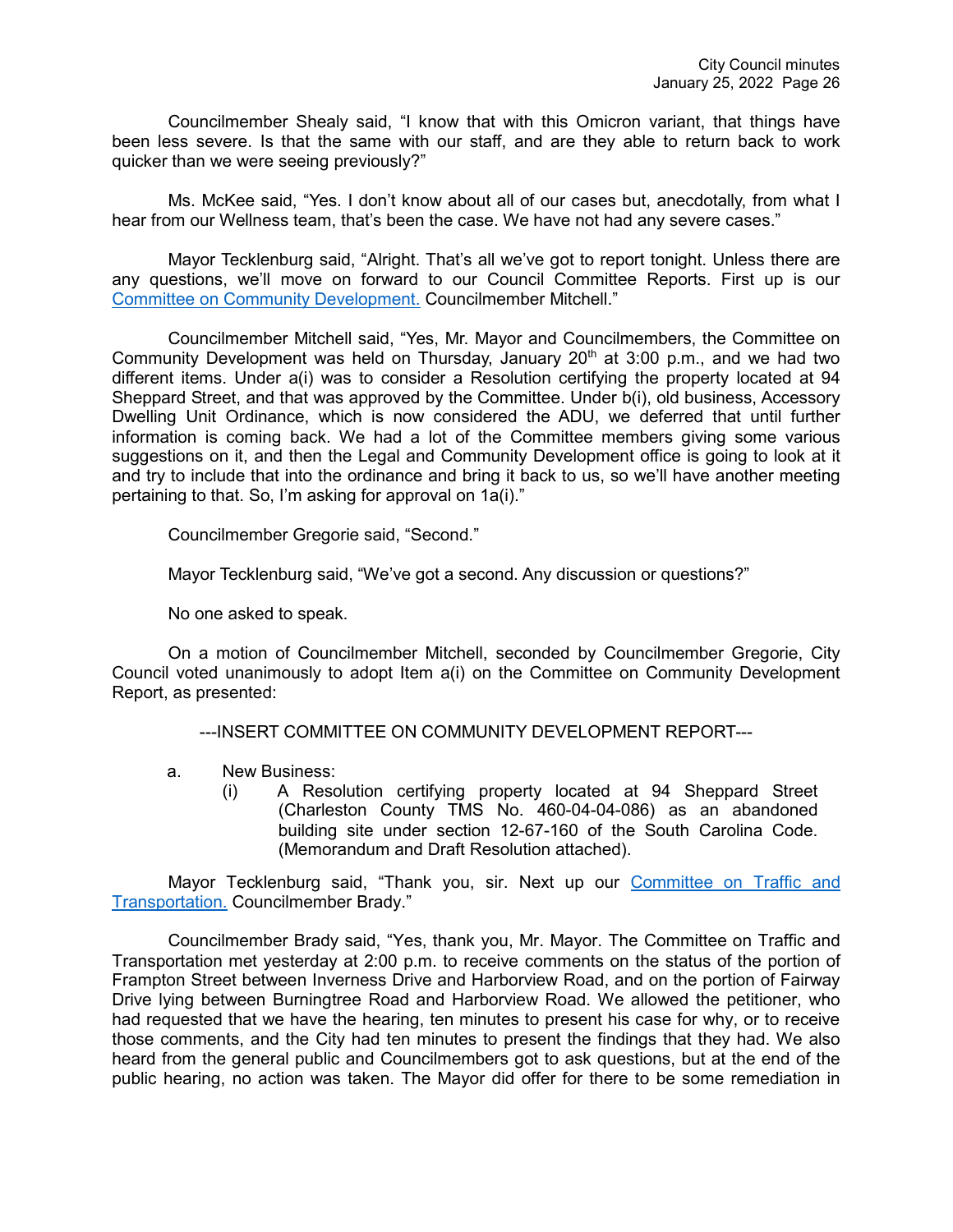Councilmember Shealy said, "I know that with this Omicron variant, that things have been less severe. Is that the same with our staff, and are they able to return back to work quicker than we were seeing previously?"

Ms. McKee said, "Yes. I don't know about all of our cases but, anecdotally, from what I hear from our Wellness team, that's been the case. We have not had any severe cases."

Mayor Tecklenburg said, "Alright. That's all we've got to report tonight. Unless there are any questions, we'll move on forward to our Council Committee Reports. First up is our Committee [on Community Development.](https://youtu.be/RQy-2ofNSXI?t=8326) Councilmember Mitchell."

Councilmember Mitchell said, "Yes, Mr. Mayor and Councilmembers, the Committee on Community Development was held on Thursday, January  $20<sup>th</sup>$  at 3:00 p.m., and we had two different items. Under a(i) was to consider a Resolution certifying the property located at 94 Sheppard Street, and that was approved by the Committee. Under b(i), old business, Accessory Dwelling Unit Ordinance, which is now considered the ADU, we deferred that until further information is coming back. We had a lot of the Committee members giving some various suggestions on it, and then the Legal and Community Development office is going to look at it and try to include that into the ordinance and bring it back to us, so we'll have another meeting pertaining to that. So, I'm asking for approval on 1a(i)."

Councilmember Gregorie said, "Second."

Mayor Tecklenburg said, "We've got a second. Any discussion or questions?"

No one asked to speak.

On a motion of Councilmember Mitchell, seconded by Councilmember Gregorie, City Council voted unanimously to adopt Item a(i) on the Committee on Community Development Report, as presented:

---INSERT COMMITTEE ON COMMUNITY DEVELOPMENT REPORT---

- a. New Business:
	- (i) A Resolution certifying property located at 94 Sheppard Street (Charleston County TMS No. 460-04-04-086) as an abandoned building site under section 12-67-160 of the South Carolina Code. (Memorandum and Draft Resolution attached).

Mayor Tecklenburg said, "Thank you, sir. Next up our [Committee on Traffic and](https://youtu.be/RQy-2ofNSXI?t=8396)  [Transportation.](https://youtu.be/RQy-2ofNSXI?t=8396) Councilmember Brady."

Councilmember Brady said, "Yes, thank you, Mr. Mayor. The Committee on Traffic and Transportation met yesterday at 2:00 p.m. to receive comments on the status of the portion of Frampton Street between Inverness Drive and Harborview Road, and on the portion of Fairway Drive lying between Burningtree Road and Harborview Road. We allowed the petitioner, who had requested that we have the hearing, ten minutes to present his case for why, or to receive those comments, and the City had ten minutes to present the findings that they had. We also heard from the general public and Councilmembers got to ask questions, but at the end of the public hearing, no action was taken. The Mayor did offer for there to be some remediation in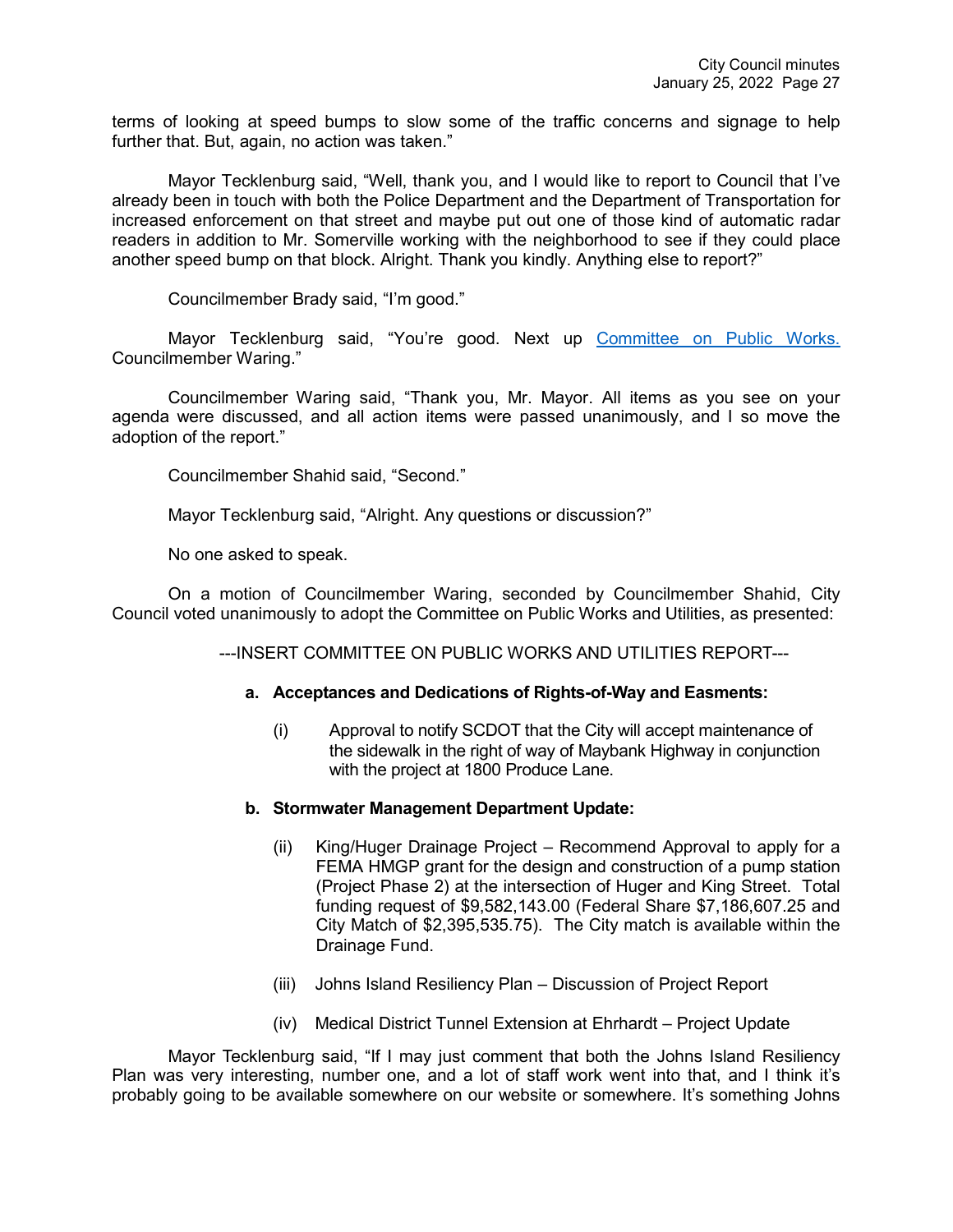terms of looking at speed bumps to slow some of the traffic concerns and signage to help further that. But, again, no action was taken."

Mayor Tecklenburg said, "Well, thank you, and I would like to report to Council that I've already been in touch with both the Police Department and the Department of Transportation for increased enforcement on that street and maybe put out one of those kind of automatic radar readers in addition to Mr. Somerville working with the neighborhood to see if they could place another speed bump on that block. Alright. Thank you kindly. Anything else to report?"

Councilmember Brady said, "I'm good."

Mayor Tecklenburg said, "You're good. Next up [Committee on Public Works.](https://youtu.be/RQy-2ofNSXI?t=8490) Councilmember Waring."

Councilmember Waring said, "Thank you, Mr. Mayor. All items as you see on your agenda were discussed, and all action items were passed unanimously, and I so move the adoption of the report."

Councilmember Shahid said, "Second."

Mayor Tecklenburg said, "Alright. Any questions or discussion?"

No one asked to speak.

On a motion of Councilmember Waring, seconded by Councilmember Shahid, City Council voted unanimously to adopt the Committee on Public Works and Utilities, as presented:

---INSERT COMMITTEE ON PUBLIC WORKS AND UTILITIES REPORT---

### **a. Acceptances and Dedications of Rights-of-Way and Easments:**

(i) Approval to notify SCDOT that the City will accept maintenance of the sidewalk in the right of way of Maybank Highway in conjunction with the project at 1800 Produce Lane.

### **b. Stormwater Management Department Update:**

- (ii) King/Huger Drainage Project Recommend Approval to apply for a FEMA HMGP grant for the design and construction of a pump station (Project Phase 2) at the intersection of Huger and King Street. Total funding request of \$9,582,143.00 (Federal Share \$7,186,607.25 and City Match of \$2,395,535.75). The City match is available within the Drainage Fund.
- (iii) Johns Island Resiliency Plan Discussion of Project Report
- (iv) Medical District Tunnel Extension at Ehrhardt Project Update

Mayor Tecklenburg said, "If I may just comment that both the Johns Island Resiliency Plan was very interesting, number one, and a lot of staff work went into that, and I think it's probably going to be available somewhere on our website or somewhere. It's something Johns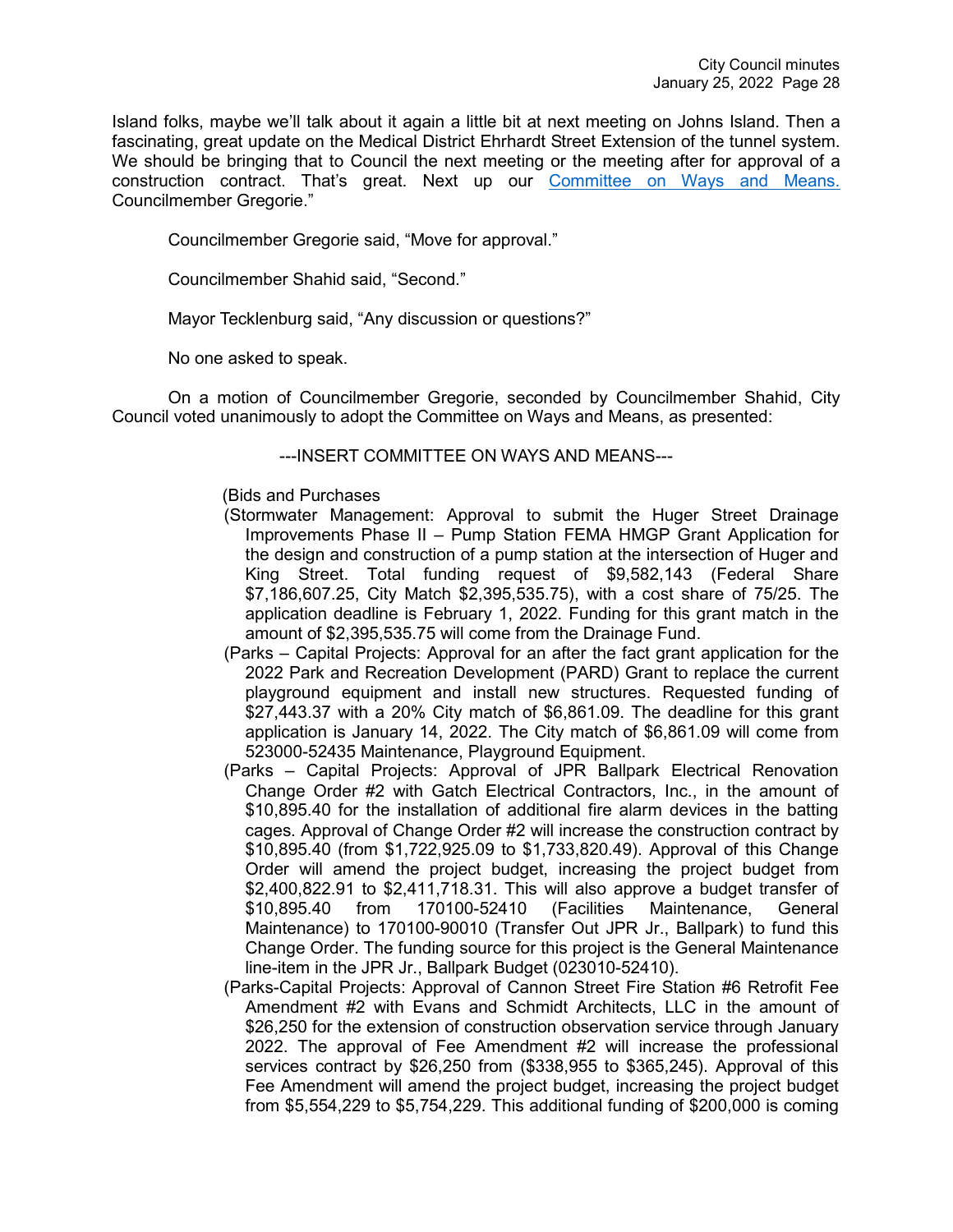Island folks, maybe we'll talk about it again a little bit at next meeting on Johns Island. Then a fascinating, great update on the Medical District Ehrhardt Street Extension of the tunnel system. We should be bringing that to Council the next meeting or the meeting after for approval of a construction contract. That's great. Next up our [Committee on Ways and Means.](https://youtu.be/RQy-2ofNSXI?t=8552) Councilmember Gregorie."

Councilmember Gregorie said, "Move for approval."

Councilmember Shahid said, "Second."

Mayor Tecklenburg said, "Any discussion or questions?"

No one asked to speak.

On a motion of Councilmember Gregorie, seconded by Councilmember Shahid, City Council voted unanimously to adopt the Committee on Ways and Means, as presented:

### ---INSERT COMMITTEE ON WAYS AND MEANS---

### (Bids and Purchases

- (Stormwater Management: Approval to submit the Huger Street Drainage Improvements Phase II – Pump Station FEMA HMGP Grant Application for the design and construction of a pump station at the intersection of Huger and King Street. Total funding request of \$9,582,143 (Federal Share \$7,186,607.25, City Match \$2,395,535.75), with a cost share of 75/25. The application deadline is February 1, 2022. Funding for this grant match in the amount of \$2,395,535.75 will come from the Drainage Fund.
- (Parks Capital Projects: Approval for an after the fact grant application for the 2022 Park and Recreation Development (PARD) Grant to replace the current playground equipment and install new structures. Requested funding of \$27,443.37 with a 20% City match of \$6,861.09. The deadline for this grant application is January 14, 2022. The City match of \$6,861.09 will come from 523000-52435 Maintenance, Playground Equipment.
- (Parks Capital Projects: Approval of JPR Ballpark Electrical Renovation Change Order #2 with Gatch Electrical Contractors, Inc., in the amount of \$10,895.40 for the installation of additional fire alarm devices in the batting cages. Approval of Change Order #2 will increase the construction contract by \$10,895.40 (from \$1,722,925.09 to \$1,733,820.49). Approval of this Change Order will amend the project budget, increasing the project budget from \$2,400,822.91 to \$2,411,718.31. This will also approve a budget transfer of \$10,895.40 from 170100-52410 (Facilities Maintenance, General Maintenance) to 170100-90010 (Transfer Out JPR Jr., Ballpark) to fund this Change Order. The funding source for this project is the General Maintenance line-item in the JPR Jr., Ballpark Budget (023010-52410).
- (Parks-Capital Projects: Approval of Cannon Street Fire Station #6 Retrofit Fee Amendment #2 with Evans and Schmidt Architects, LLC in the amount of \$26,250 for the extension of construction observation service through January 2022. The approval of Fee Amendment #2 will increase the professional services contract by \$26,250 from (\$338,955 to \$365,245). Approval of this Fee Amendment will amend the project budget, increasing the project budget from \$5,554,229 to \$5,754,229. This additional funding of \$200,000 is coming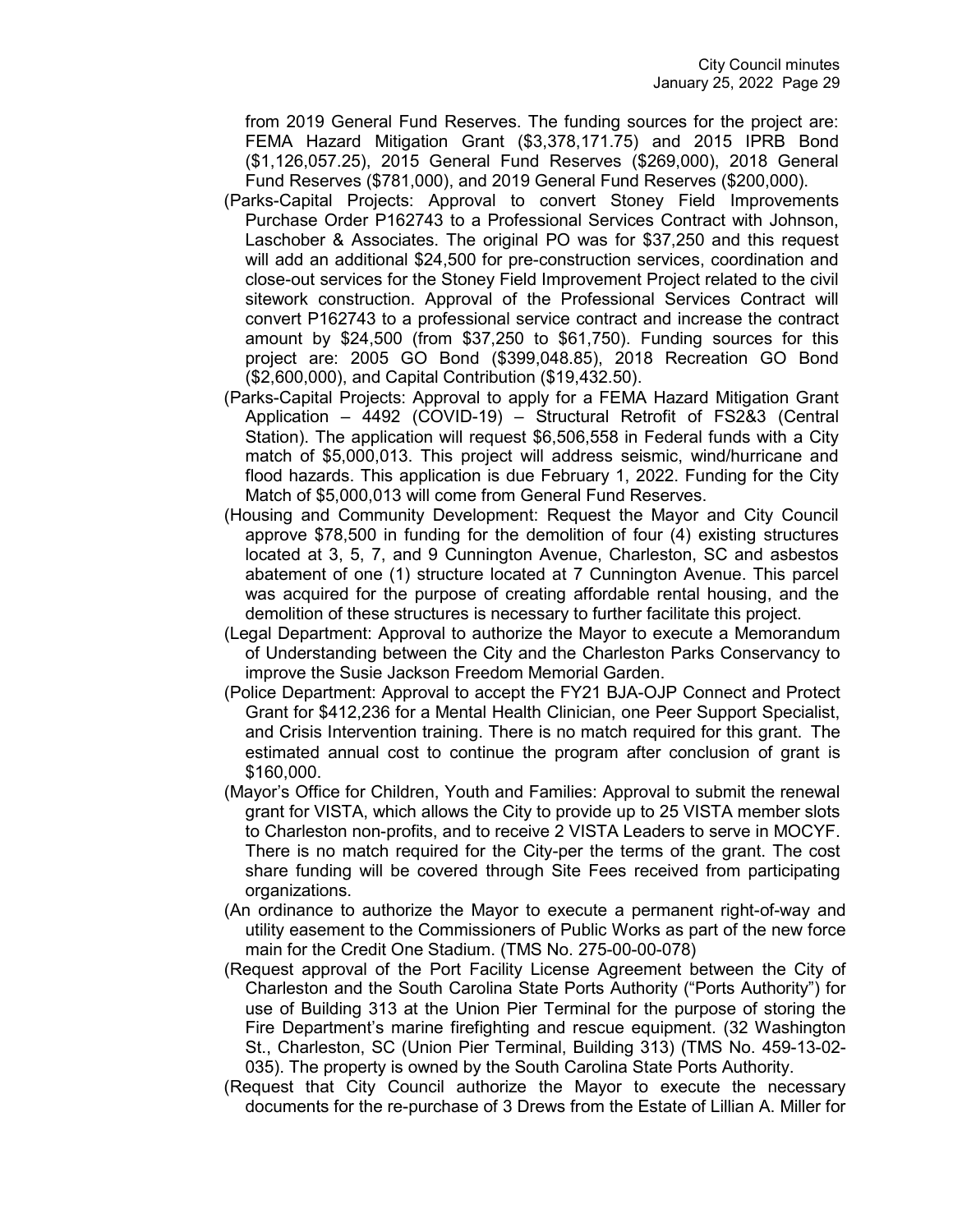from 2019 General Fund Reserves. The funding sources for the project are: FEMA Hazard Mitigation Grant (\$3,378,171.75) and 2015 IPRB Bond (\$1,126,057.25), 2015 General Fund Reserves (\$269,000), 2018 General Fund Reserves (\$781,000), and 2019 General Fund Reserves (\$200,000).

- (Parks-Capital Projects: Approval to convert Stoney Field Improvements Purchase Order P162743 to a Professional Services Contract with Johnson, Laschober & Associates. The original PO was for \$37,250 and this request will add an additional \$24,500 for pre-construction services, coordination and close-out services for the Stoney Field Improvement Project related to the civil sitework construction. Approval of the Professional Services Contract will convert P162743 to a professional service contract and increase the contract amount by \$24,500 (from \$37,250 to \$61,750). Funding sources for this project are: 2005 GO Bond (\$399,048.85), 2018 Recreation GO Bond (\$2,600,000), and Capital Contribution (\$19,432.50).
- (Parks-Capital Projects: Approval to apply for a FEMA Hazard Mitigation Grant Application – 4492 (COVID-19) – Structural Retrofit of FS2&3 (Central Station). The application will request \$6,506,558 in Federal funds with a City match of \$5,000,013. This project will address seismic, wind/hurricane and flood hazards. This application is due February 1, 2022. Funding for the City Match of \$5,000,013 will come from General Fund Reserves.
- (Housing and Community Development: Request the Mayor and City Council approve \$78,500 in funding for the demolition of four (4) existing structures located at 3, 5, 7, and 9 Cunnington Avenue, Charleston, SC and asbestos abatement of one (1) structure located at 7 Cunnington Avenue. This parcel was acquired for the purpose of creating affordable rental housing, and the demolition of these structures is necessary to further facilitate this project.
- (Legal Department: Approval to authorize the Mayor to execute a Memorandum of Understanding between the City and the Charleston Parks Conservancy to improve the Susie Jackson Freedom Memorial Garden.
- (Police Department: Approval to accept the FY21 BJA-OJP Connect and Protect Grant for \$412,236 for a Mental Health Clinician, one Peer Support Specialist, and Crisis Intervention training. There is no match required for this grant. The estimated annual cost to continue the program after conclusion of grant is \$160,000.
- (Mayor's Office for Children, Youth and Families: Approval to submit the renewal grant for VISTA, which allows the City to provide up to 25 VISTA member slots to Charleston non-profits, and to receive 2 VISTA Leaders to serve in MOCYF. There is no match required for the City-per the terms of the grant. The cost share funding will be covered through Site Fees received from participating organizations.
- (An ordinance to authorize the Mayor to execute a permanent right-of-way and utility easement to the Commissioners of Public Works as part of the new force main for the Credit One Stadium. (TMS No. 275-00-00-078)
- (Request approval of the Port Facility License Agreement between the City of Charleston and the South Carolina State Ports Authority ("Ports Authority") for use of Building 313 at the Union Pier Terminal for the purpose of storing the Fire Department's marine firefighting and rescue equipment. (32 Washington St., Charleston, SC (Union Pier Terminal, Building 313) (TMS No. 459-13-02- 035). The property is owned by the South Carolina State Ports Authority.
- (Request that City Council authorize the Mayor to execute the necessary documents for the re-purchase of 3 Drews from the Estate of Lillian A. Miller for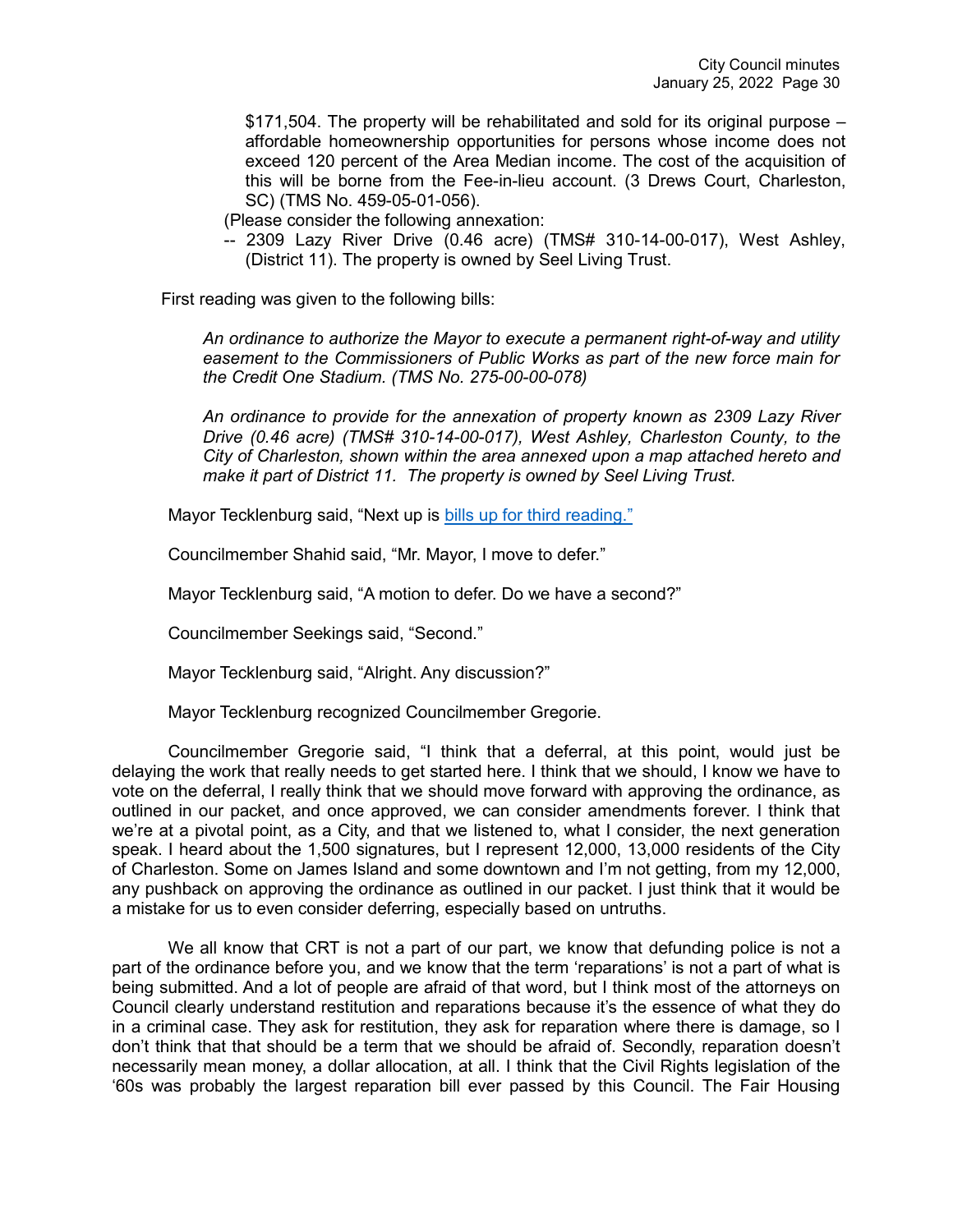\$171,504. The property will be rehabilitated and sold for its original purpose – affordable homeownership opportunities for persons whose income does not exceed 120 percent of the Area Median income. The cost of the acquisition of this will be borne from the Fee-in-lieu account. (3 Drews Court, Charleston, SC) (TMS No. 459-05-01-056).

(Please consider the following annexation:

-- 2309 Lazy River Drive (0.46 acre) (TMS# 310-14-00-017), West Ashley, (District 11). The property is owned by Seel Living Trust.

First reading was given to the following bills:

*An ordinance to authorize the Mayor to execute a permanent right-of-way and utility easement to the Commissioners of Public Works as part of the new force main for the Credit One Stadium. (TMS No. 275-00-00-078)*

*An ordinance to provide for the annexation of property known as 2309 Lazy River Drive (0.46 acre) (TMS# 310-14-00-017), West Ashley, Charleston County, to the City of Charleston, shown within the area annexed upon a map attached hereto and make it part of District 11. The property is owned by Seel Living Trust.*

Mayor Tecklenburg said, "Next up is [bills up for third reading."](https://youtu.be/RQy-2ofNSXI?t=8563)

Councilmember Shahid said, "Mr. Mayor, I move to defer."

Mayor Tecklenburg said, "A motion to defer. Do we have a second?"

Councilmember Seekings said, "Second."

Mayor Tecklenburg said, "Alright. Any discussion?"

Mayor Tecklenburg recognized Councilmember Gregorie.

Councilmember Gregorie said, "I think that a deferral, at this point, would just be delaying the work that really needs to get started here. I think that we should, I know we have to vote on the deferral, I really think that we should move forward with approving the ordinance, as outlined in our packet, and once approved, we can consider amendments forever. I think that we're at a pivotal point, as a City, and that we listened to, what I consider, the next generation speak. I heard about the 1,500 signatures, but I represent 12,000, 13,000 residents of the City of Charleston. Some on James Island and some downtown and I'm not getting, from my 12,000, any pushback on approving the ordinance as outlined in our packet. I just think that it would be a mistake for us to even consider deferring, especially based on untruths.

We all know that CRT is not a part of our part, we know that defunding police is not a part of the ordinance before you, and we know that the term 'reparations' is not a part of what is being submitted. And a lot of people are afraid of that word, but I think most of the attorneys on Council clearly understand restitution and reparations because it's the essence of what they do in a criminal case. They ask for restitution, they ask for reparation where there is damage, so I don't think that that should be a term that we should be afraid of. Secondly, reparation doesn't necessarily mean money, a dollar allocation, at all. I think that the Civil Rights legislation of the '60s was probably the largest reparation bill ever passed by this Council. The Fair Housing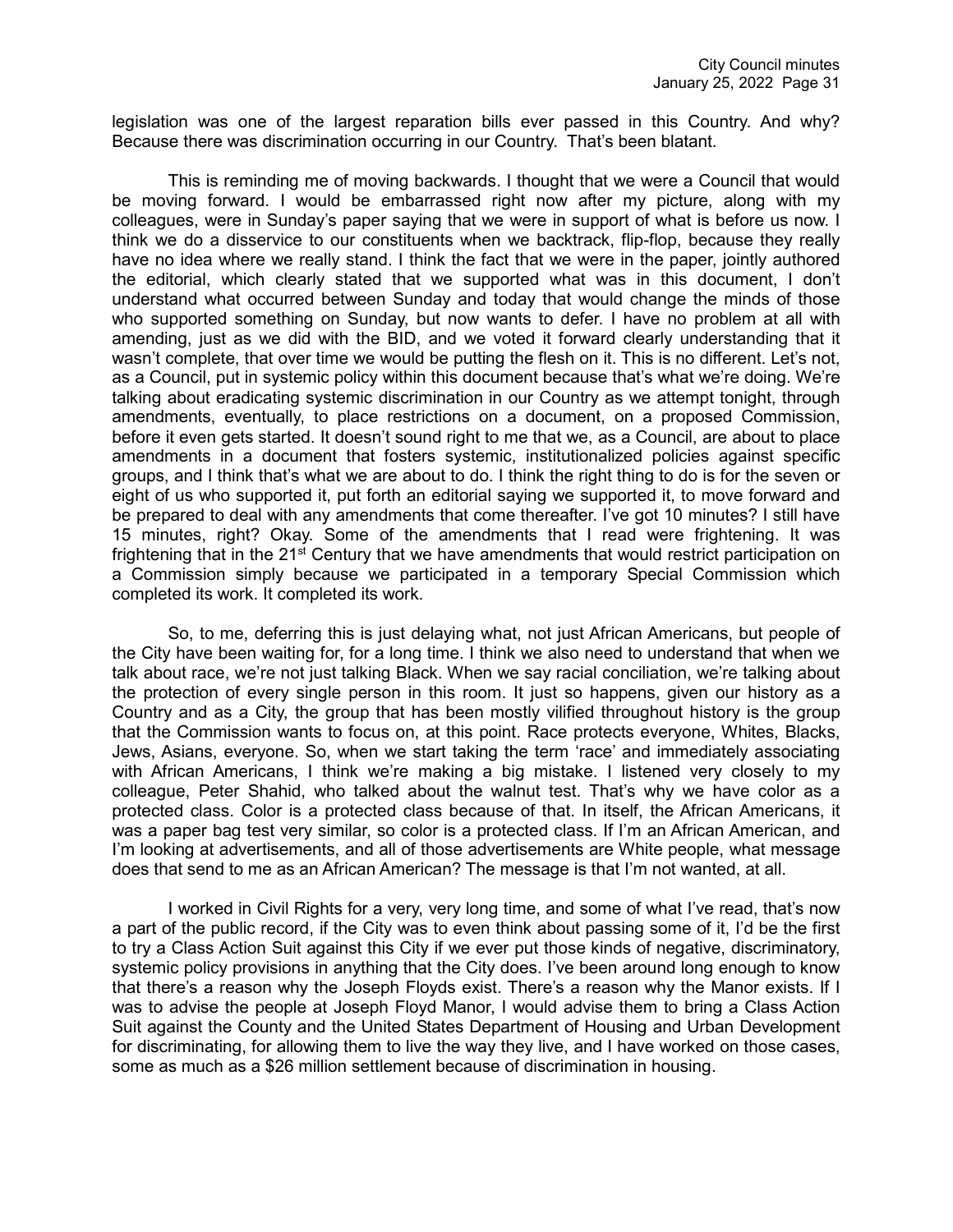legislation was one of the largest reparation bills ever passed in this Country. And why? Because there was discrimination occurring in our Country. That's been blatant.

This is reminding me of moving backwards. I thought that we were a Council that would be moving forward. I would be embarrassed right now after my picture, along with my colleagues, were in Sunday's paper saying that we were in support of what is before us now. I think we do a disservice to our constituents when we backtrack, flip-flop, because they really have no idea where we really stand. I think the fact that we were in the paper, jointly authored the editorial, which clearly stated that we supported what was in this document, I don't understand what occurred between Sunday and today that would change the minds of those who supported something on Sunday, but now wants to defer. I have no problem at all with amending, just as we did with the BID, and we voted it forward clearly understanding that it wasn't complete, that over time we would be putting the flesh on it. This is no different. Let's not, as a Council, put in systemic policy within this document because that's what we're doing. We're talking about eradicating systemic discrimination in our Country as we attempt tonight, through amendments, eventually, to place restrictions on a document, on a proposed Commission, before it even gets started. It doesn't sound right to me that we, as a Council, are about to place amendments in a document that fosters systemic, institutionalized policies against specific groups, and I think that's what we are about to do. I think the right thing to do is for the seven or eight of us who supported it, put forth an editorial saying we supported it, to move forward and be prepared to deal with any amendments that come thereafter. I've got 10 minutes? I still have 15 minutes, right? Okay. Some of the amendments that I read were frightening. It was frightening that in the  $21<sup>st</sup>$  Century that we have amendments that would restrict participation on a Commission simply because we participated in a temporary Special Commission which completed its work. It completed its work.

So, to me, deferring this is just delaying what, not just African Americans, but people of the City have been waiting for, for a long time. I think we also need to understand that when we talk about race, we're not just talking Black. When we say racial conciliation, we're talking about the protection of every single person in this room. It just so happens, given our history as a Country and as a City, the group that has been mostly vilified throughout history is the group that the Commission wants to focus on, at this point. Race protects everyone, Whites, Blacks, Jews, Asians, everyone. So, when we start taking the term 'race' and immediately associating with African Americans, I think we're making a big mistake. I listened very closely to my colleague, Peter Shahid, who talked about the walnut test. That's why we have color as a protected class. Color is a protected class because of that. In itself, the African Americans, it was a paper bag test very similar, so color is a protected class. If I'm an African American, and I'm looking at advertisements, and all of those advertisements are White people, what message does that send to me as an African American? The message is that I'm not wanted, at all.

I worked in Civil Rights for a very, very long time, and some of what I've read, that's now a part of the public record, if the City was to even think about passing some of it, I'd be the first to try a Class Action Suit against this City if we ever put those kinds of negative, discriminatory, systemic policy provisions in anything that the City does. I've been around long enough to know that there's a reason why the Joseph Floyds exist. There's a reason why the Manor exists. If I was to advise the people at Joseph Floyd Manor, I would advise them to bring a Class Action Suit against the County and the United States Department of Housing and Urban Development for discriminating, for allowing them to live the way they live, and I have worked on those cases, some as much as a \$26 million settlement because of discrimination in housing.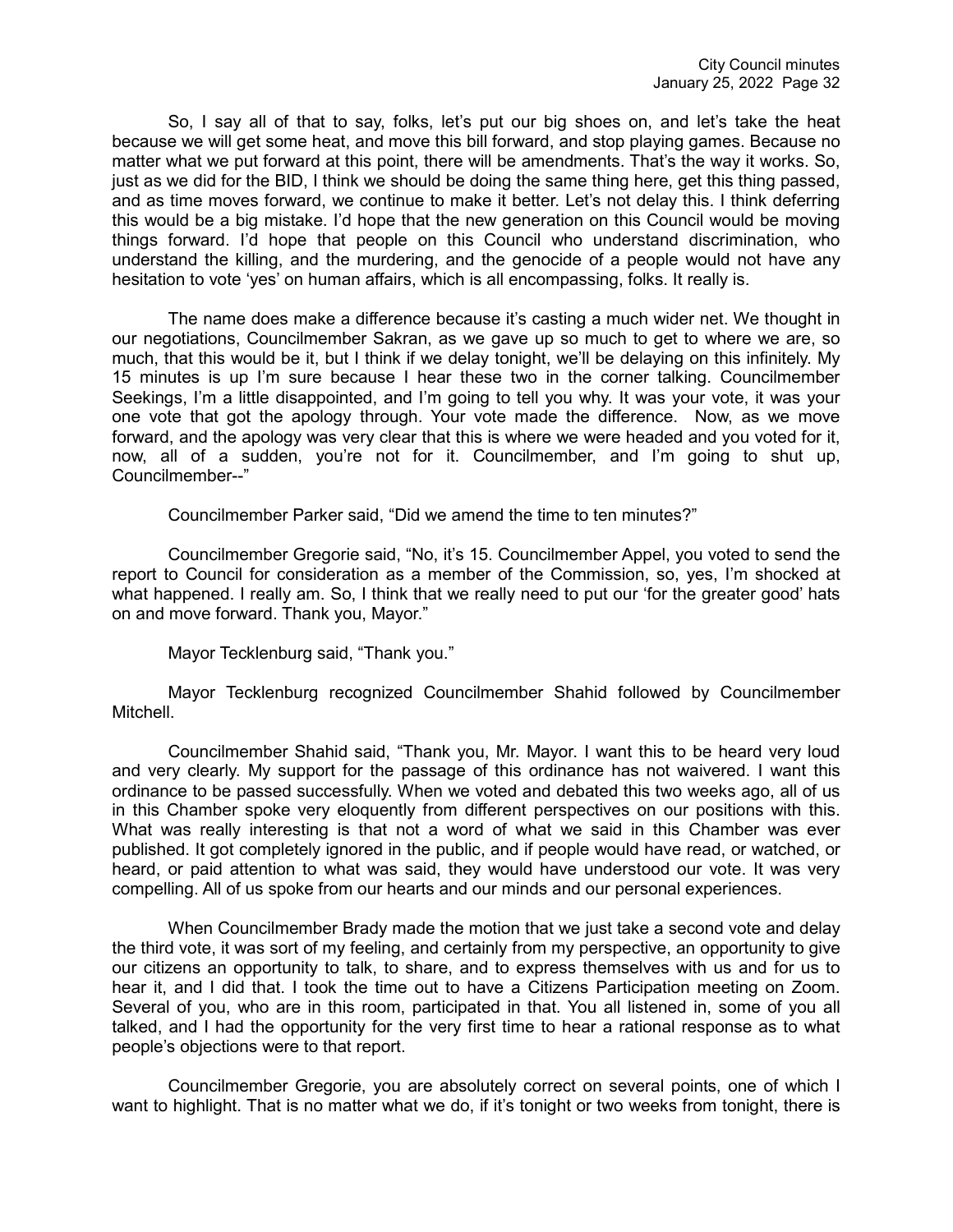So, I say all of that to say, folks, let's put our big shoes on, and let's take the heat because we will get some heat, and move this bill forward, and stop playing games. Because no matter what we put forward at this point, there will be amendments. That's the way it works. So, just as we did for the BID, I think we should be doing the same thing here, get this thing passed, and as time moves forward, we continue to make it better. Let's not delay this. I think deferring this would be a big mistake. I'd hope that the new generation on this Council would be moving things forward. I'd hope that people on this Council who understand discrimination, who understand the killing, and the murdering, and the genocide of a people would not have any hesitation to vote 'yes' on human affairs, which is all encompassing, folks. It really is.

The name does make a difference because it's casting a much wider net. We thought in our negotiations, Councilmember Sakran, as we gave up so much to get to where we are, so much, that this would be it, but I think if we delay tonight, we'll be delaying on this infinitely. My 15 minutes is up I'm sure because I hear these two in the corner talking. Councilmember Seekings, I'm a little disappointed, and I'm going to tell you why. It was your vote, it was your one vote that got the apology through. Your vote made the difference. Now, as we move forward, and the apology was very clear that this is where we were headed and you voted for it, now, all of a sudden, you're not for it. Councilmember, and I'm going to shut up, Councilmember--"

Councilmember Parker said, "Did we amend the time to ten minutes?"

Councilmember Gregorie said, "No, it's 15. Councilmember Appel, you voted to send the report to Council for consideration as a member of the Commission, so, yes, I'm shocked at what happened. I really am. So, I think that we really need to put our 'for the greater good' hats on and move forward. Thank you, Mayor."

Mayor Tecklenburg said, "Thank you."

Mayor Tecklenburg recognized Councilmember Shahid followed by Councilmember Mitchell.

Councilmember Shahid said, "Thank you, Mr. Mayor. I want this to be heard very loud and very clearly. My support for the passage of this ordinance has not waivered. I want this ordinance to be passed successfully. When we voted and debated this two weeks ago, all of us in this Chamber spoke very eloquently from different perspectives on our positions with this. What was really interesting is that not a word of what we said in this Chamber was ever published. It got completely ignored in the public, and if people would have read, or watched, or heard, or paid attention to what was said, they would have understood our vote. It was very compelling. All of us spoke from our hearts and our minds and our personal experiences.

When Councilmember Brady made the motion that we just take a second vote and delay the third vote, it was sort of my feeling, and certainly from my perspective, an opportunity to give our citizens an opportunity to talk, to share, and to express themselves with us and for us to hear it, and I did that. I took the time out to have a Citizens Participation meeting on Zoom. Several of you, who are in this room, participated in that. You all listened in, some of you all talked, and I had the opportunity for the very first time to hear a rational response as to what people's objections were to that report.

Councilmember Gregorie, you are absolutely correct on several points, one of which I want to highlight. That is no matter what we do, if it's tonight or two weeks from tonight, there is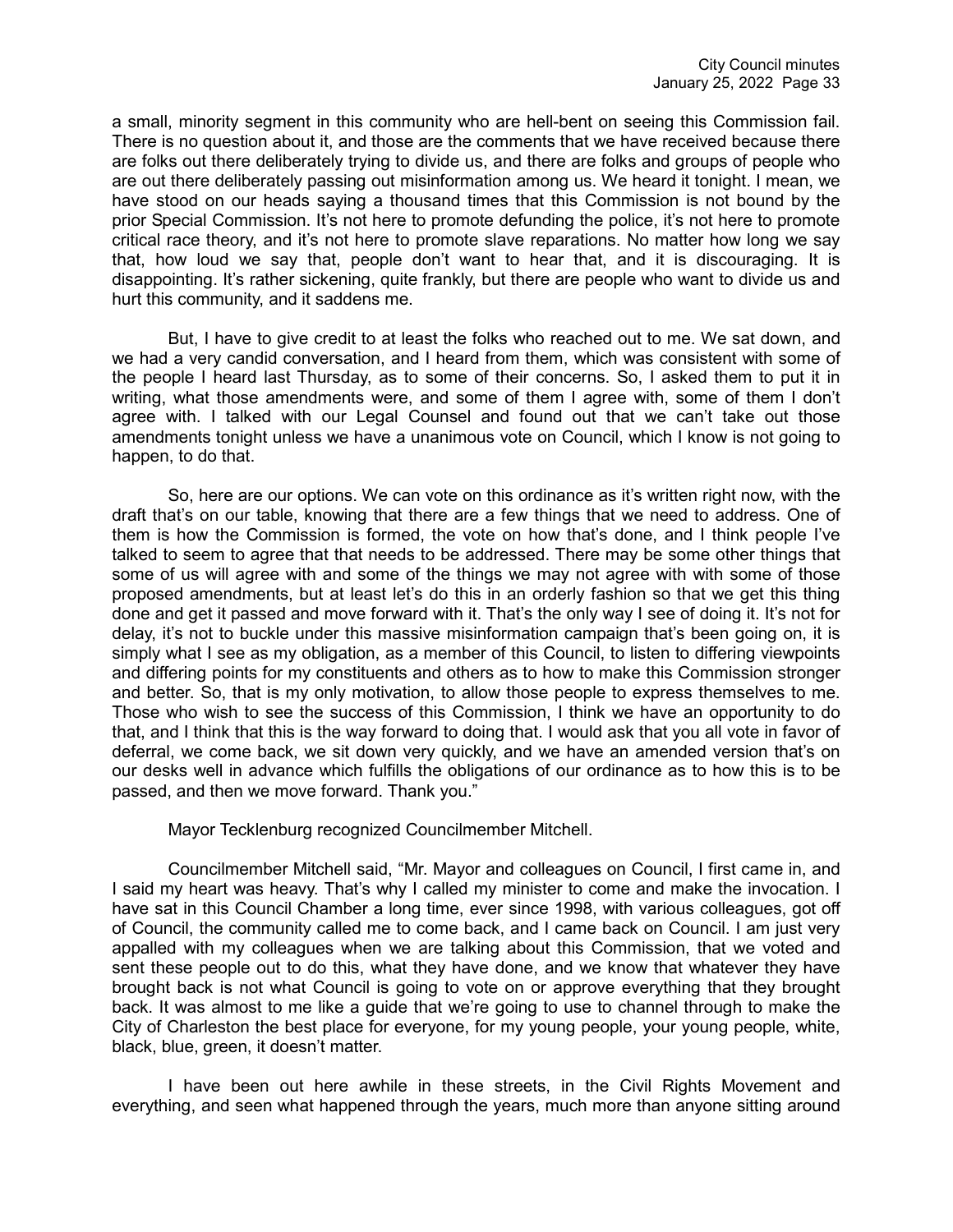a small, minority segment in this community who are hell-bent on seeing this Commission fail. There is no question about it, and those are the comments that we have received because there are folks out there deliberately trying to divide us, and there are folks and groups of people who are out there deliberately passing out misinformation among us. We heard it tonight. I mean, we have stood on our heads saying a thousand times that this Commission is not bound by the prior Special Commission. It's not here to promote defunding the police, it's not here to promote critical race theory, and it's not here to promote slave reparations. No matter how long we say that, how loud we say that, people don't want to hear that, and it is discouraging. It is disappointing. It's rather sickening, quite frankly, but there are people who want to divide us and hurt this community, and it saddens me.

But, I have to give credit to at least the folks who reached out to me. We sat down, and we had a very candid conversation, and I heard from them, which was consistent with some of the people I heard last Thursday, as to some of their concerns. So, I asked them to put it in writing, what those amendments were, and some of them I agree with, some of them I don't agree with. I talked with our Legal Counsel and found out that we can't take out those amendments tonight unless we have a unanimous vote on Council, which I know is not going to happen, to do that.

So, here are our options. We can vote on this ordinance as it's written right now, with the draft that's on our table, knowing that there are a few things that we need to address. One of them is how the Commission is formed, the vote on how that's done, and I think people I've talked to seem to agree that that needs to be addressed. There may be some other things that some of us will agree with and some of the things we may not agree with with some of those proposed amendments, but at least let's do this in an orderly fashion so that we get this thing done and get it passed and move forward with it. That's the only way I see of doing it. It's not for delay, it's not to buckle under this massive misinformation campaign that's been going on, it is simply what I see as my obligation, as a member of this Council, to listen to differing viewpoints and differing points for my constituents and others as to how to make this Commission stronger and better. So, that is my only motivation, to allow those people to express themselves to me. Those who wish to see the success of this Commission, I think we have an opportunity to do that, and I think that this is the way forward to doing that. I would ask that you all vote in favor of deferral, we come back, we sit down very quickly, and we have an amended version that's on our desks well in advance which fulfills the obligations of our ordinance as to how this is to be passed, and then we move forward. Thank you."

Mayor Tecklenburg recognized Councilmember Mitchell.

Councilmember Mitchell said, "Mr. Mayor and colleagues on Council, I first came in, and I said my heart was heavy. That's why I called my minister to come and make the invocation. I have sat in this Council Chamber a long time, ever since 1998, with various colleagues, got off of Council, the community called me to come back, and I came back on Council. I am just very appalled with my colleagues when we are talking about this Commission, that we voted and sent these people out to do this, what they have done, and we know that whatever they have brought back is not what Council is going to vote on or approve everything that they brought back. It was almost to me like a guide that we're going to use to channel through to make the City of Charleston the best place for everyone, for my young people, your young people, white, black, blue, green, it doesn't matter.

I have been out here awhile in these streets, in the Civil Rights Movement and everything, and seen what happened through the years, much more than anyone sitting around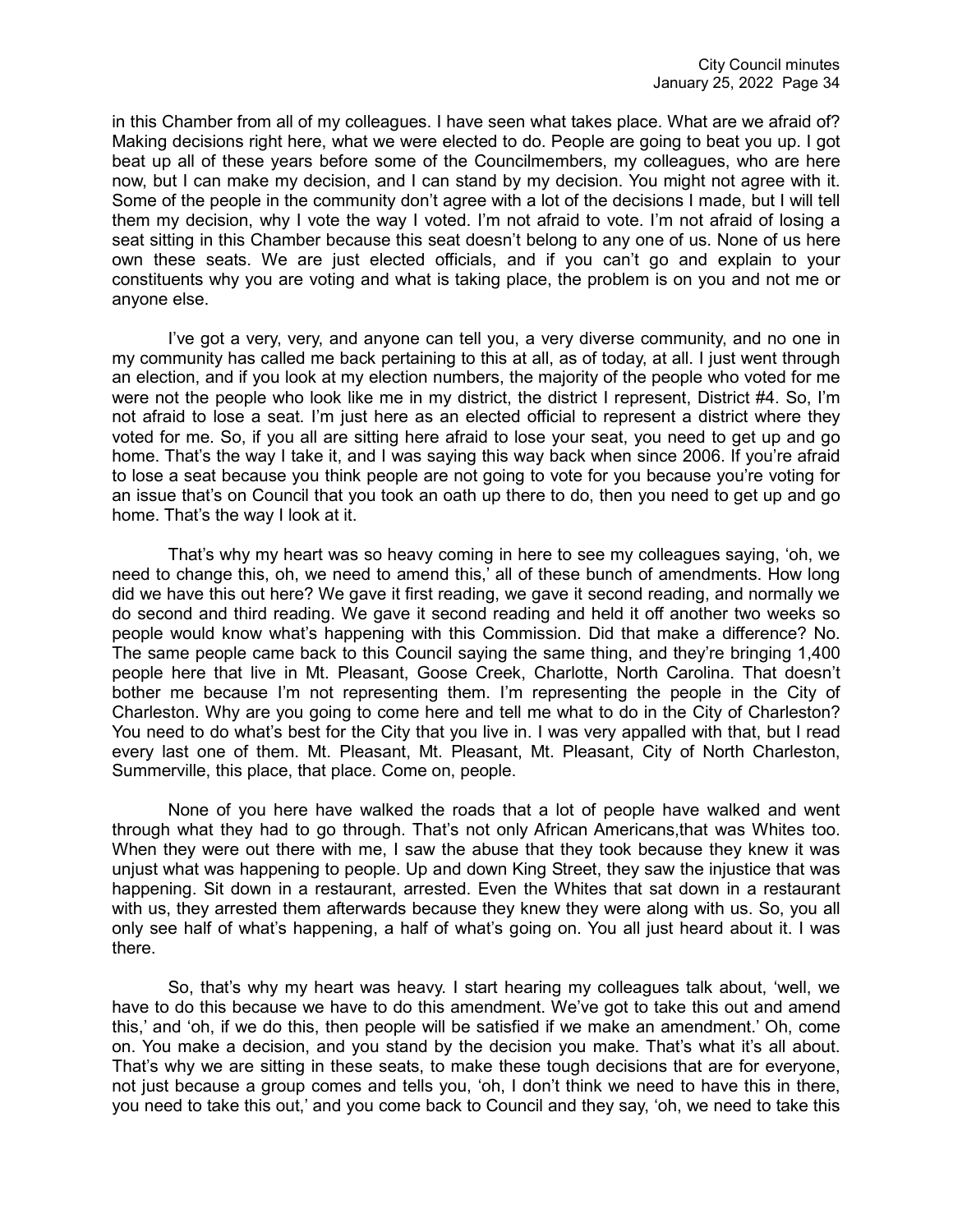in this Chamber from all of my colleagues. I have seen what takes place. What are we afraid of? Making decisions right here, what we were elected to do. People are going to beat you up. I got beat up all of these years before some of the Councilmembers, my colleagues, who are here now, but I can make my decision, and I can stand by my decision. You might not agree with it. Some of the people in the community don't agree with a lot of the decisions I made, but I will tell them my decision, why I vote the way I voted. I'm not afraid to vote. I'm not afraid of losing a seat sitting in this Chamber because this seat doesn't belong to any one of us. None of us here own these seats. We are just elected officials, and if you can't go and explain to your constituents why you are voting and what is taking place, the problem is on you and not me or anyone else.

I've got a very, very, and anyone can tell you, a very diverse community, and no one in my community has called me back pertaining to this at all, as of today, at all. I just went through an election, and if you look at my election numbers, the majority of the people who voted for me were not the people who look like me in my district, the district I represent, District #4. So, I'm not afraid to lose a seat. I'm just here as an elected official to represent a district where they voted for me. So, if you all are sitting here afraid to lose your seat, you need to get up and go home. That's the way I take it, and I was saying this way back when since 2006. If you're afraid to lose a seat because you think people are not going to vote for you because you're voting for an issue that's on Council that you took an oath up there to do, then you need to get up and go home. That's the way I look at it.

That's why my heart was so heavy coming in here to see my colleagues saying, 'oh, we need to change this, oh, we need to amend this,' all of these bunch of amendments. How long did we have this out here? We gave it first reading, we gave it second reading, and normally we do second and third reading. We gave it second reading and held it off another two weeks so people would know what's happening with this Commission. Did that make a difference? No. The same people came back to this Council saying the same thing, and they're bringing 1,400 people here that live in Mt. Pleasant, Goose Creek, Charlotte, North Carolina. That doesn't bother me because I'm not representing them. I'm representing the people in the City of Charleston. Why are you going to come here and tell me what to do in the City of Charleston? You need to do what's best for the City that you live in. I was very appalled with that, but I read every last one of them. Mt. Pleasant, Mt. Pleasant, Mt. Pleasant, City of North Charleston, Summerville, this place, that place. Come on, people.

None of you here have walked the roads that a lot of people have walked and went through what they had to go through. That's not only African Americans,that was Whites too. When they were out there with me, I saw the abuse that they took because they knew it was unjust what was happening to people. Up and down King Street, they saw the injustice that was happening. Sit down in a restaurant, arrested. Even the Whites that sat down in a restaurant with us, they arrested them afterwards because they knew they were along with us. So, you all only see half of what's happening, a half of what's going on. You all just heard about it. I was there.

So, that's why my heart was heavy. I start hearing my colleagues talk about, 'well, we have to do this because we have to do this amendment. We've got to take this out and amend this,' and 'oh, if we do this, then people will be satisfied if we make an amendment.' Oh, come on. You make a decision, and you stand by the decision you make. That's what it's all about. That's why we are sitting in these seats, to make these tough decisions that are for everyone, not just because a group comes and tells you, 'oh, I don't think we need to have this in there, you need to take this out,' and you come back to Council and they say, 'oh, we need to take this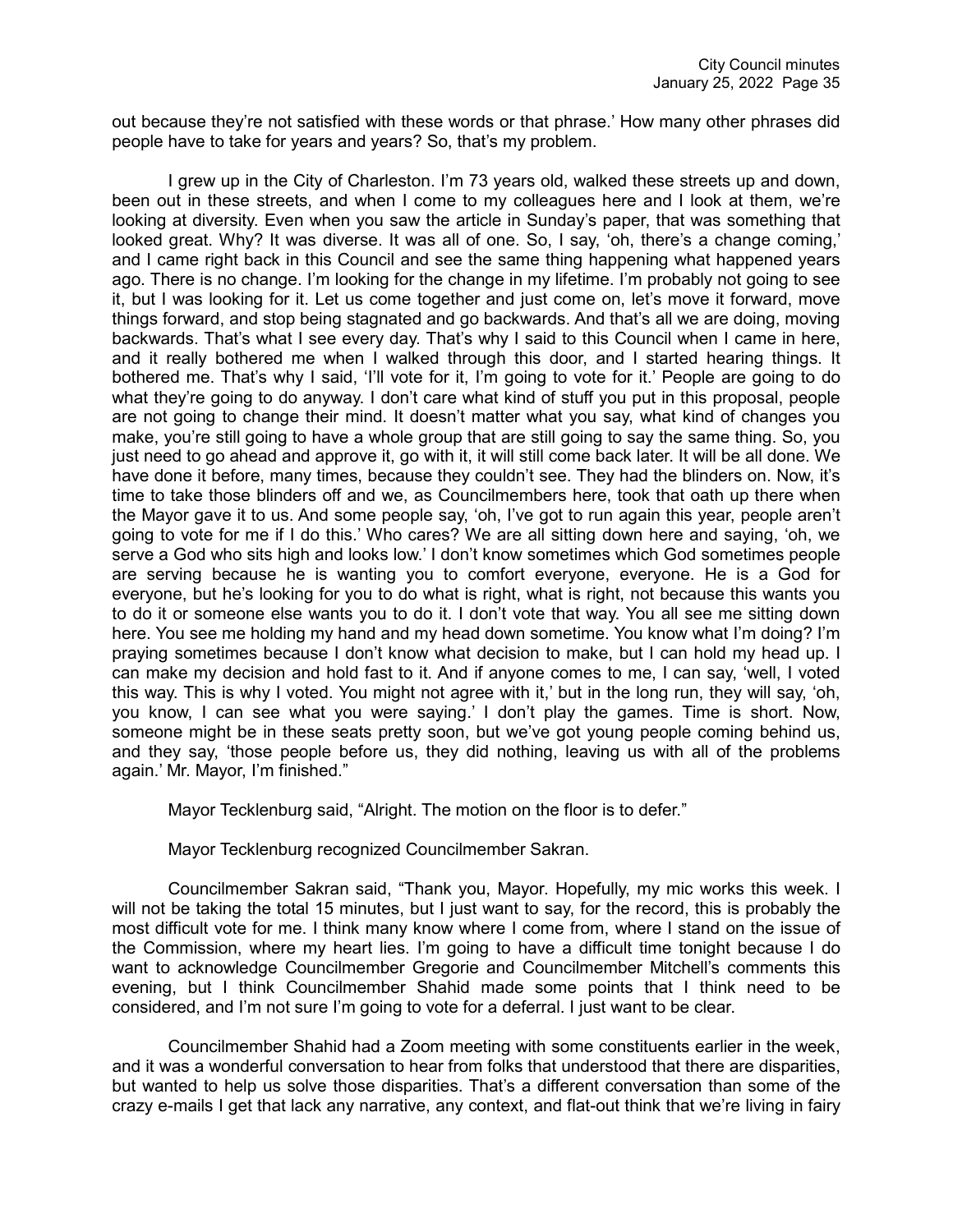out because they're not satisfied with these words or that phrase.' How many other phrases did people have to take for years and years? So, that's my problem.

I grew up in the City of Charleston. I'm 73 years old, walked these streets up and down, been out in these streets, and when I come to my colleagues here and I look at them, we're looking at diversity. Even when you saw the article in Sunday's paper, that was something that looked great. Why? It was diverse. It was all of one. So, I say, 'oh, there's a change coming,' and I came right back in this Council and see the same thing happening what happened years ago. There is no change. I'm looking for the change in my lifetime. I'm probably not going to see it, but I was looking for it. Let us come together and just come on, let's move it forward, move things forward, and stop being stagnated and go backwards. And that's all we are doing, moving backwards. That's what I see every day. That's why I said to this Council when I came in here, and it really bothered me when I walked through this door, and I started hearing things. It bothered me. That's why I said, 'I'll vote for it, I'm going to vote for it.' People are going to do what they're going to do anyway. I don't care what kind of stuff you put in this proposal, people are not going to change their mind. It doesn't matter what you say, what kind of changes you make, you're still going to have a whole group that are still going to say the same thing. So, you just need to go ahead and approve it, go with it, it will still come back later. It will be all done. We have done it before, many times, because they couldn't see. They had the blinders on. Now, it's time to take those blinders off and we, as Councilmembers here, took that oath up there when the Mayor gave it to us. And some people say, 'oh, I've got to run again this year, people aren't going to vote for me if I do this.' Who cares? We are all sitting down here and saying, 'oh, we serve a God who sits high and looks low.' I don't know sometimes which God sometimes people are serving because he is wanting you to comfort everyone, everyone. He is a God for everyone, but he's looking for you to do what is right, what is right, not because this wants you to do it or someone else wants you to do it. I don't vote that way. You all see me sitting down here. You see me holding my hand and my head down sometime. You know what I'm doing? I'm praying sometimes because I don't know what decision to make, but I can hold my head up. I can make my decision and hold fast to it. And if anyone comes to me, I can say, 'well, I voted this way. This is why I voted. You might not agree with it,' but in the long run, they will say, 'oh, you know, I can see what you were saying.' I don't play the games. Time is short. Now, someone might be in these seats pretty soon, but we've got young people coming behind us, and they say, 'those people before us, they did nothing, leaving us with all of the problems again.' Mr. Mayor, I'm finished."

Mayor Tecklenburg said, "Alright. The motion on the floor is to defer."

Mayor Tecklenburg recognized Councilmember Sakran.

Councilmember Sakran said, "Thank you, Mayor. Hopefully, my mic works this week. I will not be taking the total 15 minutes, but I just want to say, for the record, this is probably the most difficult vote for me. I think many know where I come from, where I stand on the issue of the Commission, where my heart lies. I'm going to have a difficult time tonight because I do want to acknowledge Councilmember Gregorie and Councilmember Mitchell's comments this evening, but I think Councilmember Shahid made some points that I think need to be considered, and I'm not sure I'm going to vote for a deferral. I just want to be clear.

Councilmember Shahid had a Zoom meeting with some constituents earlier in the week, and it was a wonderful conversation to hear from folks that understood that there are disparities, but wanted to help us solve those disparities. That's a different conversation than some of the crazy e-mails I get that lack any narrative, any context, and flat-out think that we're living in fairy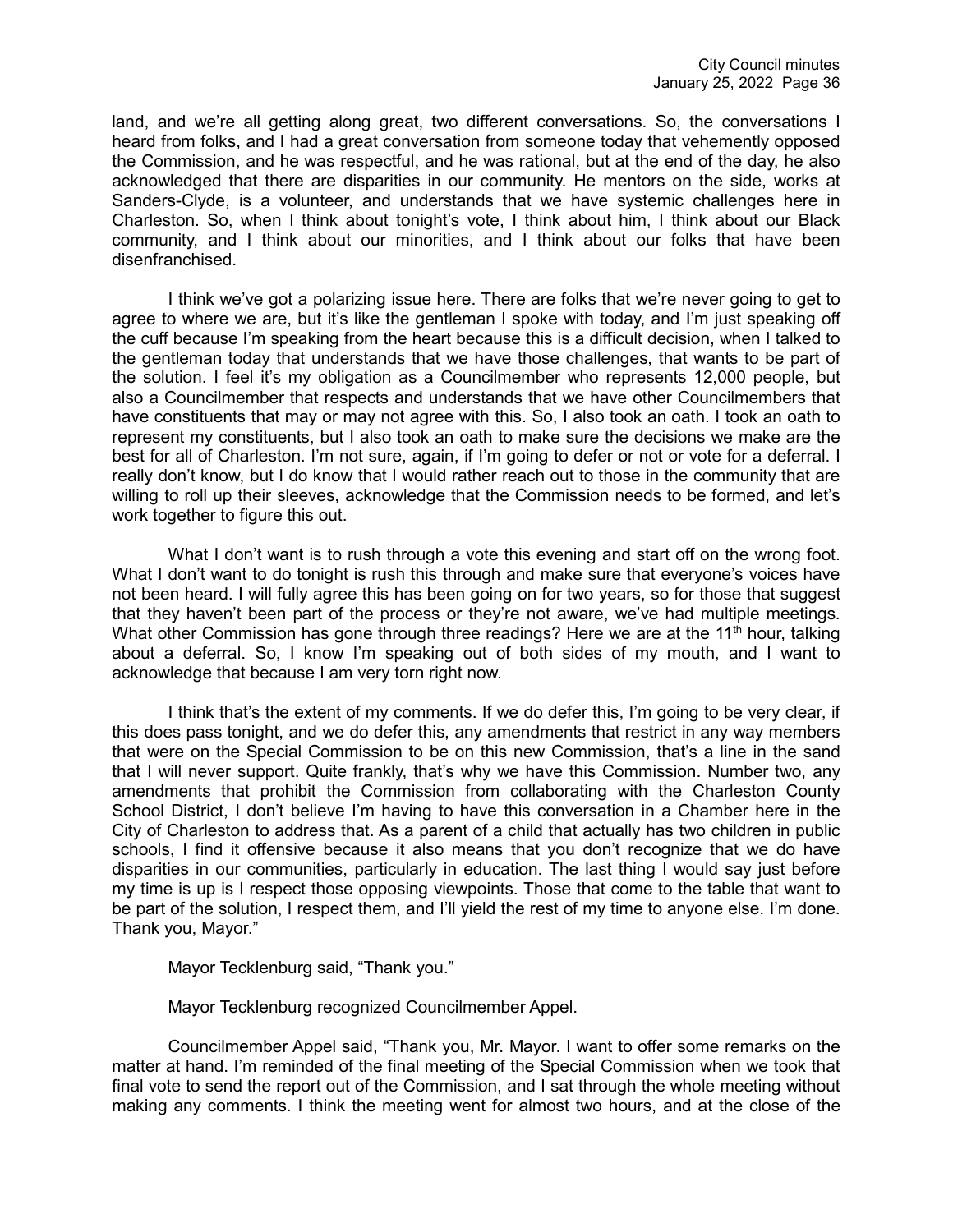land, and we're all getting along great, two different conversations. So, the conversations I heard from folks, and I had a great conversation from someone today that vehemently opposed the Commission, and he was respectful, and he was rational, but at the end of the day, he also acknowledged that there are disparities in our community. He mentors on the side, works at Sanders-Clyde, is a volunteer, and understands that we have systemic challenges here in Charleston. So, when I think about tonight's vote, I think about him, I think about our Black community, and I think about our minorities, and I think about our folks that have been disenfranchised.

I think we've got a polarizing issue here. There are folks that we're never going to get to agree to where we are, but it's like the gentleman I spoke with today, and I'm just speaking off the cuff because I'm speaking from the heart because this is a difficult decision, when I talked to the gentleman today that understands that we have those challenges, that wants to be part of the solution. I feel it's my obligation as a Councilmember who represents 12,000 people, but also a Councilmember that respects and understands that we have other Councilmembers that have constituents that may or may not agree with this. So, I also took an oath. I took an oath to represent my constituents, but I also took an oath to make sure the decisions we make are the best for all of Charleston. I'm not sure, again, if I'm going to defer or not or vote for a deferral. I really don't know, but I do know that I would rather reach out to those in the community that are willing to roll up their sleeves, acknowledge that the Commission needs to be formed, and let's work together to figure this out.

What I don't want is to rush through a vote this evening and start off on the wrong foot. What I don't want to do tonight is rush this through and make sure that everyone's voices have not been heard. I will fully agree this has been going on for two years, so for those that suggest that they haven't been part of the process or they're not aware, we've had multiple meetings. What other Commission has gone through three readings? Here we are at the 11<sup>th</sup> hour, talking about a deferral. So, I know I'm speaking out of both sides of my mouth, and I want to acknowledge that because I am very torn right now.

I think that's the extent of my comments. If we do defer this, I'm going to be very clear, if this does pass tonight, and we do defer this, any amendments that restrict in any way members that were on the Special Commission to be on this new Commission, that's a line in the sand that I will never support. Quite frankly, that's why we have this Commission. Number two, any amendments that prohibit the Commission from collaborating with the Charleston County School District, I don't believe I'm having to have this conversation in a Chamber here in the City of Charleston to address that. As a parent of a child that actually has two children in public schools, I find it offensive because it also means that you don't recognize that we do have disparities in our communities, particularly in education. The last thing I would say just before my time is up is I respect those opposing viewpoints. Those that come to the table that want to be part of the solution, I respect them, and I'll yield the rest of my time to anyone else. I'm done. Thank you, Mayor."

Mayor Tecklenburg said, "Thank you."

Mayor Tecklenburg recognized Councilmember Appel.

Councilmember Appel said, "Thank you, Mr. Mayor. I want to offer some remarks on the matter at hand. I'm reminded of the final meeting of the Special Commission when we took that final vote to send the report out of the Commission, and I sat through the whole meeting without making any comments. I think the meeting went for almost two hours, and at the close of the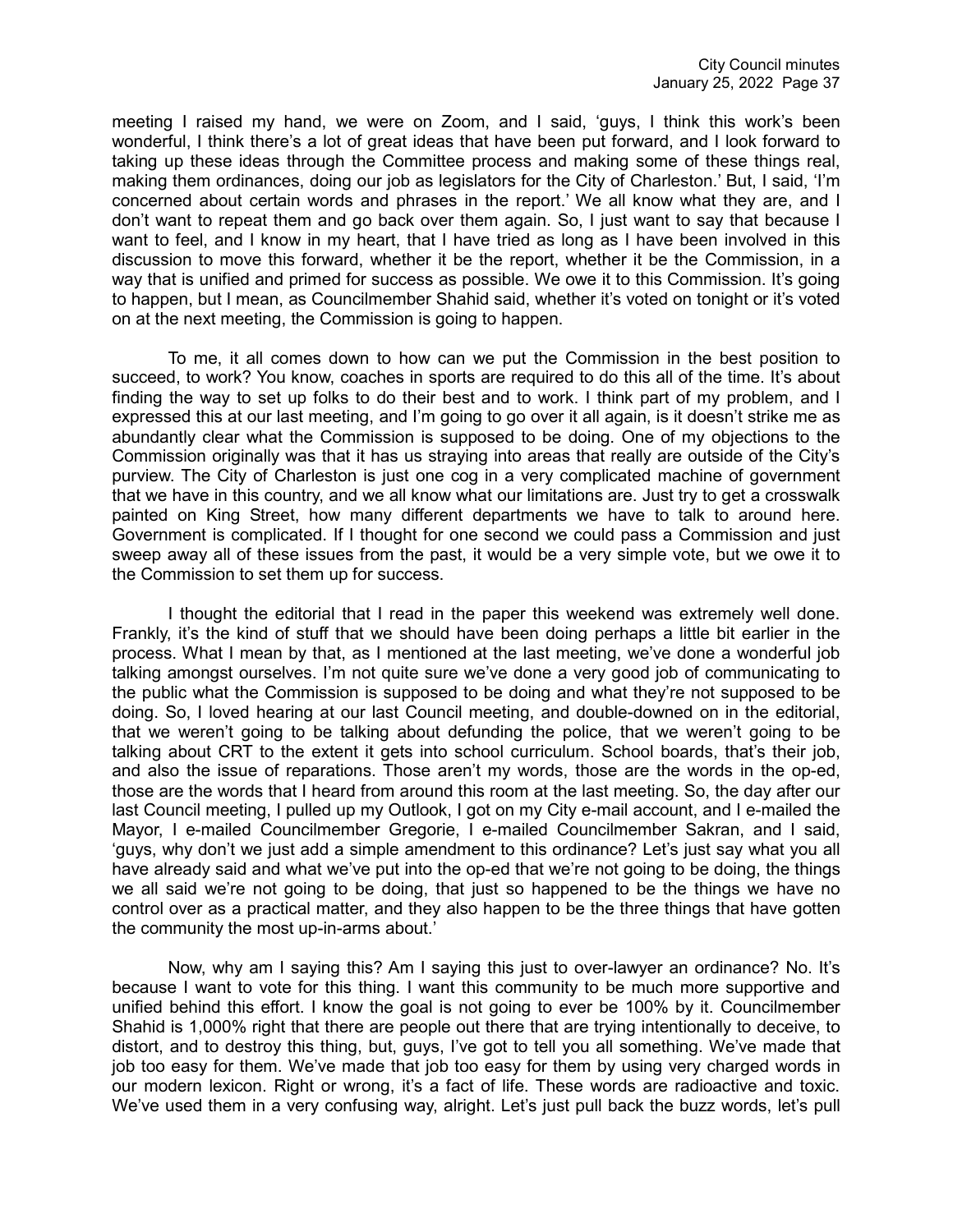meeting I raised my hand, we were on Zoom, and I said, 'guys, I think this work's been wonderful, I think there's a lot of great ideas that have been put forward, and I look forward to taking up these ideas through the Committee process and making some of these things real, making them ordinances, doing our job as legislators for the City of Charleston.' But, I said, 'I'm concerned about certain words and phrases in the report.' We all know what they are, and I don't want to repeat them and go back over them again. So, I just want to say that because I want to feel, and I know in my heart, that I have tried as long as I have been involved in this discussion to move this forward, whether it be the report, whether it be the Commission, in a way that is unified and primed for success as possible. We owe it to this Commission. It's going to happen, but I mean, as Councilmember Shahid said, whether it's voted on tonight or it's voted on at the next meeting, the Commission is going to happen.

To me, it all comes down to how can we put the Commission in the best position to succeed, to work? You know, coaches in sports are required to do this all of the time. It's about finding the way to set up folks to do their best and to work. I think part of my problem, and I expressed this at our last meeting, and I'm going to go over it all again, is it doesn't strike me as abundantly clear what the Commission is supposed to be doing. One of my objections to the Commission originally was that it has us straying into areas that really are outside of the City's purview. The City of Charleston is just one cog in a very complicated machine of government that we have in this country, and we all know what our limitations are. Just try to get a crosswalk painted on King Street, how many different departments we have to talk to around here. Government is complicated. If I thought for one second we could pass a Commission and just sweep away all of these issues from the past, it would be a very simple vote, but we owe it to the Commission to set them up for success.

I thought the editorial that I read in the paper this weekend was extremely well done. Frankly, it's the kind of stuff that we should have been doing perhaps a little bit earlier in the process. What I mean by that, as I mentioned at the last meeting, we've done a wonderful job talking amongst ourselves. I'm not quite sure we've done a very good job of communicating to the public what the Commission is supposed to be doing and what they're not supposed to be doing. So, I loved hearing at our last Council meeting, and double-downed on in the editorial, that we weren't going to be talking about defunding the police, that we weren't going to be talking about CRT to the extent it gets into school curriculum. School boards, that's their job, and also the issue of reparations. Those aren't my words, those are the words in the op-ed, those are the words that I heard from around this room at the last meeting. So, the day after our last Council meeting, I pulled up my Outlook, I got on my City e-mail account, and I e-mailed the Mayor, I e-mailed Councilmember Gregorie, I e-mailed Councilmember Sakran, and I said, 'guys, why don't we just add a simple amendment to this ordinance? Let's just say what you all have already said and what we've put into the op-ed that we're not going to be doing, the things we all said we're not going to be doing, that just so happened to be the things we have no control over as a practical matter, and they also happen to be the three things that have gotten the community the most up-in-arms about.'

Now, why am I saying this? Am I saying this just to over-lawyer an ordinance? No. It's because I want to vote for this thing. I want this community to be much more supportive and unified behind this effort. I know the goal is not going to ever be 100% by it. Councilmember Shahid is 1,000% right that there are people out there that are trying intentionally to deceive, to distort, and to destroy this thing, but, guys, I've got to tell you all something. We've made that job too easy for them. We've made that job too easy for them by using very charged words in our modern lexicon. Right or wrong, it's a fact of life. These words are radioactive and toxic. We've used them in a very confusing way, alright. Let's just pull back the buzz words, let's pull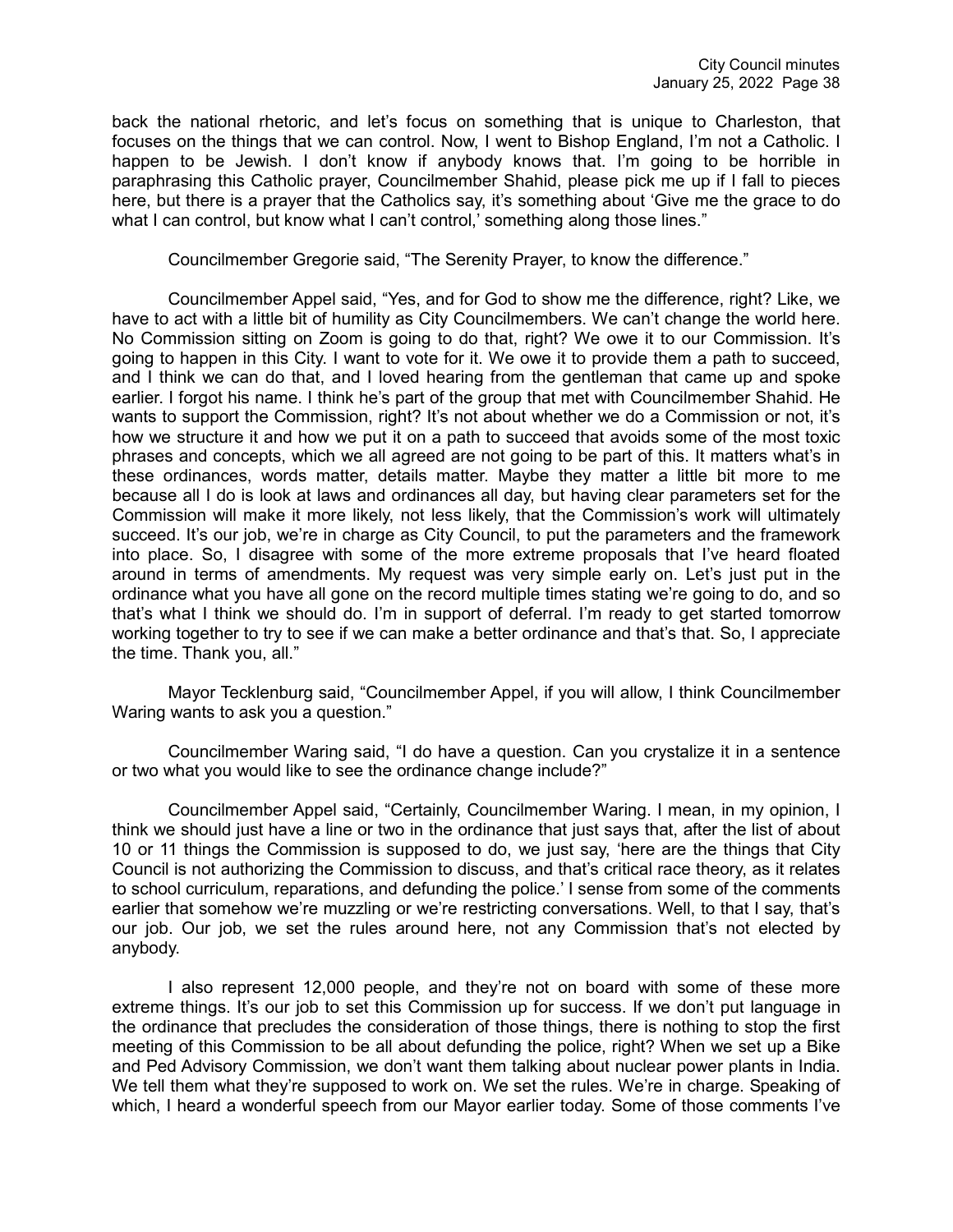back the national rhetoric, and let's focus on something that is unique to Charleston, that focuses on the things that we can control. Now, I went to Bishop England, I'm not a Catholic. I happen to be Jewish. I don't know if anybody knows that. I'm going to be horrible in paraphrasing this Catholic prayer, Councilmember Shahid, please pick me up if I fall to pieces here, but there is a prayer that the Catholics say, it's something about 'Give me the grace to do what I can control, but know what I can't control,' something along those lines."

Councilmember Gregorie said, "The Serenity Prayer, to know the difference."

Councilmember Appel said, "Yes, and for God to show me the difference, right? Like, we have to act with a little bit of humility as City Councilmembers. We can't change the world here. No Commission sitting on Zoom is going to do that, right? We owe it to our Commission. It's going to happen in this City. I want to vote for it. We owe it to provide them a path to succeed, and I think we can do that, and I loved hearing from the gentleman that came up and spoke earlier. I forgot his name. I think he's part of the group that met with Councilmember Shahid. He wants to support the Commission, right? It's not about whether we do a Commission or not, it's how we structure it and how we put it on a path to succeed that avoids some of the most toxic phrases and concepts, which we all agreed are not going to be part of this. It matters what's in these ordinances, words matter, details matter. Maybe they matter a little bit more to me because all I do is look at laws and ordinances all day, but having clear parameters set for the Commission will make it more likely, not less likely, that the Commission's work will ultimately succeed. It's our job, we're in charge as City Council, to put the parameters and the framework into place. So, I disagree with some of the more extreme proposals that I've heard floated around in terms of amendments. My request was very simple early on. Let's just put in the ordinance what you have all gone on the record multiple times stating we're going to do, and so that's what I think we should do. I'm in support of deferral. I'm ready to get started tomorrow working together to try to see if we can make a better ordinance and that's that. So, I appreciate the time. Thank you, all."

Mayor Tecklenburg said, "Councilmember Appel, if you will allow, I think Councilmember Waring wants to ask you a question."

Councilmember Waring said, "I do have a question. Can you crystalize it in a sentence or two what you would like to see the ordinance change include?"

Councilmember Appel said, "Certainly, Councilmember Waring. I mean, in my opinion, I think we should just have a line or two in the ordinance that just says that, after the list of about 10 or 11 things the Commission is supposed to do, we just say, 'here are the things that City Council is not authorizing the Commission to discuss, and that's critical race theory, as it relates to school curriculum, reparations, and defunding the police.' I sense from some of the comments earlier that somehow we're muzzling or we're restricting conversations. Well, to that I say, that's our job. Our job, we set the rules around here, not any Commission that's not elected by anybody.

I also represent 12,000 people, and they're not on board with some of these more extreme things. It's our job to set this Commission up for success. If we don't put language in the ordinance that precludes the consideration of those things, there is nothing to stop the first meeting of this Commission to be all about defunding the police, right? When we set up a Bike and Ped Advisory Commission, we don't want them talking about nuclear power plants in India. We tell them what they're supposed to work on. We set the rules. We're in charge. Speaking of which, I heard a wonderful speech from our Mayor earlier today. Some of those comments I've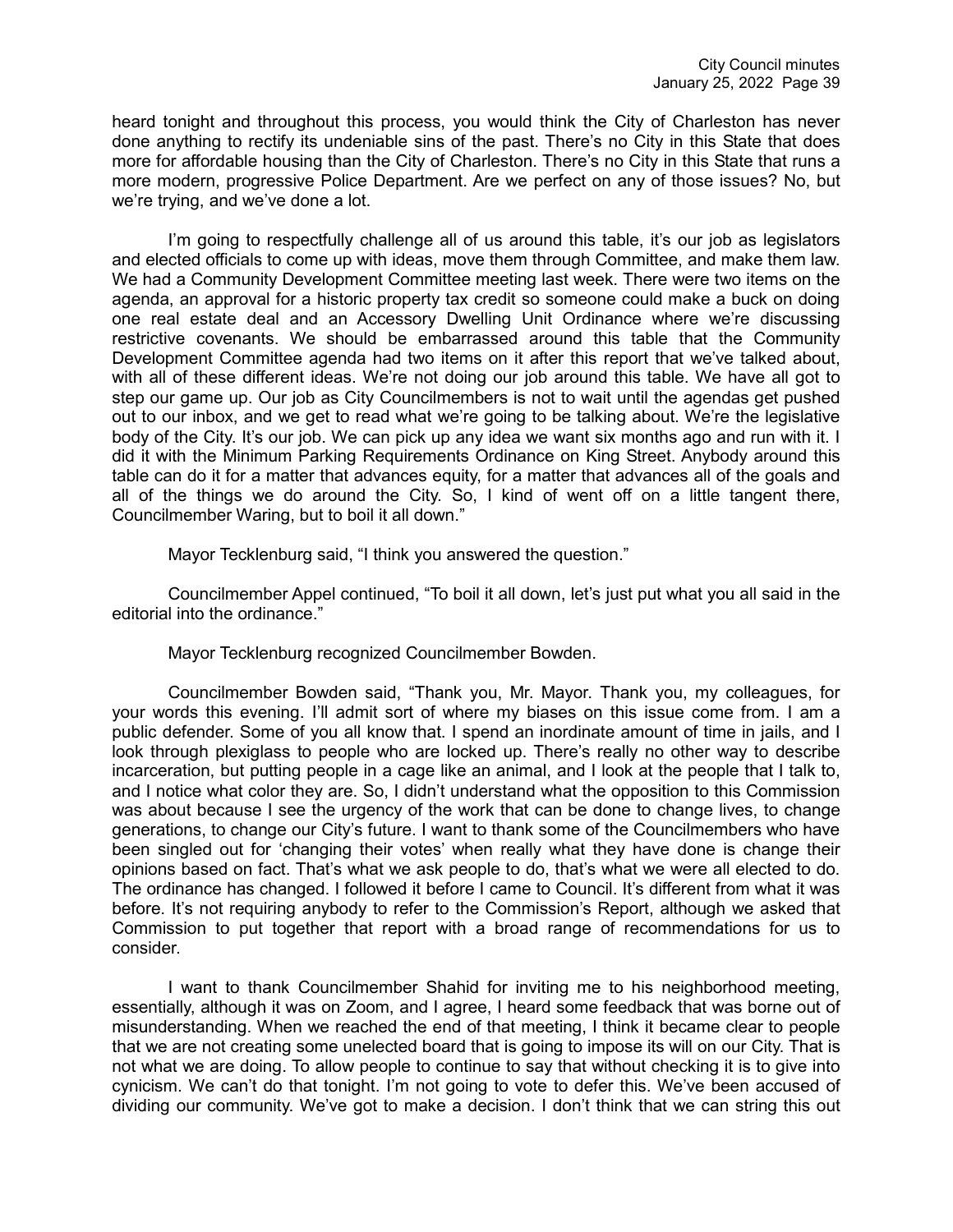heard tonight and throughout this process, you would think the City of Charleston has never done anything to rectify its undeniable sins of the past. There's no City in this State that does more for affordable housing than the City of Charleston. There's no City in this State that runs a more modern, progressive Police Department. Are we perfect on any of those issues? No, but we're trying, and we've done a lot.

I'm going to respectfully challenge all of us around this table, it's our job as legislators and elected officials to come up with ideas, move them through Committee, and make them law. We had a Community Development Committee meeting last week. There were two items on the agenda, an approval for a historic property tax credit so someone could make a buck on doing one real estate deal and an Accessory Dwelling Unit Ordinance where we're discussing restrictive covenants. We should be embarrassed around this table that the Community Development Committee agenda had two items on it after this report that we've talked about, with all of these different ideas. We're not doing our job around this table. We have all got to step our game up. Our job as City Councilmembers is not to wait until the agendas get pushed out to our inbox, and we get to read what we're going to be talking about. We're the legislative body of the City. It's our job. We can pick up any idea we want six months ago and run with it. I did it with the Minimum Parking Requirements Ordinance on King Street. Anybody around this table can do it for a matter that advances equity, for a matter that advances all of the goals and all of the things we do around the City. So, I kind of went off on a little tangent there, Councilmember Waring, but to boil it all down."

Mayor Tecklenburg said, "I think you answered the question."

Councilmember Appel continued, "To boil it all down, let's just put what you all said in the editorial into the ordinance."

Mayor Tecklenburg recognized Councilmember Bowden.

Councilmember Bowden said, "Thank you, Mr. Mayor. Thank you, my colleagues, for your words this evening. I'll admit sort of where my biases on this issue come from. I am a public defender. Some of you all know that. I spend an inordinate amount of time in jails, and I look through plexiglass to people who are locked up. There's really no other way to describe incarceration, but putting people in a cage like an animal, and I look at the people that I talk to, and I notice what color they are. So, I didn't understand what the opposition to this Commission was about because I see the urgency of the work that can be done to change lives, to change generations, to change our City's future. I want to thank some of the Councilmembers who have been singled out for 'changing their votes' when really what they have done is change their opinions based on fact. That's what we ask people to do, that's what we were all elected to do. The ordinance has changed. I followed it before I came to Council. It's different from what it was before. It's not requiring anybody to refer to the Commission's Report, although we asked that Commission to put together that report with a broad range of recommendations for us to consider.

I want to thank Councilmember Shahid for inviting me to his neighborhood meeting, essentially, although it was on Zoom, and I agree, I heard some feedback that was borne out of misunderstanding. When we reached the end of that meeting, I think it became clear to people that we are not creating some unelected board that is going to impose its will on our City. That is not what we are doing. To allow people to continue to say that without checking it is to give into cynicism. We can't do that tonight. I'm not going to vote to defer this. We've been accused of dividing our community. We've got to make a decision. I don't think that we can string this out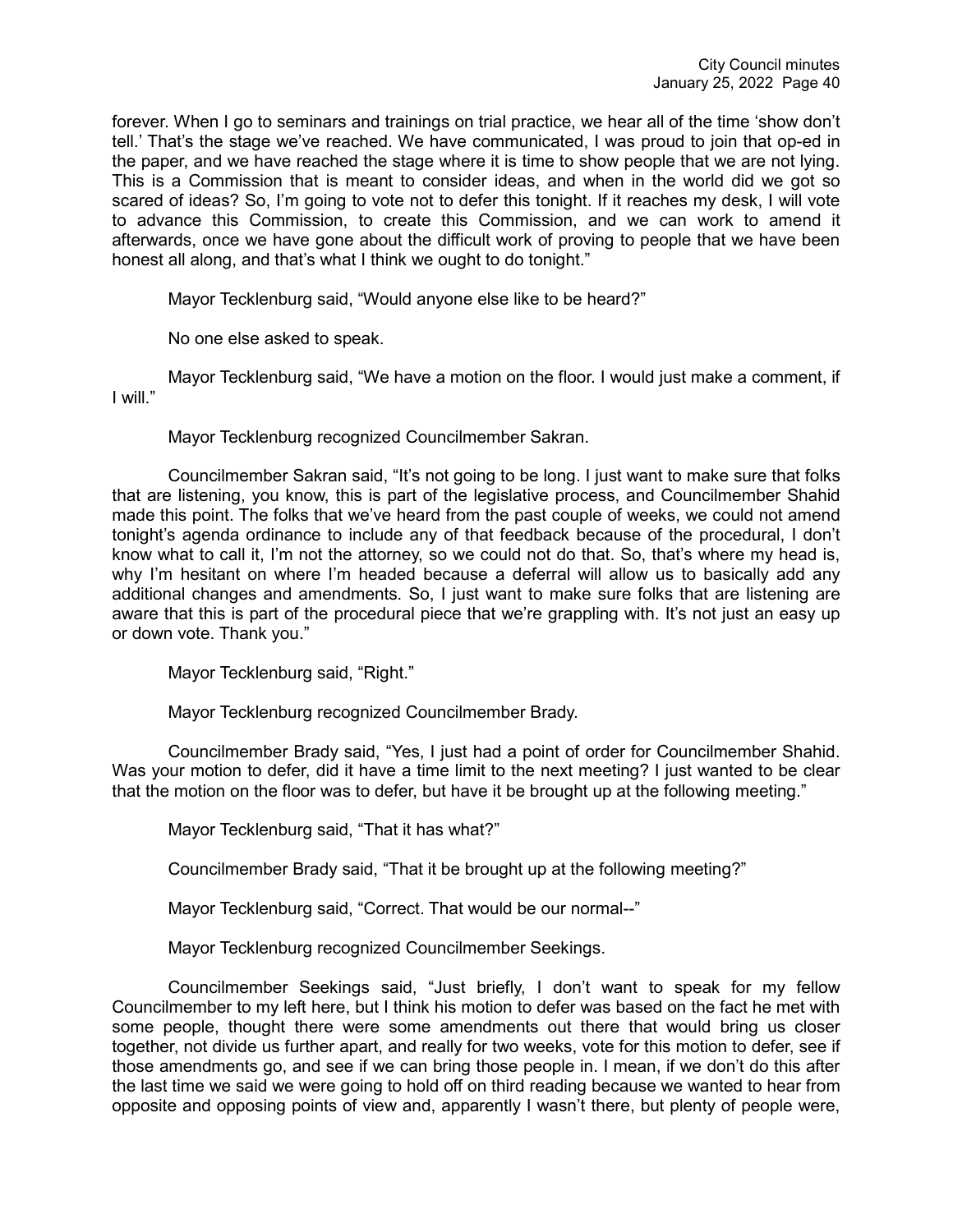forever. When I go to seminars and trainings on trial practice, we hear all of the time 'show don't tell.' That's the stage we've reached. We have communicated, I was proud to join that op-ed in the paper, and we have reached the stage where it is time to show people that we are not lying. This is a Commission that is meant to consider ideas, and when in the world did we got so scared of ideas? So, I'm going to vote not to defer this tonight. If it reaches my desk, I will vote to advance this Commission, to create this Commission, and we can work to amend it afterwards, once we have gone about the difficult work of proving to people that we have been honest all along, and that's what I think we ought to do tonight."

Mayor Tecklenburg said, "Would anyone else like to be heard?"

No one else asked to speak.

Mayor Tecklenburg said, "We have a motion on the floor. I would just make a comment, if I will."

Mayor Tecklenburg recognized Councilmember Sakran.

Councilmember Sakran said, "It's not going to be long. I just want to make sure that folks that are listening, you know, this is part of the legislative process, and Councilmember Shahid made this point. The folks that we've heard from the past couple of weeks, we could not amend tonight's agenda ordinance to include any of that feedback because of the procedural, I don't know what to call it, I'm not the attorney, so we could not do that. So, that's where my head is, why I'm hesitant on where I'm headed because a deferral will allow us to basically add any additional changes and amendments. So, I just want to make sure folks that are listening are aware that this is part of the procedural piece that we're grappling with. It's not just an easy up or down vote. Thank you."

Mayor Tecklenburg said, "Right."

Mayor Tecklenburg recognized Councilmember Brady.

Councilmember Brady said, "Yes, I just had a point of order for Councilmember Shahid. Was your motion to defer, did it have a time limit to the next meeting? I just wanted to be clear that the motion on the floor was to defer, but have it be brought up at the following meeting."

Mayor Tecklenburg said, "That it has what?"

Councilmember Brady said, "That it be brought up at the following meeting?"

Mayor Tecklenburg said, "Correct. That would be our normal--"

Mayor Tecklenburg recognized Councilmember Seekings.

Councilmember Seekings said, "Just briefly, I don't want to speak for my fellow Councilmember to my left here, but I think his motion to defer was based on the fact he met with some people, thought there were some amendments out there that would bring us closer together, not divide us further apart, and really for two weeks, vote for this motion to defer, see if those amendments go, and see if we can bring those people in. I mean, if we don't do this after the last time we said we were going to hold off on third reading because we wanted to hear from opposite and opposing points of view and, apparently I wasn't there, but plenty of people were,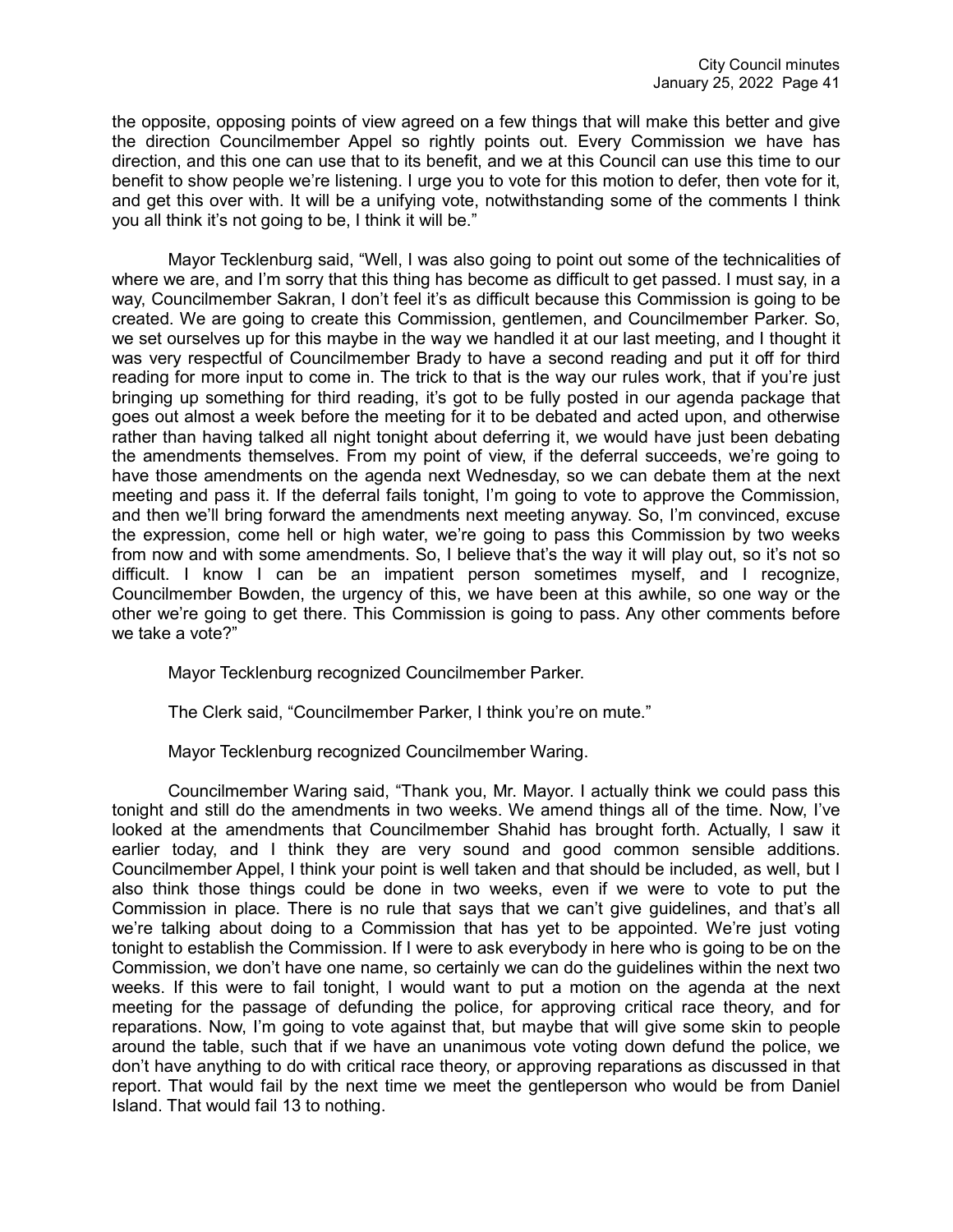the opposite, opposing points of view agreed on a few things that will make this better and give the direction Councilmember Appel so rightly points out. Every Commission we have has direction, and this one can use that to its benefit, and we at this Council can use this time to our benefit to show people we're listening. I urge you to vote for this motion to defer, then vote for it, and get this over with. It will be a unifying vote, notwithstanding some of the comments I think you all think it's not going to be, I think it will be."

Mayor Tecklenburg said, "Well, I was also going to point out some of the technicalities of where we are, and I'm sorry that this thing has become as difficult to get passed. I must say, in a way, Councilmember Sakran, I don't feel it's as difficult because this Commission is going to be created. We are going to create this Commission, gentlemen, and Councilmember Parker. So, we set ourselves up for this maybe in the way we handled it at our last meeting, and I thought it was very respectful of Councilmember Brady to have a second reading and put it off for third reading for more input to come in. The trick to that is the way our rules work, that if you're just bringing up something for third reading, it's got to be fully posted in our agenda package that goes out almost a week before the meeting for it to be debated and acted upon, and otherwise rather than having talked all night tonight about deferring it, we would have just been debating the amendments themselves. From my point of view, if the deferral succeeds, we're going to have those amendments on the agenda next Wednesday, so we can debate them at the next meeting and pass it. If the deferral fails tonight, I'm going to vote to approve the Commission, and then we'll bring forward the amendments next meeting anyway. So, I'm convinced, excuse the expression, come hell or high water, we're going to pass this Commission by two weeks from now and with some amendments. So, I believe that's the way it will play out, so it's not so difficult. I know I can be an impatient person sometimes myself, and I recognize, Councilmember Bowden, the urgency of this, we have been at this awhile, so one way or the other we're going to get there. This Commission is going to pass. Any other comments before we take a vote?"

Mayor Tecklenburg recognized Councilmember Parker.

The Clerk said, "Councilmember Parker, I think you're on mute."

Mayor Tecklenburg recognized Councilmember Waring.

Councilmember Waring said, "Thank you, Mr. Mayor. I actually think we could pass this tonight and still do the amendments in two weeks. We amend things all of the time. Now, I've looked at the amendments that Councilmember Shahid has brought forth. Actually, I saw it earlier today, and I think they are very sound and good common sensible additions. Councilmember Appel, I think your point is well taken and that should be included, as well, but I also think those things could be done in two weeks, even if we were to vote to put the Commission in place. There is no rule that says that we can't give guidelines, and that's all we're talking about doing to a Commission that has yet to be appointed. We're just voting tonight to establish the Commission. If I were to ask everybody in here who is going to be on the Commission, we don't have one name, so certainly we can do the guidelines within the next two weeks. If this were to fail tonight, I would want to put a motion on the agenda at the next meeting for the passage of defunding the police, for approving critical race theory, and for reparations. Now, I'm going to vote against that, but maybe that will give some skin to people around the table, such that if we have an unanimous vote voting down defund the police, we don't have anything to do with critical race theory, or approving reparations as discussed in that report. That would fail by the next time we meet the gentleperson who would be from Daniel Island. That would fail 13 to nothing.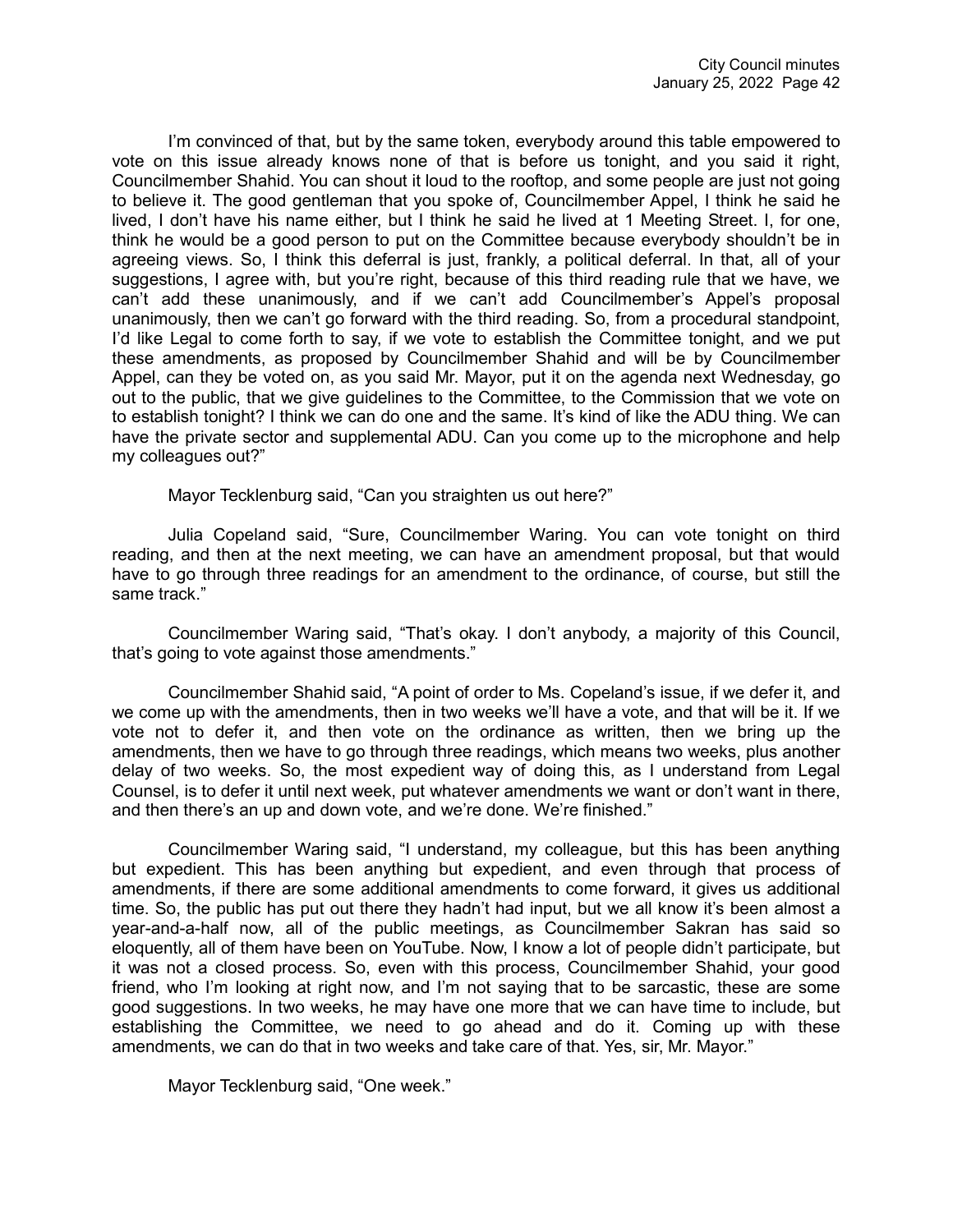I'm convinced of that, but by the same token, everybody around this table empowered to vote on this issue already knows none of that is before us tonight, and you said it right, Councilmember Shahid. You can shout it loud to the rooftop, and some people are just not going to believe it. The good gentleman that you spoke of, Councilmember Appel, I think he said he lived, I don't have his name either, but I think he said he lived at 1 Meeting Street. I, for one, think he would be a good person to put on the Committee because everybody shouldn't be in agreeing views. So, I think this deferral is just, frankly, a political deferral. In that, all of your suggestions, I agree with, but you're right, because of this third reading rule that we have, we can't add these unanimously, and if we can't add Councilmember's Appel's proposal unanimously, then we can't go forward with the third reading. So, from a procedural standpoint, I'd like Legal to come forth to say, if we vote to establish the Committee tonight, and we put these amendments, as proposed by Councilmember Shahid and will be by Councilmember Appel, can they be voted on, as you said Mr. Mayor, put it on the agenda next Wednesday, go out to the public, that we give guidelines to the Committee, to the Commission that we vote on to establish tonight? I think we can do one and the same. It's kind of like the ADU thing. We can have the private sector and supplemental ADU. Can you come up to the microphone and help my colleagues out?"

Mayor Tecklenburg said, "Can you straighten us out here?"

Julia Copeland said, "Sure, Councilmember Waring. You can vote tonight on third reading, and then at the next meeting, we can have an amendment proposal, but that would have to go through three readings for an amendment to the ordinance, of course, but still the same track."

Councilmember Waring said, "That's okay. I don't anybody, a majority of this Council, that's going to vote against those amendments."

Councilmember Shahid said, "A point of order to Ms. Copeland's issue, if we defer it, and we come up with the amendments, then in two weeks we'll have a vote, and that will be it. If we vote not to defer it, and then vote on the ordinance as written, then we bring up the amendments, then we have to go through three readings, which means two weeks, plus another delay of two weeks. So, the most expedient way of doing this, as I understand from Legal Counsel, is to defer it until next week, put whatever amendments we want or don't want in there, and then there's an up and down vote, and we're done. We're finished."

Councilmember Waring said, "I understand, my colleague, but this has been anything but expedient. This has been anything but expedient, and even through that process of amendments, if there are some additional amendments to come forward, it gives us additional time. So, the public has put out there they hadn't had input, but we all know it's been almost a year-and-a-half now, all of the public meetings, as Councilmember Sakran has said so eloquently, all of them have been on YouTube. Now, I know a lot of people didn't participate, but it was not a closed process. So, even with this process, Councilmember Shahid, your good friend, who I'm looking at right now, and I'm not saying that to be sarcastic, these are some good suggestions. In two weeks, he may have one more that we can have time to include, but establishing the Committee, we need to go ahead and do it. Coming up with these amendments, we can do that in two weeks and take care of that. Yes, sir, Mr. Mayor."

Mayor Tecklenburg said, "One week."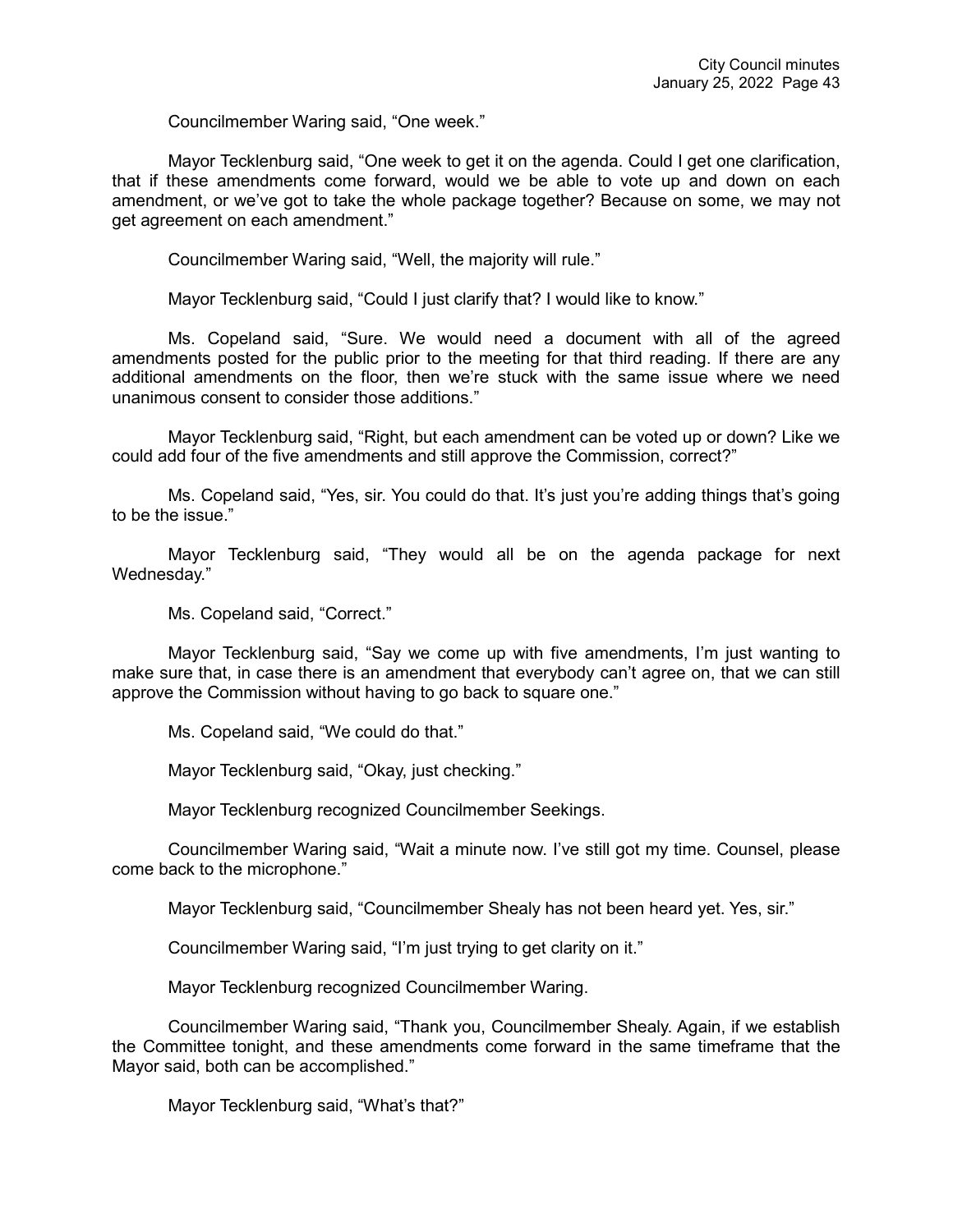Councilmember Waring said, "One week."

Mayor Tecklenburg said, "One week to get it on the agenda. Could I get one clarification, that if these amendments come forward, would we be able to vote up and down on each amendment, or we've got to take the whole package together? Because on some, we may not get agreement on each amendment."

Councilmember Waring said, "Well, the majority will rule."

Mayor Tecklenburg said, "Could I just clarify that? I would like to know."

Ms. Copeland said, "Sure. We would need a document with all of the agreed amendments posted for the public prior to the meeting for that third reading. If there are any additional amendments on the floor, then we're stuck with the same issue where we need unanimous consent to consider those additions."

Mayor Tecklenburg said, "Right, but each amendment can be voted up or down? Like we could add four of the five amendments and still approve the Commission, correct?"

Ms. Copeland said, "Yes, sir. You could do that. It's just you're adding things that's going to be the issue."

Mayor Tecklenburg said, "They would all be on the agenda package for next Wednesday."

Ms. Copeland said, "Correct."

Mayor Tecklenburg said, "Say we come up with five amendments, I'm just wanting to make sure that, in case there is an amendment that everybody can't agree on, that we can still approve the Commission without having to go back to square one."

Ms. Copeland said, "We could do that."

Mayor Tecklenburg said, "Okay, just checking."

Mayor Tecklenburg recognized Councilmember Seekings.

Councilmember Waring said, "Wait a minute now. I've still got my time. Counsel, please come back to the microphone."

Mayor Tecklenburg said, "Councilmember Shealy has not been heard yet. Yes, sir."

Councilmember Waring said, "I'm just trying to get clarity on it."

Mayor Tecklenburg recognized Councilmember Waring.

Councilmember Waring said, "Thank you, Councilmember Shealy. Again, if we establish the Committee tonight, and these amendments come forward in the same timeframe that the Mayor said, both can be accomplished."

Mayor Tecklenburg said, "What's that?"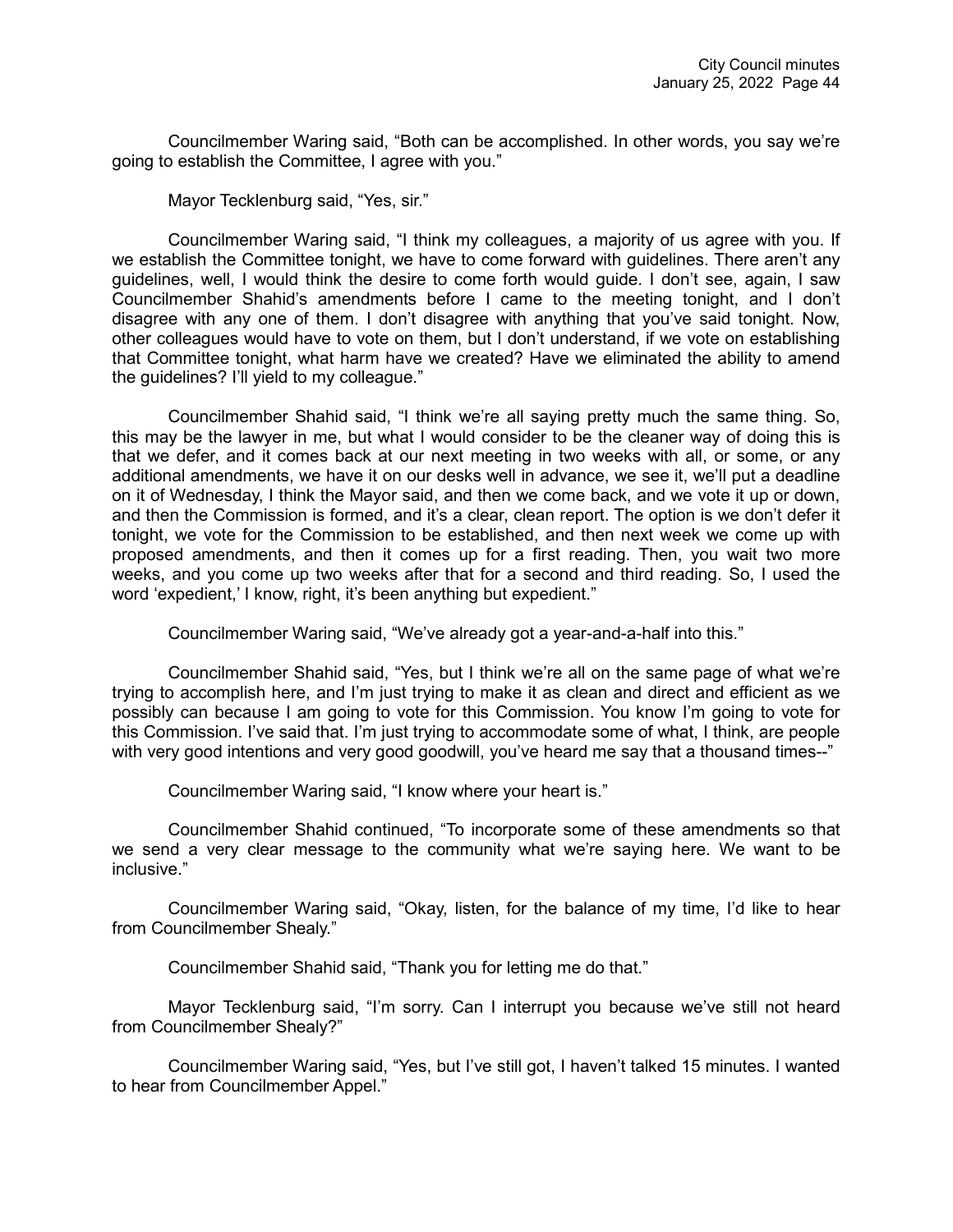Councilmember Waring said, "Both can be accomplished. In other words, you say we're going to establish the Committee, I agree with you."

Mayor Tecklenburg said, "Yes, sir."

Councilmember Waring said, "I think my colleagues, a majority of us agree with you. If we establish the Committee tonight, we have to come forward with guidelines. There aren't any guidelines, well, I would think the desire to come forth would guide. I don't see, again, I saw Councilmember Shahid's amendments before I came to the meeting tonight, and I don't disagree with any one of them. I don't disagree with anything that you've said tonight. Now, other colleagues would have to vote on them, but I don't understand, if we vote on establishing that Committee tonight, what harm have we created? Have we eliminated the ability to amend the guidelines? I'll yield to my colleague."

Councilmember Shahid said, "I think we're all saying pretty much the same thing. So, this may be the lawyer in me, but what I would consider to be the cleaner way of doing this is that we defer, and it comes back at our next meeting in two weeks with all, or some, or any additional amendments, we have it on our desks well in advance, we see it, we'll put a deadline on it of Wednesday, I think the Mayor said, and then we come back, and we vote it up or down, and then the Commission is formed, and it's a clear, clean report. The option is we don't defer it tonight, we vote for the Commission to be established, and then next week we come up with proposed amendments, and then it comes up for a first reading. Then, you wait two more weeks, and you come up two weeks after that for a second and third reading. So, I used the word 'expedient,' I know, right, it's been anything but expedient."

Councilmember Waring said, "We've already got a year-and-a-half into this."

Councilmember Shahid said, "Yes, but I think we're all on the same page of what we're trying to accomplish here, and I'm just trying to make it as clean and direct and efficient as we possibly can because I am going to vote for this Commission. You know I'm going to vote for this Commission. I've said that. I'm just trying to accommodate some of what, I think, are people with very good intentions and very good goodwill, you've heard me say that a thousand times--"

Councilmember Waring said, "I know where your heart is."

Councilmember Shahid continued, "To incorporate some of these amendments so that we send a very clear message to the community what we're saying here. We want to be inclusive."

Councilmember Waring said, "Okay, listen, for the balance of my time, I'd like to hear from Councilmember Shealy."

Councilmember Shahid said, "Thank you for letting me do that."

Mayor Tecklenburg said, "I'm sorry. Can I interrupt you because we've still not heard from Councilmember Shealy?"

Councilmember Waring said, "Yes, but I've still got, I haven't talked 15 minutes. I wanted to hear from Councilmember Appel."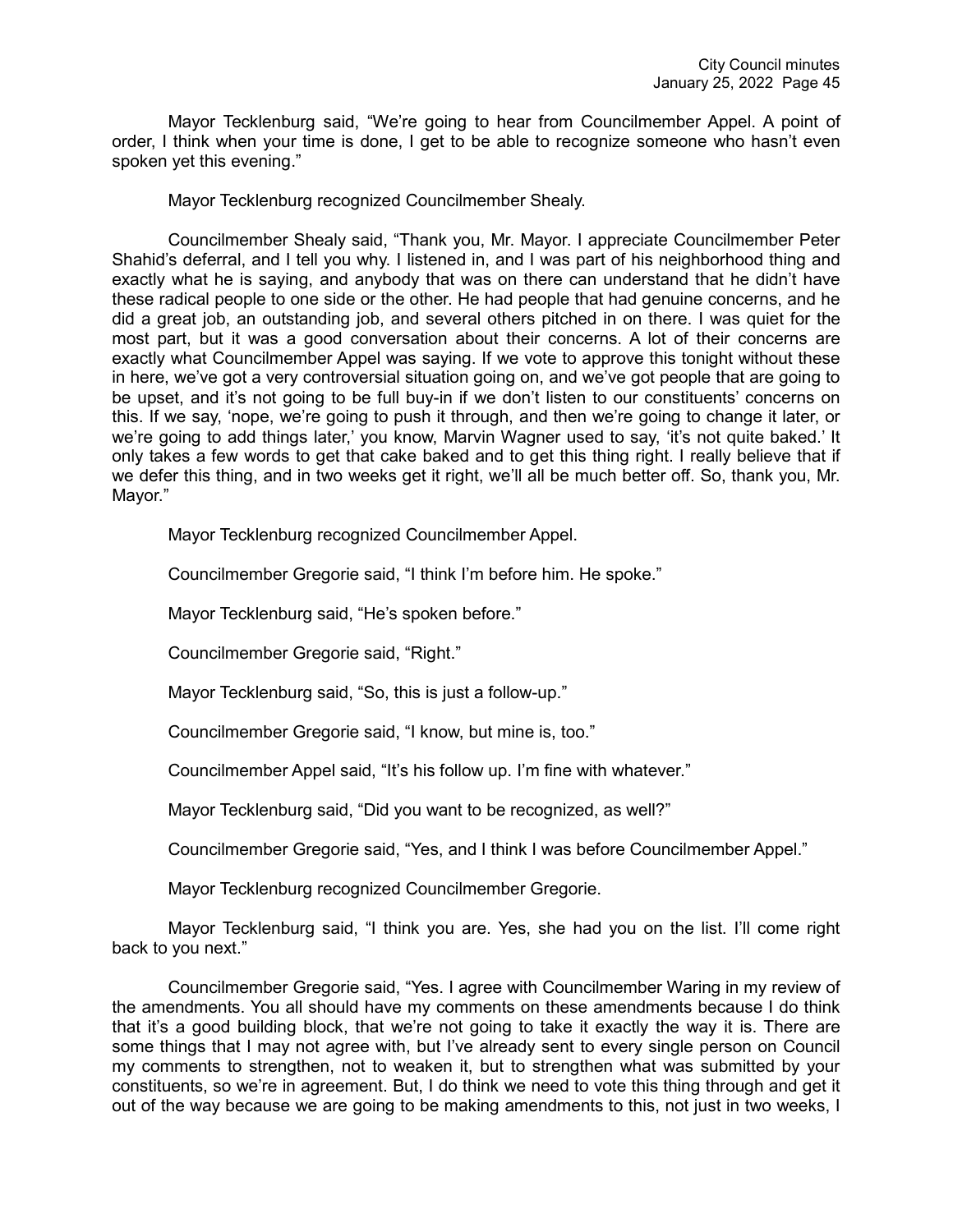Mayor Tecklenburg said, "We're going to hear from Councilmember Appel. A point of order, I think when your time is done, I get to be able to recognize someone who hasn't even spoken yet this evening."

Mayor Tecklenburg recognized Councilmember Shealy.

Councilmember Shealy said, "Thank you, Mr. Mayor. I appreciate Councilmember Peter Shahid's deferral, and I tell you why. I listened in, and I was part of his neighborhood thing and exactly what he is saying, and anybody that was on there can understand that he didn't have these radical people to one side or the other. He had people that had genuine concerns, and he did a great job, an outstanding job, and several others pitched in on there. I was quiet for the most part, but it was a good conversation about their concerns. A lot of their concerns are exactly what Councilmember Appel was saying. If we vote to approve this tonight without these in here, we've got a very controversial situation going on, and we've got people that are going to be upset, and it's not going to be full buy-in if we don't listen to our constituents' concerns on this. If we say, 'nope, we're going to push it through, and then we're going to change it later, or we're going to add things later,' you know, Marvin Wagner used to say, 'it's not quite baked.' It only takes a few words to get that cake baked and to get this thing right. I really believe that if we defer this thing, and in two weeks get it right, we'll all be much better off. So, thank you, Mr. Mayor."

Mayor Tecklenburg recognized Councilmember Appel.

Councilmember Gregorie said, "I think I'm before him. He spoke."

Mayor Tecklenburg said, "He's spoken before."

Councilmember Gregorie said, "Right."

Mayor Tecklenburg said, "So, this is just a follow-up."

Councilmember Gregorie said, "I know, but mine is, too."

Councilmember Appel said, "It's his follow up. I'm fine with whatever."

Mayor Tecklenburg said, "Did you want to be recognized, as well?"

Councilmember Gregorie said, "Yes, and I think I was before Councilmember Appel."

Mayor Tecklenburg recognized Councilmember Gregorie.

Mayor Tecklenburg said, "I think you are. Yes, she had you on the list. I'll come right back to you next."

Councilmember Gregorie said, "Yes. I agree with Councilmember Waring in my review of the amendments. You all should have my comments on these amendments because I do think that it's a good building block, that we're not going to take it exactly the way it is. There are some things that I may not agree with, but I've already sent to every single person on Council my comments to strengthen, not to weaken it, but to strengthen what was submitted by your constituents, so we're in agreement. But, I do think we need to vote this thing through and get it out of the way because we are going to be making amendments to this, not just in two weeks, I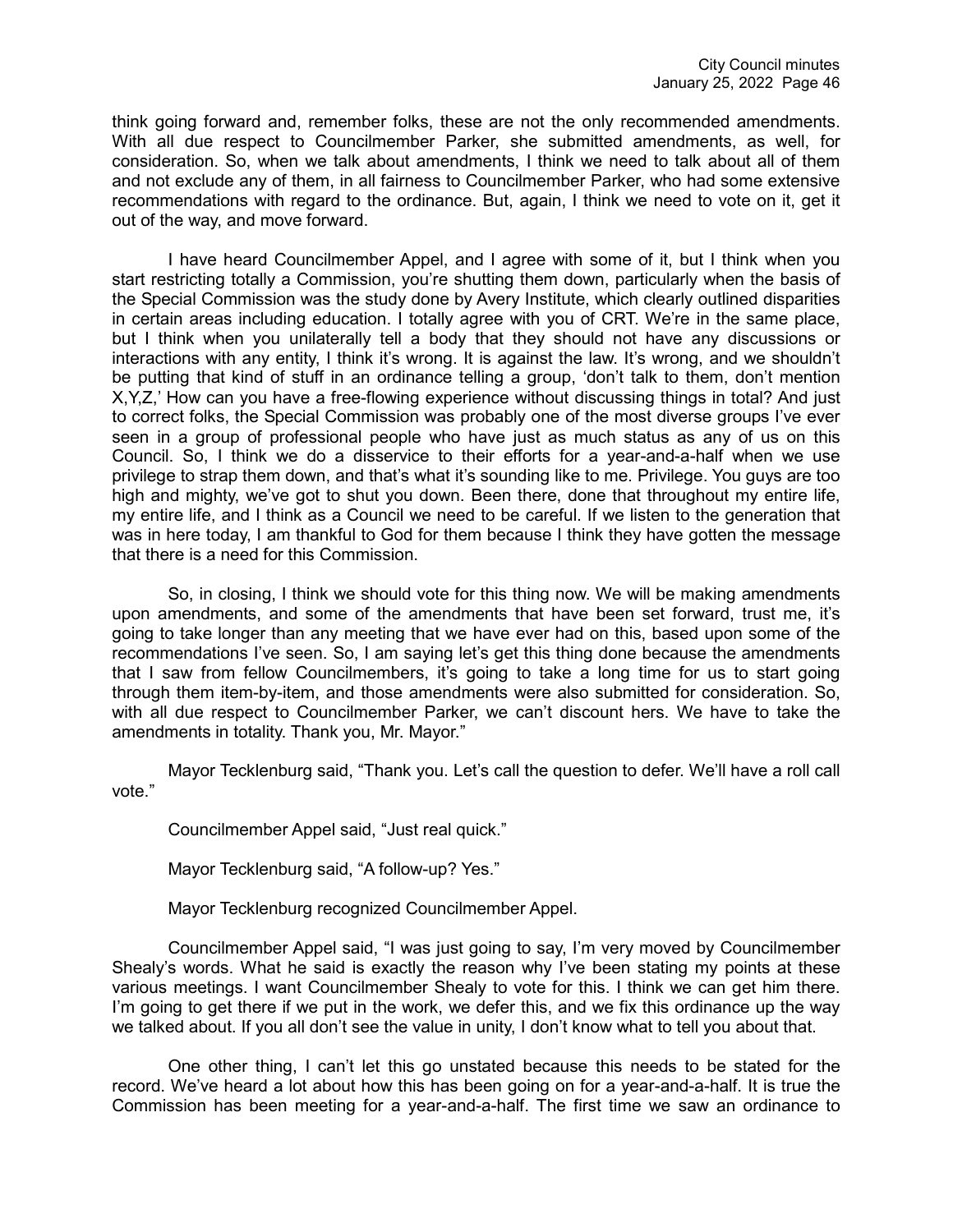think going forward and, remember folks, these are not the only recommended amendments. With all due respect to Councilmember Parker, she submitted amendments, as well, for consideration. So, when we talk about amendments, I think we need to talk about all of them and not exclude any of them, in all fairness to Councilmember Parker, who had some extensive recommendations with regard to the ordinance. But, again, I think we need to vote on it, get it out of the way, and move forward.

I have heard Councilmember Appel, and I agree with some of it, but I think when you start restricting totally a Commission, you're shutting them down, particularly when the basis of the Special Commission was the study done by Avery Institute, which clearly outlined disparities in certain areas including education. I totally agree with you of CRT. We're in the same place, but I think when you unilaterally tell a body that they should not have any discussions or interactions with any entity, I think it's wrong. It is against the law. It's wrong, and we shouldn't be putting that kind of stuff in an ordinance telling a group, 'don't talk to them, don't mention X,Y,Z,' How can you have a free-flowing experience without discussing things in total? And just to correct folks, the Special Commission was probably one of the most diverse groups I've ever seen in a group of professional people who have just as much status as any of us on this Council. So, I think we do a disservice to their efforts for a year-and-a-half when we use privilege to strap them down, and that's what it's sounding like to me. Privilege. You guys are too high and mighty, we've got to shut you down. Been there, done that throughout my entire life, my entire life, and I think as a Council we need to be careful. If we listen to the generation that was in here today, I am thankful to God for them because I think they have gotten the message that there is a need for this Commission.

So, in closing, I think we should vote for this thing now. We will be making amendments upon amendments, and some of the amendments that have been set forward, trust me, it's going to take longer than any meeting that we have ever had on this, based upon some of the recommendations I've seen. So, I am saying let's get this thing done because the amendments that I saw from fellow Councilmembers, it's going to take a long time for us to start going through them item-by-item, and those amendments were also submitted for consideration. So, with all due respect to Councilmember Parker, we can't discount hers. We have to take the amendments in totality. Thank you, Mr. Mayor."

Mayor Tecklenburg said, "Thank you. Let's call the question to defer. We'll have a roll call vote."

Councilmember Appel said, "Just real quick."

Mayor Tecklenburg said, "A follow-up? Yes."

Mayor Tecklenburg recognized Councilmember Appel.

Councilmember Appel said, "I was just going to say, I'm very moved by Councilmember Shealy's words. What he said is exactly the reason why I've been stating my points at these various meetings. I want Councilmember Shealy to vote for this. I think we can get him there. I'm going to get there if we put in the work, we defer this, and we fix this ordinance up the way we talked about. If you all don't see the value in unity, I don't know what to tell you about that.

One other thing, I can't let this go unstated because this needs to be stated for the record. We've heard a lot about how this has been going on for a year-and-a-half. It is true the Commission has been meeting for a year-and-a-half. The first time we saw an ordinance to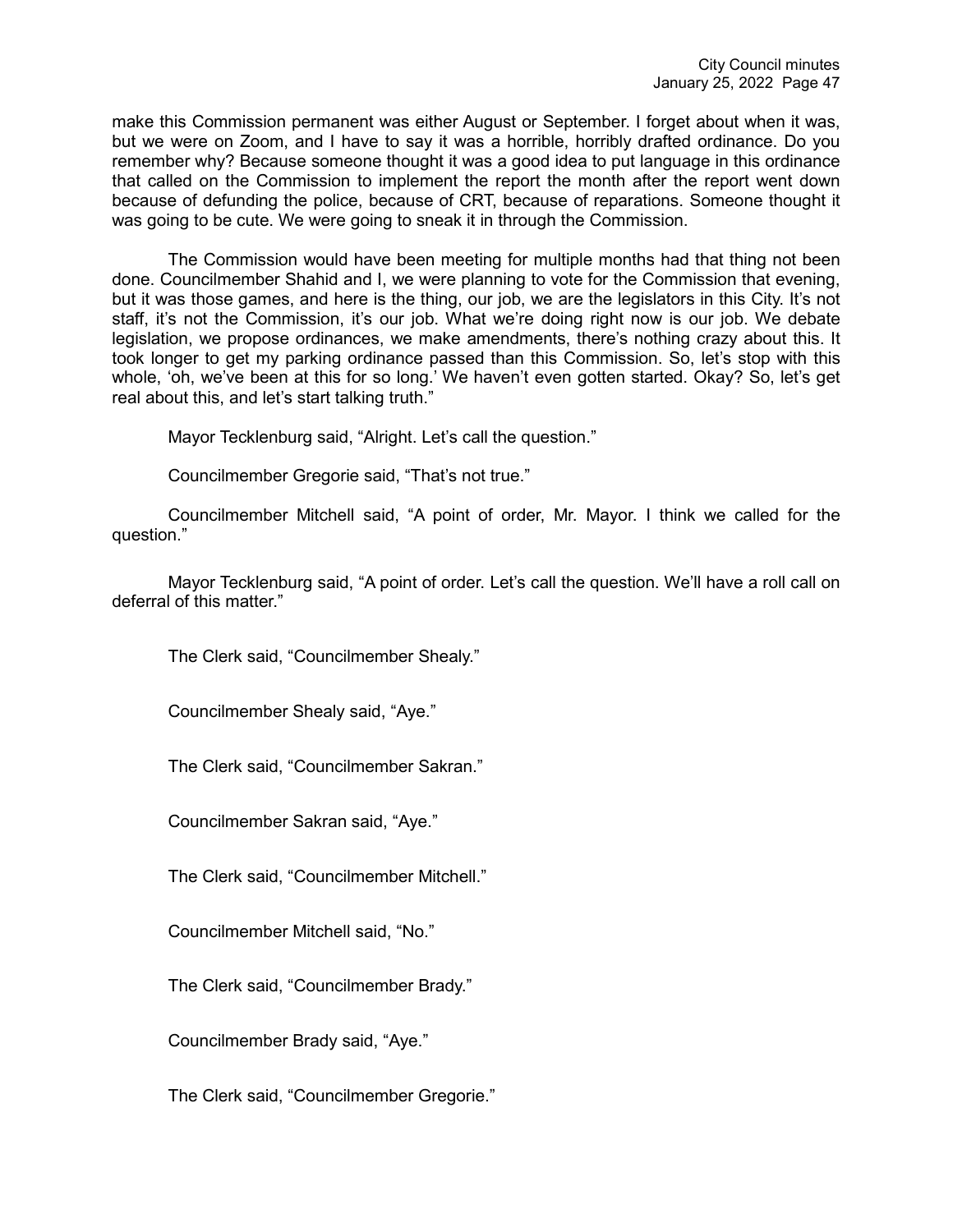make this Commission permanent was either August or September. I forget about when it was, but we were on Zoom, and I have to say it was a horrible, horribly drafted ordinance. Do you remember why? Because someone thought it was a good idea to put language in this ordinance that called on the Commission to implement the report the month after the report went down because of defunding the police, because of CRT, because of reparations. Someone thought it was going to be cute. We were going to sneak it in through the Commission.

The Commission would have been meeting for multiple months had that thing not been done. Councilmember Shahid and I, we were planning to vote for the Commission that evening, but it was those games, and here is the thing, our job, we are the legislators in this City. It's not staff, it's not the Commission, it's our job. What we're doing right now is our job. We debate legislation, we propose ordinances, we make amendments, there's nothing crazy about this. It took longer to get my parking ordinance passed than this Commission. So, let's stop with this whole, 'oh, we've been at this for so long.' We haven't even gotten started. Okay? So, let's get real about this, and let's start talking truth."

Mayor Tecklenburg said, "Alright. Let's call the question."

Councilmember Gregorie said, "That's not true."

Councilmember Mitchell said, "A point of order, Mr. Mayor. I think we called for the question."

Mayor Tecklenburg said, "A point of order. Let's call the question. We'll have a roll call on deferral of this matter."

The Clerk said, "Councilmember Shealy."

Councilmember Shealy said, "Aye."

The Clerk said, "Councilmember Sakran."

Councilmember Sakran said, "Aye."

The Clerk said, "Councilmember Mitchell."

Councilmember Mitchell said, "No."

The Clerk said, "Councilmember Brady."

Councilmember Brady said, "Aye."

The Clerk said, "Councilmember Gregorie."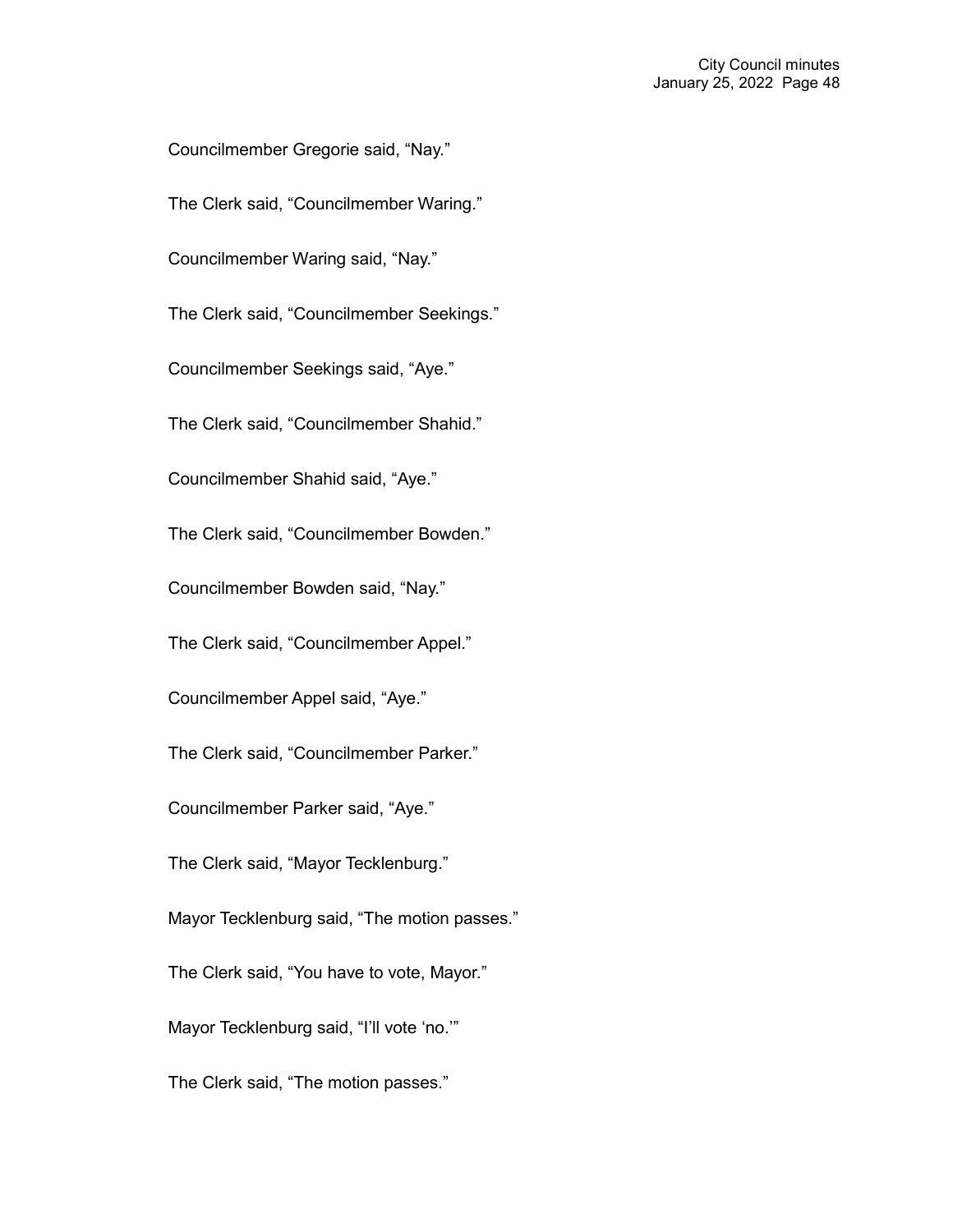Councilmember Gregorie said, "Nay."

The Clerk said, "Councilmember Waring."

Councilmember Waring said, "Nay."

The Clerk said, "Councilmember Seekings."

Councilmember Seekings said, "Aye."

The Clerk said, "Councilmember Shahid."

Councilmember Shahid said, "Aye."

The Clerk said, "Councilmember Bowden."

Councilmember Bowden said, "Nay."

The Clerk said, "Councilmember Appel."

Councilmember Appel said, "Aye."

The Clerk said, "Councilmember Parker."

Councilmember Parker said, "Aye."

The Clerk said, "Mayor Tecklenburg."

Mayor Tecklenburg said, "The motion passes."

The Clerk said, "You have to vote, Mayor."

Mayor Tecklenburg said, "I'll vote 'no.'"

The Clerk said, "The motion passes."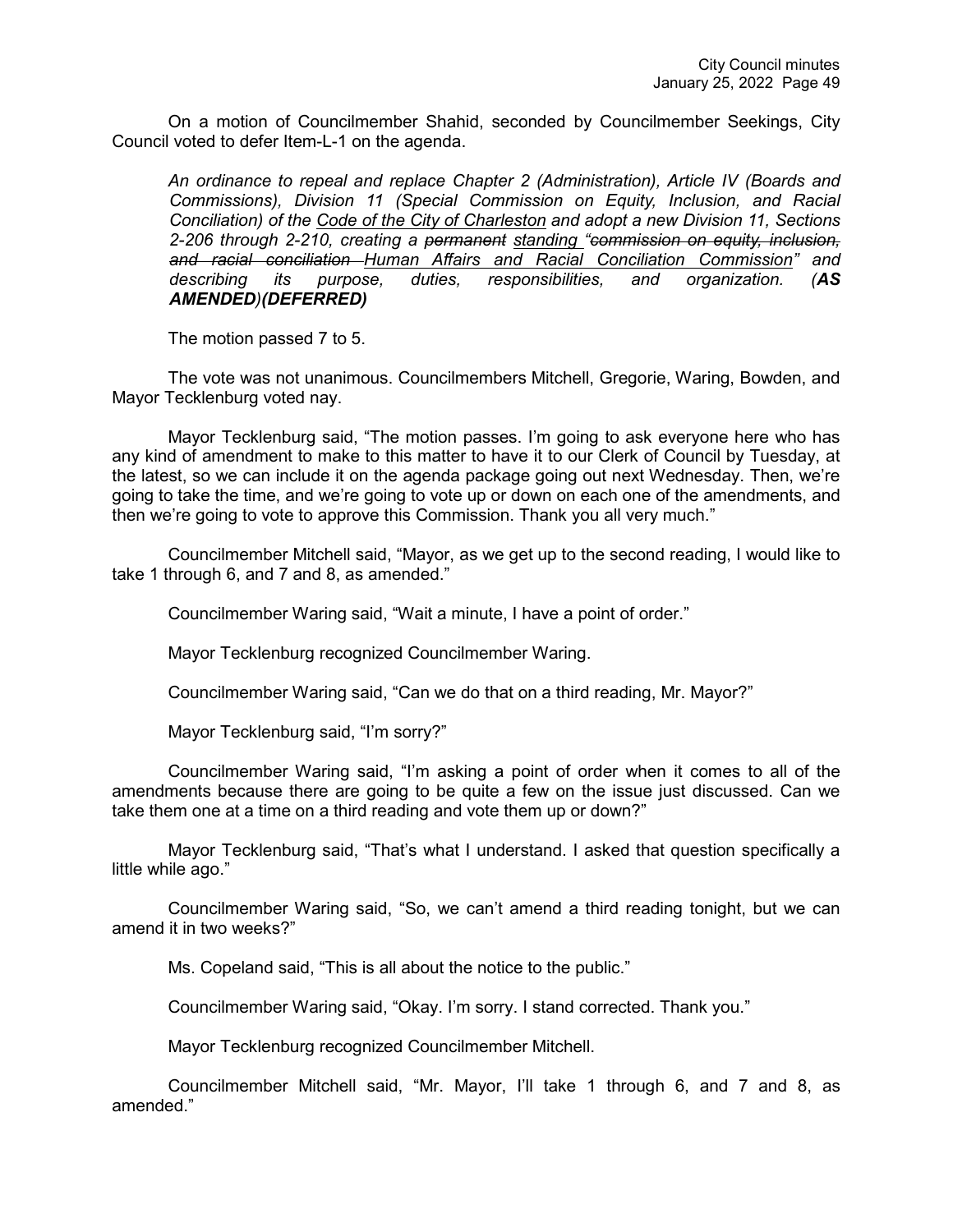On a motion of Councilmember Shahid, seconded by Councilmember Seekings, City Council voted to defer Item-L-1 on the agenda.

*An ordinance to repeal and replace Chapter 2 (Administration), Article IV (Boards and Commissions), Division 11 (Special Commission on Equity, Inclusion, and Racial Conciliation) of the Code of the City of Charleston and adopt a new Division 11, Sections 2-206 through 2-210, creating a permanent standing "commission on equity, inclusion, and racial conciliation Human Affairs and Racial Conciliation Commission" and describing its purpose, duties, responsibilities, and organization. (AS AMENDED)(DEFERRED)*

The motion passed 7 to 5.

The vote was not unanimous. Councilmembers Mitchell, Gregorie, Waring, Bowden, and Mayor Tecklenburg voted nay.

Mayor Tecklenburg said, "The motion passes. I'm going to ask everyone here who has any kind of amendment to make to this matter to have it to our Clerk of Council by Tuesday, at the latest, so we can include it on the agenda package going out next Wednesday. Then, we're going to take the time, and we're going to vote up or down on each one of the amendments, and then we're going to vote to approve this Commission. Thank you all very much."

Councilmember Mitchell said, "Mayor, as we get up to the second reading, I would like to take 1 through 6, and 7 and 8, as amended."

Councilmember Waring said, "Wait a minute, I have a point of order."

Mayor Tecklenburg recognized Councilmember Waring.

Councilmember Waring said, "Can we do that on a third reading, Mr. Mayor?"

Mayor Tecklenburg said, "I'm sorry?"

Councilmember Waring said, "I'm asking a point of order when it comes to all of the amendments because there are going to be quite a few on the issue just discussed. Can we take them one at a time on a third reading and vote them up or down?"

Mayor Tecklenburg said, "That's what I understand. I asked that question specifically a little while ago."

Councilmember Waring said, "So, we can't amend a third reading tonight, but we can amend it in two weeks?"

Ms. Copeland said, "This is all about the notice to the public."

Councilmember Waring said, "Okay. I'm sorry. I stand corrected. Thank you."

Mayor Tecklenburg recognized Councilmember Mitchell.

Councilmember Mitchell said, "Mr. Mayor, I'll take 1 through 6, and 7 and 8, as amended."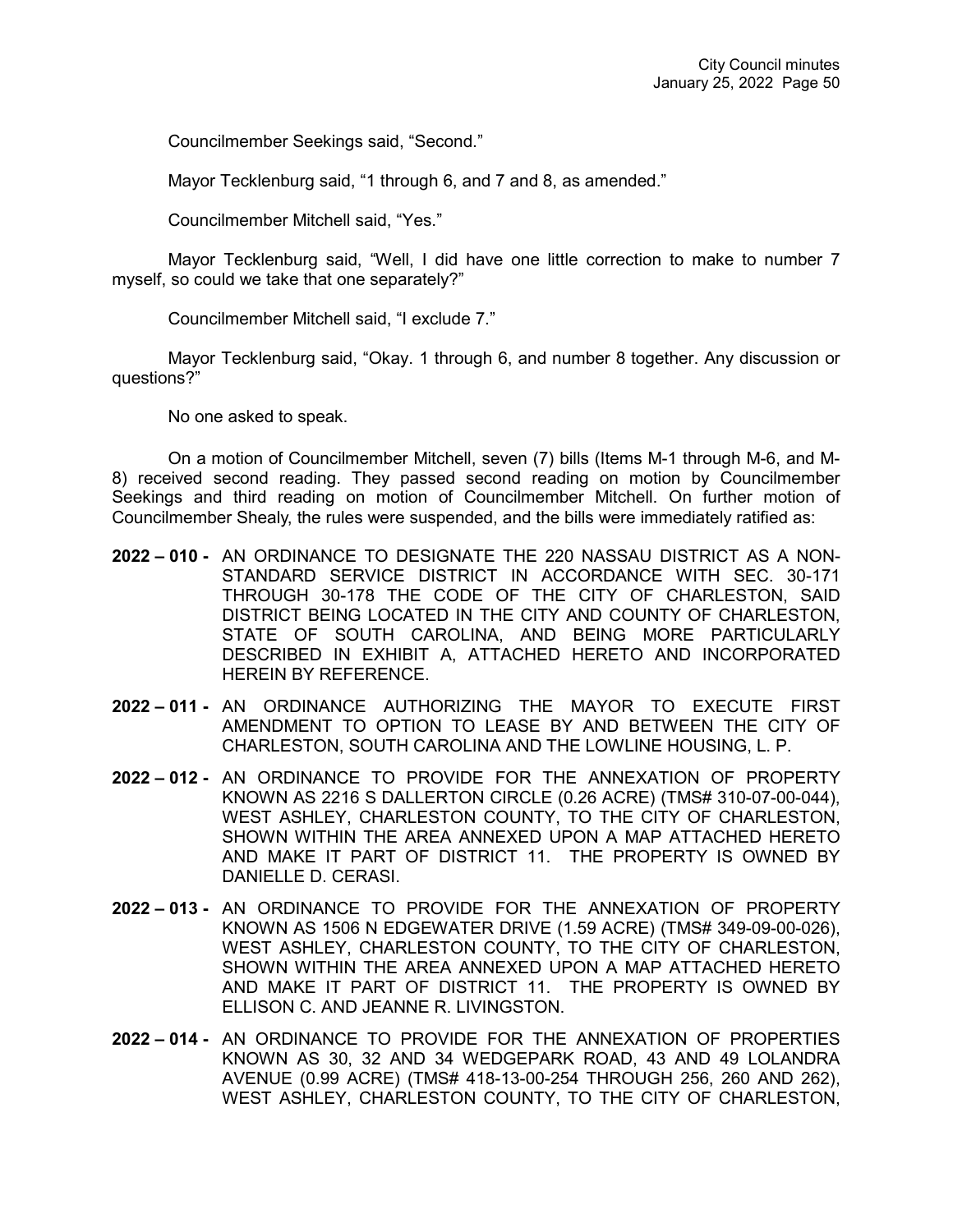Councilmember Seekings said, "Second."

Mayor Tecklenburg said, "1 through 6, and 7 and 8, as amended."

Councilmember Mitchell said, "Yes."

Mayor Tecklenburg said, "Well, I did have one little correction to make to number 7 myself, so could we take that one separately?"

Councilmember Mitchell said, "I exclude 7."

Mayor Tecklenburg said, "Okay. 1 through 6, and number 8 together. Any discussion or questions?"

No one asked to speak.

On a motion of Councilmember Mitchell, seven (7) bills (Items M-1 through M-6, and M-8) received second reading. They passed second reading on motion by Councilmember Seekings and third reading on motion of Councilmember Mitchell. On further motion of Councilmember Shealy, the rules were suspended, and the bills were immediately ratified as:

- **2022 – 010 -** AN ORDINANCE TO DESIGNATE THE 220 NASSAU DISTRICT AS A NON-STANDARD SERVICE DISTRICT IN ACCORDANCE WITH SEC. 30-171 THROUGH 30-178 THE CODE OF THE CITY OF CHARLESTON, SAID DISTRICT BEING LOCATED IN THE CITY AND COUNTY OF CHARLESTON, STATE OF SOUTH CAROLINA, AND BEING MORE PARTICULARLY DESCRIBED IN EXHIBIT A, ATTACHED HERETO AND INCORPORATED HEREIN BY REFERENCE.
- **2022 – 011 -** AN ORDINANCE AUTHORIZING THE MAYOR TO EXECUTE FIRST AMENDMENT TO OPTION TO LEASE BY AND BETWEEN THE CITY OF CHARLESTON, SOUTH CAROLINA AND THE LOWLINE HOUSING, L. P.
- **2022 – 012 -** AN ORDINANCE TO PROVIDE FOR THE ANNEXATION OF PROPERTY KNOWN AS 2216 S DALLERTON CIRCLE (0.26 ACRE) (TMS# 310-07-00-044), WEST ASHLEY, CHARLESTON COUNTY, TO THE CITY OF CHARLESTON, SHOWN WITHIN THE AREA ANNEXED UPON A MAP ATTACHED HERETO AND MAKE IT PART OF DISTRICT 11. THE PROPERTY IS OWNED BY DANIELLE D. CERASI.
- **2022 – 013 -** AN ORDINANCE TO PROVIDE FOR THE ANNEXATION OF PROPERTY KNOWN AS 1506 N EDGEWATER DRIVE (1.59 ACRE) (TMS# 349-09-00-026), WEST ASHLEY, CHARLESTON COUNTY, TO THE CITY OF CHARLESTON, SHOWN WITHIN THE AREA ANNEXED UPON A MAP ATTACHED HERETO AND MAKE IT PART OF DISTRICT 11. THE PROPERTY IS OWNED BY ELLISON C. AND JEANNE R. LIVINGSTON.
- **2022 – 014 -** AN ORDINANCE TO PROVIDE FOR THE ANNEXATION OF PROPERTIES KNOWN AS 30, 32 AND 34 WEDGEPARK ROAD, 43 AND 49 LOLANDRA AVENUE (0.99 ACRE) (TMS# 418-13-00-254 THROUGH 256, 260 AND 262), WEST ASHLEY, CHARLESTON COUNTY, TO THE CITY OF CHARLESTON,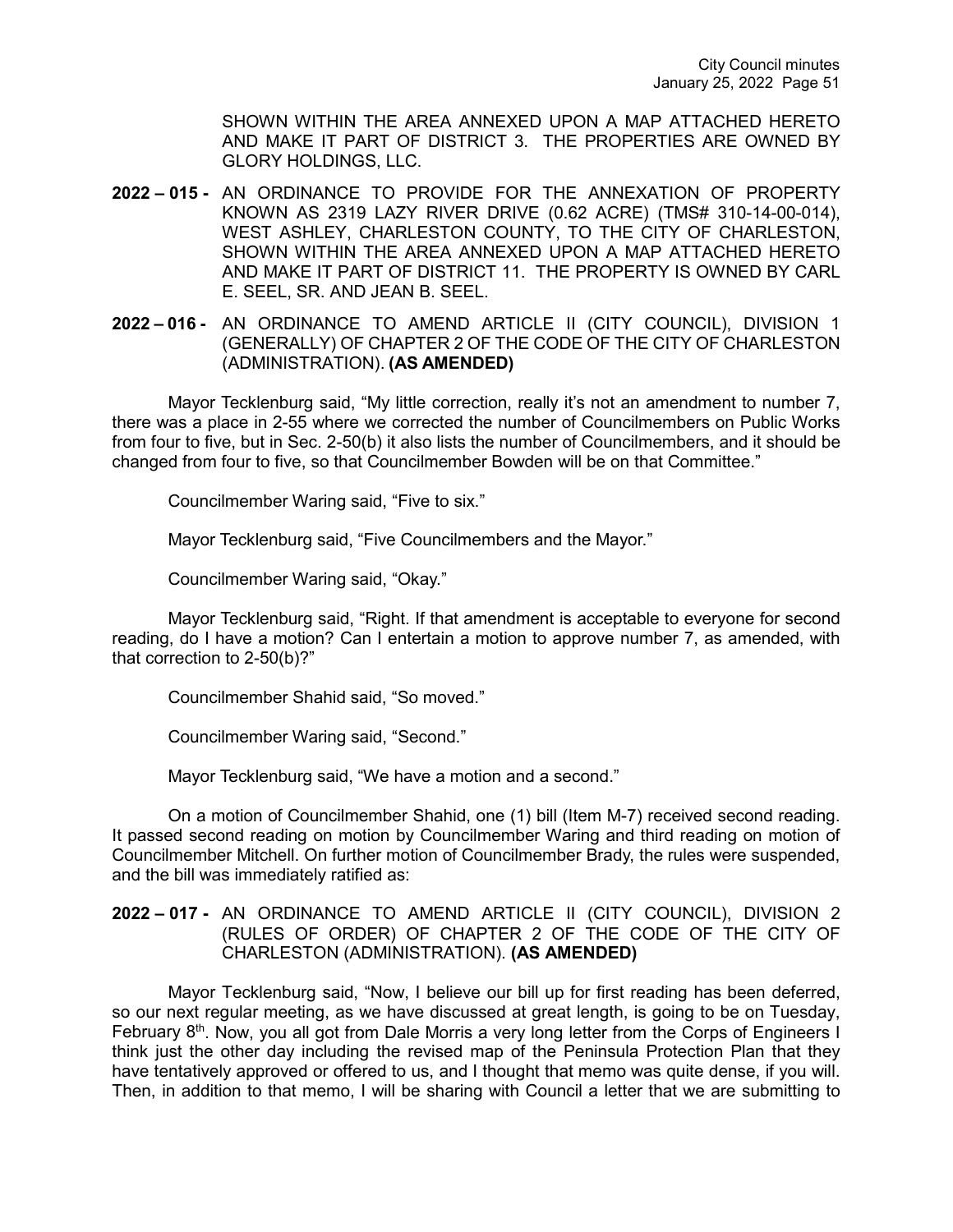SHOWN WITHIN THE AREA ANNEXED UPON A MAP ATTACHED HERETO AND MAKE IT PART OF DISTRICT 3. THE PROPERTIES ARE OWNED BY GLORY HOLDINGS, LLC.

- **2022 – 015 -** AN ORDINANCE TO PROVIDE FOR THE ANNEXATION OF PROPERTY KNOWN AS 2319 LAZY RIVER DRIVE (0.62 ACRE) (TMS# 310-14-00-014), WEST ASHLEY, CHARLESTON COUNTY, TO THE CITY OF CHARLESTON, SHOWN WITHIN THE AREA ANNEXED UPON A MAP ATTACHED HERETO AND MAKE IT PART OF DISTRICT 11. THE PROPERTY IS OWNED BY CARL E. SEEL, SR. AND JEAN B. SEEL.
- **2022 – 016 -** AN ORDINANCE TO AMEND ARTICLE II (CITY COUNCIL), DIVISION 1 (GENERALLY) OF CHAPTER 2 OF THE CODE OF THE CITY OF CHARLESTON (ADMINISTRATION). **(AS AMENDED)**

Mayor Tecklenburg said, "My little correction, really it's not an amendment to number 7, there was a place in 2-55 where we corrected the number of Councilmembers on Public Works from four to five, but in Sec. 2-50(b) it also lists the number of Councilmembers, and it should be changed from four to five, so that Councilmember Bowden will be on that Committee."

Councilmember Waring said, "Five to six."

Mayor Tecklenburg said, "Five Councilmembers and the Mayor."

Councilmember Waring said, "Okay."

Mayor Tecklenburg said, "Right. If that amendment is acceptable to everyone for second reading, do I have a motion? Can I entertain a motion to approve number 7, as amended, with that correction to 2-50(b)?"

Councilmember Shahid said, "So moved."

Councilmember Waring said, "Second."

Mayor Tecklenburg said, "We have a motion and a second."

On a motion of Councilmember Shahid, one (1) bill (Item M-7) received second reading. It passed second reading on motion by Councilmember Waring and third reading on motion of Councilmember Mitchell. On further motion of Councilmember Brady, the rules were suspended, and the bill was immediately ratified as:

## **2022 – 017 -** AN ORDINANCE TO AMEND ARTICLE II (CITY COUNCIL), DIVISION 2 (RULES OF ORDER) OF CHAPTER 2 OF THE CODE OF THE CITY OF CHARLESTON (ADMINISTRATION). **(AS AMENDED)**

Mayor Tecklenburg said, "Now, I believe our bill up for first reading has been deferred, so our next regular meeting, as we have discussed at great length, is going to be on Tuesday, February 8<sup>th</sup>. Now, you all got from Dale Morris a very long letter from the Corps of Engineers I think just the other day including the revised map of the Peninsula Protection Plan that they have tentatively approved or offered to us, and I thought that memo was quite dense, if you will. Then, in addition to that memo, I will be sharing with Council a letter that we are submitting to